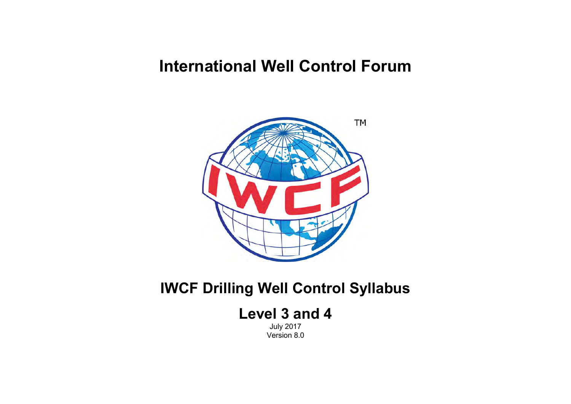# **International Well Control Forum**



## **IWCF Drilling Well Control Syllabus**

## **Level 3 and 4**

July 2017 Version 8.0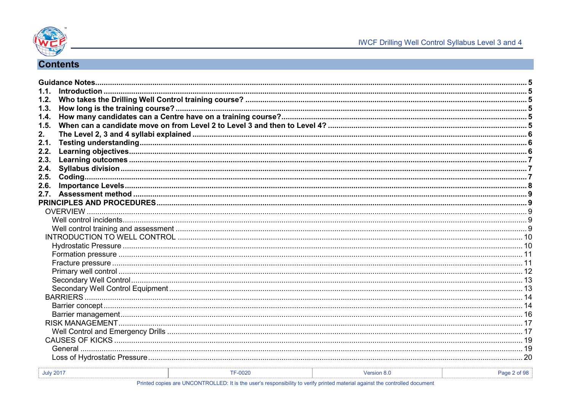

## **Contents**

| 1.2.             |                |             |              |
|------------------|----------------|-------------|--------------|
| 1.3.             |                |             |              |
| 1.4.             |                |             |              |
| 1.5.             |                |             |              |
| 2.               |                |             |              |
| 2.1.             |                |             |              |
| 2.2.             |                |             |              |
| 2.3.             |                |             |              |
| 2.4.             |                |             |              |
| 2.5.             |                |             |              |
| 2.6.             |                |             |              |
|                  |                |             |              |
|                  |                |             |              |
|                  |                |             |              |
|                  |                |             |              |
|                  |                |             |              |
|                  |                |             |              |
|                  |                |             |              |
|                  |                |             |              |
|                  |                |             |              |
|                  |                |             |              |
|                  |                |             |              |
|                  |                |             |              |
|                  |                |             |              |
|                  |                |             |              |
|                  |                |             |              |
|                  |                |             |              |
|                  |                |             |              |
|                  |                |             |              |
|                  |                |             |              |
|                  |                |             |              |
|                  |                |             |              |
| <b>July 2017</b> | <b>TF-0020</b> | Version 8.0 | Page 2 of 98 |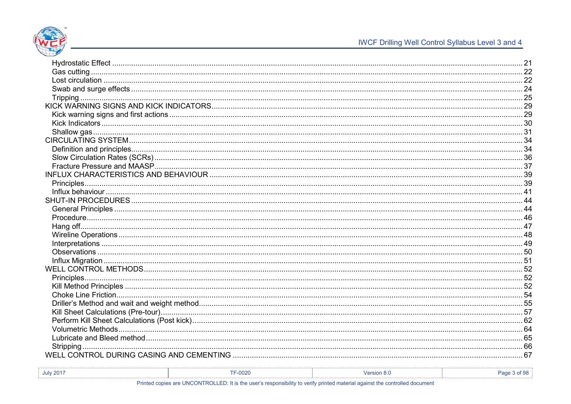

| <b>July 2017</b> | $TE-0000$<br><b>IF-UUZU</b> | ersion 8.0 | Pac |
|------------------|-----------------------------|------------|-----|
|                  |                             |            |     |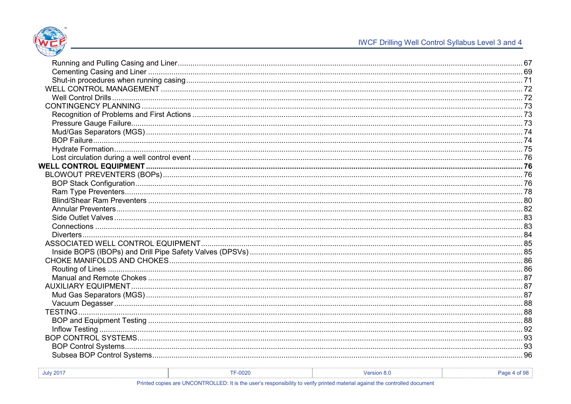

| July 2017 | 0020                                                               | <b>Version 8.</b> |  |
|-----------|--------------------------------------------------------------------|-------------------|--|
|           | <u> a magairpoile a shear ann an seachar an chuidhean an seach</u> |                   |  |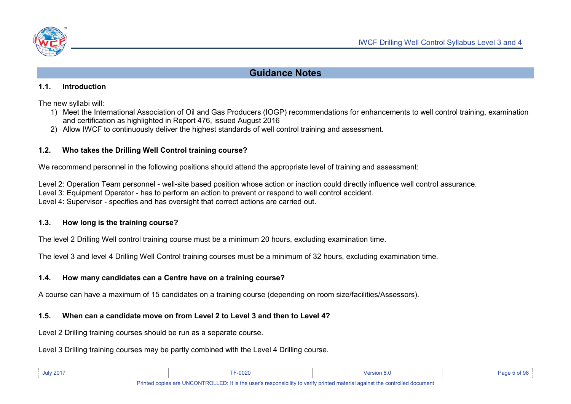

## **Guidance Notes**

#### <span id="page-4-1"></span><span id="page-4-0"></span>**1.1. Introduction**

The new syllabi will:

- 1) Meet the International Association of Oil and Gas Producers (IOGP) recommendations for enhancements to well control training, examination and certification as highlighted in Report 476, issued August 2016
- 2) Allow IWCF to continuously deliver the highest standards of well control training and assessment.

### <span id="page-4-2"></span>**1.2. Who takes the Drilling Well Control training course?**

We recommend personnel in the following positions should attend the appropriate level of training and assessment:

Level 2: Operation Team personnel - well-site based position whose action or inaction could directly influence well control assurance.

Level 3: Equipment Operator - has to perform an action to prevent or respond to well control accident.

Level 4: Supervisor - specifies and has oversight that correct actions are carried out.

### <span id="page-4-3"></span>**1.3. How long is the training course?**

The level 2 Drilling Well control training course must be a minimum 20 hours, excluding examination time.

The level 3 and level 4 Drilling Well Control training courses must be a minimum of 32 hours, excluding examination time.

## <span id="page-4-4"></span>**1.4. How many candidates can a Centre have on a training course?**

A course can have a maximum of 15 candidates on a training course (depending on room size/facilities/Assessors).

### <span id="page-4-5"></span>**1.5. When can a candidate move on from Level 2 to Level 3 and then to Level 4?**

Level 2 Drilling training courses should be run as a separate course.

Level 3 Drilling training courses may be partly combined with the Level 4 Drilling course.

| <b>July 2017</b>                                                                                                            | $-0020$ |  |  |
|-----------------------------------------------------------------------------------------------------------------------------|---------|--|--|
| Driptod copies are UNCONTROLLED. It is the user's reapposibility to verify printed material excipat the controlled decument |         |  |  |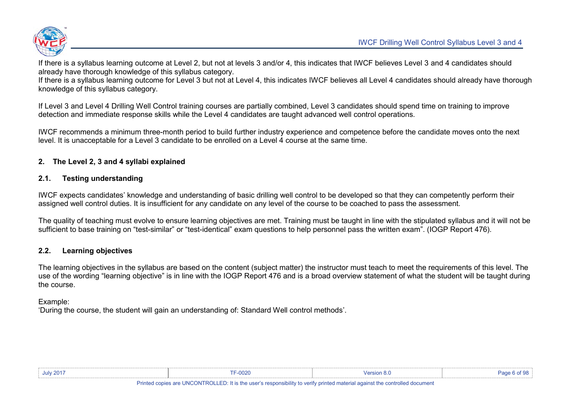

If there is a syllabus learning outcome at Level 2, but not at levels 3 and/or 4, this indicates that IWCF believes Level 3 and 4 candidates should already have thorough knowledge of this syllabus category.

If there is a syllabus learning outcome for Level 3 but not at Level 4, this indicates IWCF believes all Level 4 candidates should already have thorough knowledge of this syllabus category.

If Level 3 and Level 4 Drilling Well Control training courses are partially combined, Level 3 candidates should spend time on training to improve detection and immediate response skills while the Level 4 candidates are taught advanced well control operations.

IWCF recommends a minimum three-month period to build further industry experience and competence before the candidate moves onto the next level. It is unacceptable for a Level 3 candidate to be enrolled on a Level 4 course at the same time.

#### <span id="page-5-0"></span>**2. The Level 2, 3 and 4 syllabi explained**

#### <span id="page-5-1"></span>**2.1. Testing understanding**

IWCF expects candidates' knowledge and understanding of basic drilling well control to be developed so that they can competently perform their assigned well control duties. It is insufficient for any candidate on any level of the course to be coached to pass the assessment.

The quality of teaching must evolve to ensure learning objectives are met. Training must be taught in line with the stipulated syllabus and it will not be sufficient to base training on "test-similar" or "test-identical" exam questions to help personnel pass the written exam". (IOGP Report 476).

#### <span id="page-5-2"></span>**2.2. Learning objectives**

The learning objectives in the syllabus are based on the content (subject matter) the instructor must teach to meet the requirements of this level. The use of the wording "learning objective" is in line with the IOGP Report 476 and is a broad overview statement of what the student will be taught during the course.

#### Example:

'During the course, the student will gain an understanding of: Standard Well control methods'.

| July 2017 | TF-0020 | sion 8. | $\sim$ 0.000 $\sim$ |
|-----------|---------|---------|---------------------|
|           |         |         |                     |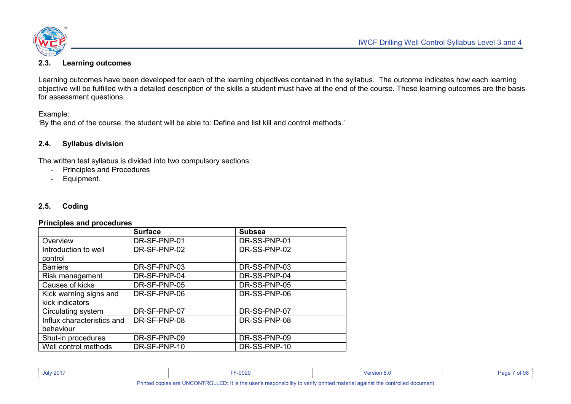

#### <span id="page-6-0"></span>**2.3. Learning outcomes**

Learning outcomes have been developed for each of the learning objectives contained in the syllabus. The outcome indicates how each learning objective will be fulfilled with a detailed description of the skills a student must have at the end of the course. These learning outcomes are the basis for assessment questions.

Example:

'By the end of the course, the student will be able to: Define and list kill and control methods.'

#### <span id="page-6-1"></span>**2.4. Syllabus division**

The written test syllabus is divided into two compulsory sections:

- Principles and Procedures
- Equipment.

#### <span id="page-6-2"></span>**2.5. Coding**

#### **Principles and procedures**

|                                           | <b>Surface</b> | <b>Subsea</b> |
|-------------------------------------------|----------------|---------------|
| Overview                                  | DR-SF-PNP-01   | DR-SS-PNP-01  |
| Introduction to well<br>control           | DR-SF-PNP-02   | DR-SS-PNP-02  |
| <b>Barriers</b>                           | DR-SF-PNP-03   | DR-SS-PNP-03  |
| Risk management                           | DR-SF-PNP-04   | DR-SS-PNP-04  |
| Causes of kicks                           | DR-SF-PNP-05   | DR-SS-PNP-05  |
| Kick warning signs and<br>kick indicators | DR-SF-PNP-06   | DR-SS-PNP-06  |
| Circulating system                        | DR-SF-PNP-07   | DR-SS-PNP-07  |
| Influx characteristics and<br>behaviour   | DR-SF-PNP-08   | DR-SS-PNP-08  |
| Shut-in procedures                        | DR-SF-PNP-09   | DR-SS-PNP-09  |
| Well control methods                      | DR-SF-PNP-10   | DR-SS-PNP-10  |

| <b>July 2017</b> | TF-0020 | <b>Mersion 8.0</b> | Pac |
|------------------|---------|--------------------|-----|
|                  |         |                    |     |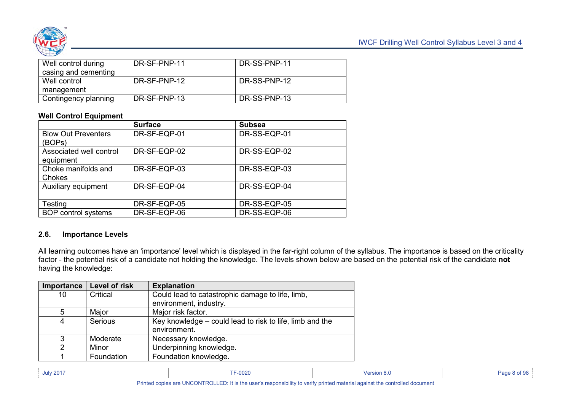

| Well control during  | DR-SF-PNP-11 | DR-SS-PNP-11 |
|----------------------|--------------|--------------|
| casing and cementing |              |              |
| Well control         | DR-SF-PNP-12 | DR-SS-PNP-12 |
| management           |              |              |
| Contingency planning | DR-SF-PNP-13 | DR-SS-PNP-13 |

#### **Well Control Equipment**

|                                      | <b>Surface</b> | <b>Subsea</b> |
|--------------------------------------|----------------|---------------|
| <b>Blow Out Preventers</b><br>(BOPs) | DR-SF-EQP-01   | DR-SS-EQP-01  |
| Associated well control<br>equipment | DR-SF-EQP-02   | DR-SS-EQP-02  |
| Choke manifolds and<br>Chokes        | DR-SF-EQP-03   | DR-SS-EQP-03  |
| Auxiliary equipment                  | DR-SF-EQP-04   | DR-SS-EQP-04  |
| Testing                              | DR-SF-EQP-05   | DR-SS-EQP-05  |
| <b>BOP</b> control systems           | DR-SF-EQP-06   | DR-SS-EQP-06  |

#### <span id="page-7-0"></span>**2.6. Importance Levels**

All learning outcomes have an 'importance' level which is displayed in the far-right column of the syllabus. The importance is based on the criticality factor - the potential risk of a candidate not holding the knowledge. The levels shown below are based on the potential risk of the candidate **not** having the knowledge:

| Importance    | Level of risk | <b>Explanation</b>                                       |
|---------------|---------------|----------------------------------------------------------|
| 10            | Critical      | Could lead to catastrophic damage to life, limb,         |
|               |               | environment, industry.                                   |
| 5             | Major         | Major risk factor.                                       |
| 4             | Serious       | Key knowledge – could lead to risk to life, limb and the |
|               |               | environment.                                             |
| 3             | Moderate      | Necessary knowledge.                                     |
| $\mathcal{P}$ | Minor         | Underpinning knowledge.                                  |
|               | Foundation    | Foundation knowledge.                                    |

| the contract of the contract of |
|---------------------------------|
|---------------------------------|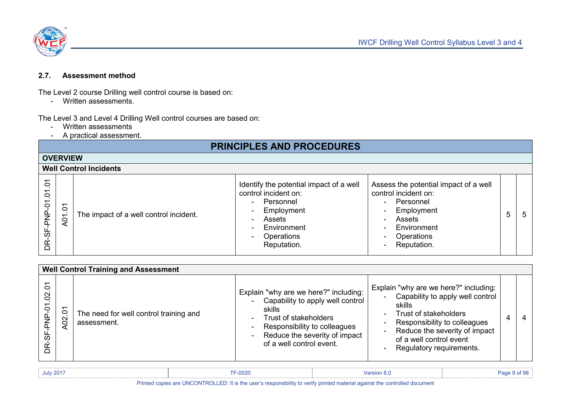

#### <span id="page-8-0"></span>**2.7. Assessment method**

The Level 2 course Drilling well control course is based on:

- Written assessments.

The Level 3 and Level 4 Drilling Well control courses are based on:

- Written assessments
- A practical assessment.

## **PRINCIPLES AND PROCEDURES**

<span id="page-8-3"></span><span id="page-8-2"></span><span id="page-8-1"></span>

|                                                           | <b>OVERVIEW</b>               |                                        |                                                                                                                                                                                                                                            |                                                                                                                                                                                                                                                               |   |     |  |  |
|-----------------------------------------------------------|-------------------------------|----------------------------------------|--------------------------------------------------------------------------------------------------------------------------------------------------------------------------------------------------------------------------------------------|---------------------------------------------------------------------------------------------------------------------------------------------------------------------------------------------------------------------------------------------------------------|---|-----|--|--|
|                                                           | <b>Well Control Incidents</b> |                                        |                                                                                                                                                                                                                                            |                                                                                                                                                                                                                                                               |   |     |  |  |
| $\delta$<br>$\tilde{\sigma}$<br>$\overline{P}$<br>ັທ<br>Ř | $\overline{c}$<br>A01         | The impact of a well control incident. | Identify the potential impact of a well<br>control incident on:<br>Personnel<br>$\blacksquare$<br>Employment<br>$\blacksquare$<br>Assets<br>$\blacksquare$<br>Environment<br>$\blacksquare$<br>Operations<br>$\blacksquare$<br>Reputation. | Assess the potential impact of a well<br>control incident on:<br>Personnel<br>$\sim$<br>Employment<br>$\overline{\phantom{a}}$<br>Assets<br>$\sim$<br>Environment<br>$\sim$<br><b>Operations</b><br>$\overline{\phantom{a}}$<br>Reputation.<br>$\blacksquare$ | 5 | - 5 |  |  |

<span id="page-8-4"></span>

| <b>Well Control Training and Assessment</b> |                    |                                                       |                                                                                                                                                                                                           |                                                                                                                                                                                                                                                                                              |  |  |  |
|---------------------------------------------|--------------------|-------------------------------------------------------|-----------------------------------------------------------------------------------------------------------------------------------------------------------------------------------------------------------|----------------------------------------------------------------------------------------------------------------------------------------------------------------------------------------------------------------------------------------------------------------------------------------------|--|--|--|
| δ<br>$\infty$<br>$\overline{c}$<br>9E       | ↽<br>C<br>$\Omega$ | The need for well control training and<br>assessment. | Explain "why are we here?" including:<br>Capability to apply well control<br>skills<br>Trust of stakeholders<br>Responsibility to colleagues<br>Reduce the severity of impact<br>of a well control event. | Explain "why are we here?" including:<br>Capability to apply well control<br>skills<br>Trust of stakeholders<br>$\sim$<br>Responsibility to colleagues<br>$\sim$<br>Reduce the severity of impact<br>$\blacksquare$<br>of a well control event<br>Regulatory requirements.<br>$\blacksquare$ |  |  |  |

| <b>July 2017</b> | TTC0000<br><b>IF-UUZU</b> | ™SION 0.⊾ |  |
|------------------|---------------------------|-----------|--|
|                  |                           |           |  |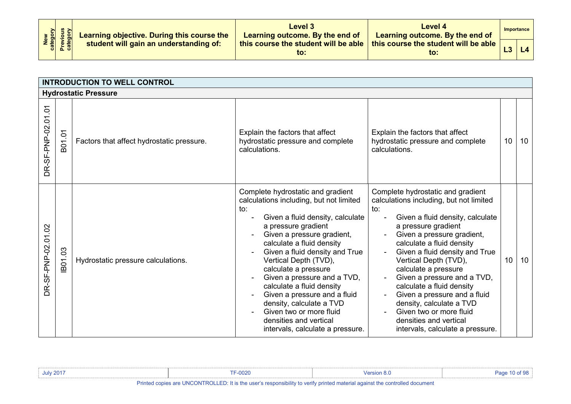| New<br>Category<br>Previous<br>Category |  | Learning objective. During this course the<br>student will gain an understanding of: | Level 3<br>Learning outcome. By the end of       | Level 4<br>Learning outcome. By the end of    |     | Importance |
|-----------------------------------------|--|--------------------------------------------------------------------------------------|--------------------------------------------------|-----------------------------------------------|-----|------------|
|                                         |  |                                                                                      | this course the student will be able $\ $<br>to: | this course the student will be able  <br>to: | LJ. | L4         |

<span id="page-9-1"></span><span id="page-9-0"></span>

|                      |         | <b>INTRODUCTION TO WELL CONTROL</b>       |                                                                                                                                                                                                                                                                                                                                                                                                                                                                                                               |                                                                                                                                                                                                                                                                                                                                                                                                                                                                                                               |    |    |
|----------------------|---------|-------------------------------------------|---------------------------------------------------------------------------------------------------------------------------------------------------------------------------------------------------------------------------------------------------------------------------------------------------------------------------------------------------------------------------------------------------------------------------------------------------------------------------------------------------------------|---------------------------------------------------------------------------------------------------------------------------------------------------------------------------------------------------------------------------------------------------------------------------------------------------------------------------------------------------------------------------------------------------------------------------------------------------------------------------------------------------------------|----|----|
|                      |         | <b>Hydrostatic Pressure</b>               |                                                                                                                                                                                                                                                                                                                                                                                                                                                                                                               |                                                                                                                                                                                                                                                                                                                                                                                                                                                                                                               |    |    |
| DR-SF-PNP-02.01.01   | B01.01  | Factors that affect hydrostatic pressure. | Explain the factors that affect<br>hydrostatic pressure and complete<br>calculations.                                                                                                                                                                                                                                                                                                                                                                                                                         | Explain the factors that affect<br>hydrostatic pressure and complete<br>calculations.                                                                                                                                                                                                                                                                                                                                                                                                                         | 10 | 10 |
| S<br>DR-SF-PNP-02.01 | IB01.03 | Hydrostatic pressure calculations.        | Complete hydrostatic and gradient<br>calculations including, but not limited<br>to:<br>Given a fluid density, calculate<br>a pressure gradient<br>Given a pressure gradient,<br>calculate a fluid density<br>Given a fluid density and True<br>Vertical Depth (TVD),<br>calculate a pressure<br>Given a pressure and a TVD,<br>calculate a fluid density<br>Given a pressure and a fluid<br>density, calculate a TVD<br>Given two or more fluid<br>densities and vertical<br>intervals, calculate a pressure. | Complete hydrostatic and gradient<br>calculations including, but not limited<br>to:<br>Given a fluid density, calculate<br>a pressure gradient<br>Given a pressure gradient,<br>calculate a fluid density<br>Given a fluid density and True<br>Vertical Depth (TVD),<br>calculate a pressure<br>Given a pressure and a TVD,<br>calculate a fluid density<br>Given a pressure and a fluid<br>density, calculate a TVD<br>Given two or more fluid<br>densities and vertical<br>intervals, calculate a pressure. | 10 | 10 |

| <b>July 2017</b>                                                                                                            | F-0020 | $\ell$ ersion 8. | Page |
|-----------------------------------------------------------------------------------------------------------------------------|--------|------------------|------|
| Printed copies are UNCONTROLLED: It is the user's responsibility to verify printed material against the controlled document |        |                  |      |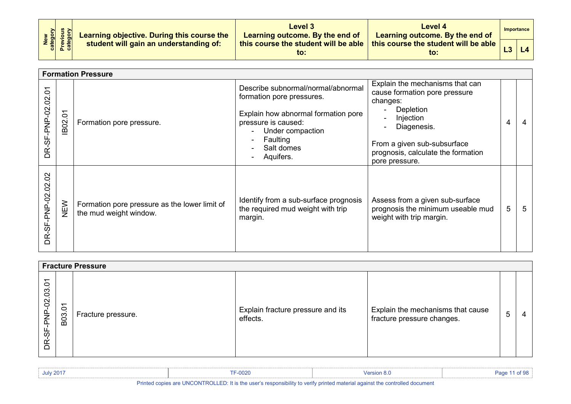| New<br>Category<br>Previous<br>Category |  | Learning objective. During this course the<br>student will gain an understanding of: | Level 3<br>Learning outcome. By the end of  | Level 4<br>Learning outcome. By the end of          |    | Importance |
|-----------------------------------------|--|--------------------------------------------------------------------------------------|---------------------------------------------|-----------------------------------------------------|----|------------|
|                                         |  |                                                                                      | this course the student will be able<br>to: | this course the student will be able $\vert$<br>to: | L3 | L4         |

<span id="page-10-0"></span>

|                                      |                                 | <b>Formation Pressure</b>                                               |                                                                                                                                                                                          |                                                                                                                                                                                                              |                |   |
|--------------------------------------|---------------------------------|-------------------------------------------------------------------------|------------------------------------------------------------------------------------------------------------------------------------------------------------------------------------------|--------------------------------------------------------------------------------------------------------------------------------------------------------------------------------------------------------------|----------------|---|
| DR-SF-PNP-02.02.01                   | $\tilde{\Omega}$<br><b>IB02</b> | Formation pore pressure.                                                | Describe subnormal/normal/abnormal<br>formation pore pressures.<br>Explain how abnormal formation pore<br>pressure is caused:<br>Under compaction<br>Faulting<br>Salt domes<br>Aquifers. | Explain the mechanisms that can<br>cause formation pore pressure<br>changes:<br>Depletion<br>Injection<br>Diagenesis.<br>From a given sub-subsurface<br>prognosis, calculate the formation<br>pore pressure. | $\overline{4}$ |   |
| Sö<br>$\overline{S}$<br>DR-SF-PNP-02 | NEW                             | Formation pore pressure as the lower limit of<br>the mud weight window. | Identify from a sub-surface prognosis<br>the required mud weight with trip<br>margin.                                                                                                    | Assess from a given sub-surface<br>prognosis the minimum useable mud<br>weight with trip margin.                                                                                                             | 5              | 5 |

<span id="page-10-1"></span>

|                      | <b>Fracture Pressure</b>          |                    |                                               |                                                                 |   |  |  |  |  |
|----------------------|-----------------------------------|--------------------|-----------------------------------------------|-----------------------------------------------------------------|---|--|--|--|--|
| SF-PNP-02.03.01<br>Ĕ | $\overline{C}$<br>B <sub>03</sub> | Fracture pressure. | Explain fracture pressure and its<br>effects. | Explain the mechanisms that cause<br>fracture pressure changes. | 5 |  |  |  |  |

| <b>July 2017</b> | TE 0000<br>-uuzu | Version 8.0 | of 98<br>Page |
|------------------|------------------|-------------|---------------|
|                  |                  |             |               |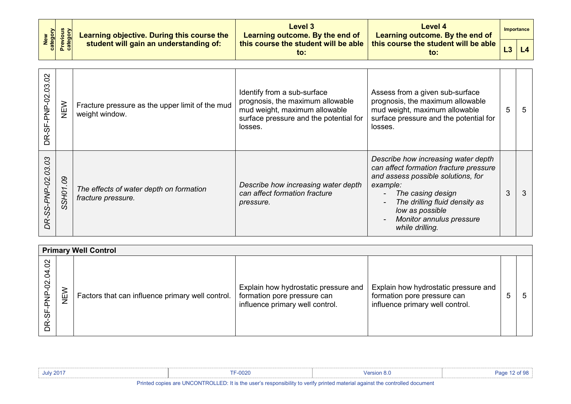| New<br>category<br>Previous<br>category | Learning objective. During this course the<br>student will gain an understanding of: | Level 3<br>Learning outcome. By the end of  | Level 4<br>Learning outcome. By the end of                            | Importance |
|-----------------------------------------|--------------------------------------------------------------------------------------|---------------------------------------------|-----------------------------------------------------------------------|------------|
|                                         |                                                                                      | this course the student will be able<br>to: | <b>this course the student will be able <math>\vert</math></b><br>to: |            |

| 8<br>DR-SF-PNP-02.03   | NEW                  | Fracture pressure as the upper limit of the mud<br>weight window. | Identify from a sub-surface<br>prognosis, the maximum allowable<br>mud weight, maximum allowable<br>surface pressure and the potential for<br>losses. | Assess from a given sub-surface<br>prognosis, the maximum allowable<br>mud weight, maximum allowable<br>surface pressure and the potential for<br>losses.                                                                                               | 5 | -5 |
|------------------------|----------------------|-------------------------------------------------------------------|-------------------------------------------------------------------------------------------------------------------------------------------------------|---------------------------------------------------------------------------------------------------------------------------------------------------------------------------------------------------------------------------------------------------------|---|----|
| R-SS-PNP-02.03.03<br>ם | $8^{\circ}$<br>SSH01 | The effects of water depth on formation<br>fracture pressure.     | Describe how increasing water depth<br>can affect formation fracture<br>pressure.                                                                     | Describe how increasing water depth<br>can affect formation fracture pressure<br>and assess possible solutions, for<br>example:<br>The casing design<br>The drilling fluid density as<br>low as possible<br>Monitor annulus pressure<br>while drilling. | 3 | 3  |

<span id="page-11-0"></span>

|                                                                              |              | <b>Primary Well Control</b>                      |                                                                                                        |                                                                                                        |   |
|------------------------------------------------------------------------------|--------------|--------------------------------------------------|--------------------------------------------------------------------------------------------------------|--------------------------------------------------------------------------------------------------------|---|
| $\mathcal{S}^{\mathcal{O}}$<br>$\overline{a}$<br>NP-02.<br>ᇟ<br>မှ<br>တ<br>Ĕ | ≷<br>i⊔<br>Z | Factors that can influence primary well control. | Explain how hydrostatic pressure and<br>formation pore pressure can<br>influence primary well control. | Explain how hydrostatic pressure and<br>formation pore pressure can<br>influence primary well control. | 5 |

| July 201 <sup>-</sup> | ററാറ<br>∙υυ∠υ | version 8. |  |
|-----------------------|---------------|------------|--|
| ____                  |               |            |  |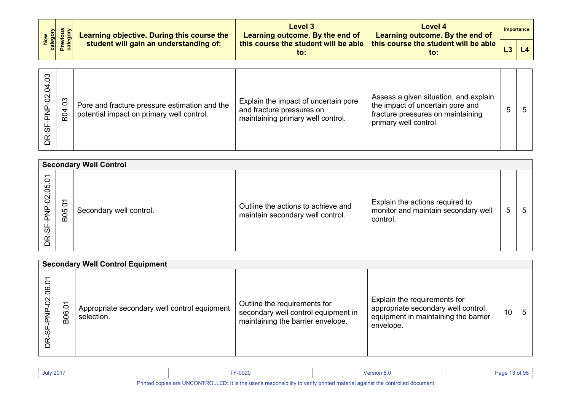|  | $\begin{array}{ c c c c }\hline & \frac{1}{2} & \frac{1}{2} & \frac{1}{2} \\ \hline \frac{2}{3} & \frac{1}{2} & \frac{1}{2} & \frac{1}{3} \\ \frac{2}{3} & \frac{1}{2} & \frac{1}{3} & \frac{1}{3} \end{array}$ Learning objective. During this course the | Level 3<br>Learning outcome. By the end of       | Level 4<br>Learning outcome. By the end of              | Importance |
|--|------------------------------------------------------------------------------------------------------------------------------------------------------------------------------------------------------------------------------------------------------------|--------------------------------------------------|---------------------------------------------------------|------------|
|  |                                                                                                                                                                                                                                                            | this course the student will be able $\ $<br>to: | this course the student will be able $\parallel$<br>to: | 14         |

| 3<br>Ó<br>$\mathcal{S}^{\mathcal{O}}$<br>ᢆ | 3<br>B <sub>O4</sub> | Pore and fracture pressure estimation and the<br>potential impact on primary well control. | Explain the impact of uncertain pore<br>and fracture pressures on<br>maintaining primary well control. | Assess a given situation, and explain<br>the impact of uncertain pore and<br>fracture pressures on maintaining<br>primary well control. | 5 | $5^{\circ}$ |
|--------------------------------------------|----------------------|--------------------------------------------------------------------------------------------|--------------------------------------------------------------------------------------------------------|-----------------------------------------------------------------------------------------------------------------------------------------|---|-------------|
|--------------------------------------------|----------------------|--------------------------------------------------------------------------------------------|--------------------------------------------------------------------------------------------------------|-----------------------------------------------------------------------------------------------------------------------------------------|---|-------------|

<span id="page-12-0"></span>

|                      | <b>Secondary Well Control</b>                |                         |                                                                        |                                                                                    |   |   |  |  |  |
|----------------------|----------------------------------------------|-------------------------|------------------------------------------------------------------------|------------------------------------------------------------------------------------|---|---|--|--|--|
| Ò<br>80<br>P-02<br>ᢆ | $\overline{ }$<br>$\circ$<br>B <sub>05</sub> | Secondary well control. | Outline the actions to achieve and<br>maintain secondary well control. | Explain the actions required to<br>monitor and maintain secondary well<br>control. | 5 | b |  |  |  |

<span id="page-12-1"></span>

|                         | <b>Secondary Well Control Equipment</b> |                                                            |                                                                                                          |                                                                                                                         |    |              |  |  |  |  |
|-------------------------|-----------------------------------------|------------------------------------------------------------|----------------------------------------------------------------------------------------------------------|-------------------------------------------------------------------------------------------------------------------------|----|--------------|--|--|--|--|
| δ<br>8<br>$\delta$<br>₩ | ᠇<br>$\circ$<br>B <sub>06</sub>         | Appropriate secondary well control equipment<br>selection. | Outline the requirements for<br>secondary well control equipment in<br>maintaining the barrier envelope. | Explain the requirements for<br>appropriate secondary well control<br>equipment in maintaining the barrier<br>envelope. | 10 | $\mathbf{b}$ |  |  |  |  |

| <b>July 2017</b> | $-0020$ | <b>Version 8.0</b>                                                                                              | ء ۾ |
|------------------|---------|-----------------------------------------------------------------------------------------------------------------|-----|
| --               |         | the contract of the contract of the contract of the contract of the contract of the contract of the contract of |     |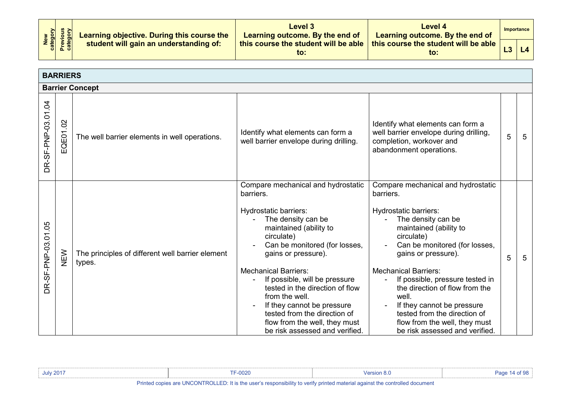| New<br>Category<br>Previous<br>Category | Learning objective. During this course the | Level 3<br>Learning outcome. By the end of  | Level 4<br>Learning outcome. By the end of    | Importance |
|-----------------------------------------|--------------------------------------------|---------------------------------------------|-----------------------------------------------|------------|
|                                         | student will gain an understanding of:     | this course the student will be able<br>to: | this course the student will be able  <br>to: | L4         |

<span id="page-13-1"></span><span id="page-13-0"></span>

|                    | <b>BARRIERS</b>        |                                                            |                                                                                                                                                                                                                                                                                                                                                                                                                                                      |                                                                                                                                                                                                                                                                                                                                                                                                                                                                |   |   |  |  |
|--------------------|------------------------|------------------------------------------------------------|------------------------------------------------------------------------------------------------------------------------------------------------------------------------------------------------------------------------------------------------------------------------------------------------------------------------------------------------------------------------------------------------------------------------------------------------------|----------------------------------------------------------------------------------------------------------------------------------------------------------------------------------------------------------------------------------------------------------------------------------------------------------------------------------------------------------------------------------------------------------------------------------------------------------------|---|---|--|--|
|                    | <b>Barrier Concept</b> |                                                            |                                                                                                                                                                                                                                                                                                                                                                                                                                                      |                                                                                                                                                                                                                                                                                                                                                                                                                                                                |   |   |  |  |
| DR-SF-PNP-03.01.04 | EQE01.02               | The well barrier elements in well operations.              | Identify what elements can form a<br>well barrier envelope during drilling.                                                                                                                                                                                                                                                                                                                                                                          | Identify what elements can form a<br>well barrier envelope during drilling,<br>completion, workover and<br>abandonment operations.                                                                                                                                                                                                                                                                                                                             | 5 | 5 |  |  |
| DR-SF-PNP-03.01.05 | NEW                    | The principles of different well barrier element<br>types. | Compare mechanical and hydrostatic<br>barriers.<br>Hydrostatic barriers:<br>The density can be<br>maintained (ability to<br>circulate)<br>Can be monitored (for losses,<br>gains or pressure).<br><b>Mechanical Barriers:</b><br>If possible, will be pressure<br>tested in the direction of flow<br>from the well.<br>If they cannot be pressure<br>tested from the direction of<br>flow from the well, they must<br>be risk assessed and verified. | Compare mechanical and hydrostatic<br>barriers.<br>Hydrostatic barriers:<br>The density can be<br>maintained (ability to<br>circulate)<br>Can be monitored (for losses,<br>gains or pressure).<br><b>Mechanical Barriers:</b><br>If possible, pressure tested in<br>$\blacksquare$<br>the direction of flow from the<br>well.<br>If they cannot be pressure<br>tested from the direction of<br>flow from the well, they must<br>be risk assessed and verified. | 5 | 5 |  |  |

| <b>July 2017</b>     | $-0020$                   | <b>Persion 8.</b>                                                                                 |  |
|----------------------|---------------------------|---------------------------------------------------------------------------------------------------|--|
| Printed <sub>1</sub> | I CADIALI ATA LINCONTROLI | JLLED: It is the user's responsibility to verify printed material against the controlled document |  |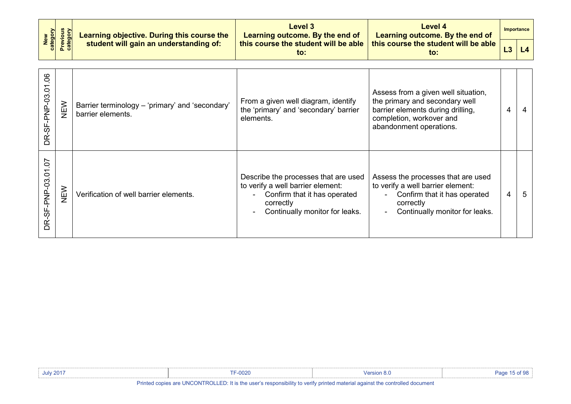| New<br>category        | <b>Previous</b><br>category | Learning objective. During this course the                           | <b>Level 3</b><br>Learning outcome. By the end of                                                                                                        | <b>Level 4</b><br>Learning outcome. By the end of                                                                                                                 |   | <b>Importance</b> |
|------------------------|-----------------------------|----------------------------------------------------------------------|----------------------------------------------------------------------------------------------------------------------------------------------------------|-------------------------------------------------------------------------------------------------------------------------------------------------------------------|---|-------------------|
|                        |                             | student will gain an understanding of:                               | this course the student will be able<br>$\mathsf{to}$ :                                                                                                  | this course the student will be able<br>$\mathsf{to}$ :                                                                                                           |   | L4                |
|                        |                             |                                                                      |                                                                                                                                                          |                                                                                                                                                                   |   |                   |
| .06<br>DR-SF-PNP-03.01 | NEW                         | Barrier terminology – 'primary' and 'secondary'<br>barrier elements. | From a given well diagram, identify<br>the 'primary' and 'secondary' barrier<br>elements.                                                                | Assess from a given well situation,<br>the primary and secondary well<br>barrier elements during drilling,<br>completion, workover and<br>abandonment operations. | 4 | 4                 |
| DR-SF-PNP-03.01.07     | NEW                         | Verification of well barrier elements.                               | Describe the processes that are used<br>to verify a well barrier element:<br>Confirm that it has operated<br>correctly<br>Continually monitor for leaks. | Assess the processes that are used<br>to verify a well barrier element:<br>Confirm that it has operated<br>correctly<br>Continually monitor for leaks.            | 4 | 5                 |

| <b>July 2017</b> | $F - 0020$ | <b>Version 8.∪</b> | of 98<br>Page |
|------------------|------------|--------------------|---------------|
|                  |            |                    |               |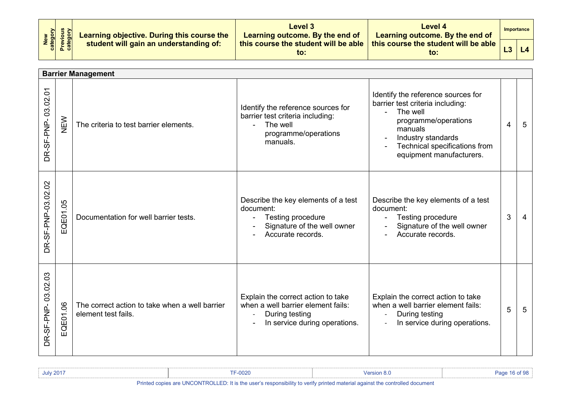| New<br>Category<br>Previous<br>Category | Learning objective. During this course the | Level 3<br>Learning outcome. By the end of  | Level 4<br>Learning outcome. By the end of  |    | Importance |
|-----------------------------------------|--------------------------------------------|---------------------------------------------|---------------------------------------------|----|------------|
|                                         | student will gain an understanding of:     | this course the student will be able<br>to: | this course the student will be able<br>to: | L3 | L4         |

<span id="page-15-0"></span>

|                              | <b>Barrier Management</b> |                                                                       |                                                                                                                             |                                                                                                                                                                                                                                      |   |                 |  |  |  |
|------------------------------|---------------------------|-----------------------------------------------------------------------|-----------------------------------------------------------------------------------------------------------------------------|--------------------------------------------------------------------------------------------------------------------------------------------------------------------------------------------------------------------------------------|---|-----------------|--|--|--|
| DR-SF-PNP-03.02.01           | NEW                       | The criteria to test barrier elements.                                | Identify the reference sources for<br>barrier test criteria including:<br>The well<br>programme/operations<br>manuals.      | Identify the reference sources for<br>barrier test criteria including:<br>The well<br>$\sim$<br>programme/operations<br>manuals<br>Industry standards<br>$\blacksquare$<br>Technical specifications from<br>equipment manufacturers. | 4 | $5\overline{5}$ |  |  |  |
| DR-SF-PNP-03.02.02           | EQE01.05                  | Documentation for well barrier tests.                                 | Describe the key elements of a test<br>document:<br>Testing procedure<br>Signature of the well owner<br>Accurate records.   | Describe the key elements of a test<br>document:<br>Testing procedure<br>Signature of the well owner<br>Accurate records.                                                                                                            | 3 | $\overline{4}$  |  |  |  |
| $\infty$<br>DR-SF-PNP-03.02. | QE01.06<br>ш              | The correct action to take when a well barrier<br>element test fails. | Explain the correct action to take<br>when a well barrier element fails:<br>During testing<br>In service during operations. | Explain the correct action to take<br>when a well barrier element fails:<br>During testing<br>In service during operations.                                                                                                          | 5 | 5               |  |  |  |

| <b>July 2017</b>                                                                                                            | F-0020 | Mersion 8.u |  |
|-----------------------------------------------------------------------------------------------------------------------------|--------|-------------|--|
| Printed copies are UNCONTROLLED: It is the user's responsibility to verify printed material against the controlled document |        |             |  |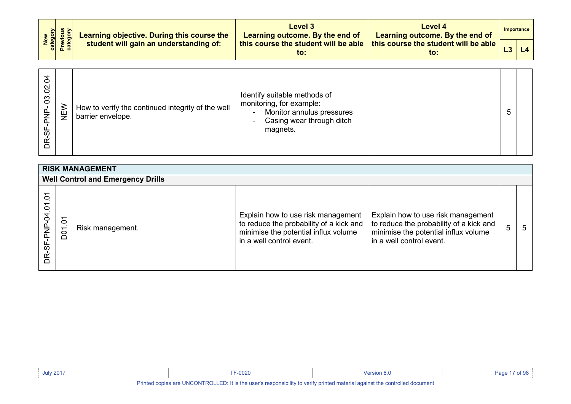| New<br>Category<br>Previous<br>Category | Learning objective. During this course the | <b>Level 3</b><br>Learning outcome. By the end of | Level 4<br>Learning outcome. By the end of              | Importance |
|-----------------------------------------|--------------------------------------------|---------------------------------------------------|---------------------------------------------------------|------------|
|                                         | student will gain an understanding of:     | this course the student will be able<br>to:       | this course the student will be able $\parallel$<br>to: |            |

| 0<br>$\scriptstyle\mathtt{N}$<br>0<br>$\infty$<br>ഗ | )<br>少<br>How to verify the continued integrity of the well<br>barrier envelope. | Identify suitable methods of<br>monitoring, for example:<br>Monitor annulus pressures<br>$\sim$<br>Casing wear through ditch<br>$\sim$<br>magnets. |  | $\mathbf b$ |  |
|-----------------------------------------------------|----------------------------------------------------------------------------------|----------------------------------------------------------------------------------------------------------------------------------------------------|--|-------------|--|
|-----------------------------------------------------|----------------------------------------------------------------------------------|----------------------------------------------------------------------------------------------------------------------------------------------------|--|-------------|--|

<span id="page-16-1"></span><span id="page-16-0"></span>

| <b>RISK MANAGEMENT</b>    |                                   |                                          |                                                                                                                                                   |                                                                                                                                                   |   |   |  |  |  |
|---------------------------|-----------------------------------|------------------------------------------|---------------------------------------------------------------------------------------------------------------------------------------------------|---------------------------------------------------------------------------------------------------------------------------------------------------|---|---|--|--|--|
|                           |                                   | <b>Well Control and Emergency Drills</b> |                                                                                                                                                   |                                                                                                                                                   |   |   |  |  |  |
| 5<br>5<br>-SF-PNP-04<br>Ĕ | $\overline{5}$<br>D <sub>01</sub> | Risk management.                         | Explain how to use risk management<br>to reduce the probability of a kick and<br>minimise the potential influx volume<br>in a well control event. | Explain how to use risk management<br>to reduce the probability of a kick and<br>minimise the potential influx volume<br>in a well control event. | 5 | 5 |  |  |  |

| <b>July 2017</b>                                                                                                            | F-0020 | /ersion 8 |  |
|-----------------------------------------------------------------------------------------------------------------------------|--------|-----------|--|
| Printed copies are UNCONTROLLED: It is the user's responsibility to verify printed material against the controlled document |        |           |  |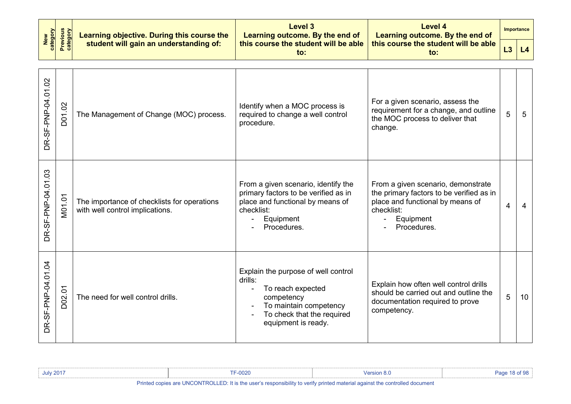| New<br>category    |                                                                              | Learning objective. During this course the                                     | Level 3<br>Learning outcome. By the end of                                                                                                                                         | <b>Level 4</b><br>Learning outcome. By the end of                                                                                                            |                | Importance     |
|--------------------|------------------------------------------------------------------------------|--------------------------------------------------------------------------------|------------------------------------------------------------------------------------------------------------------------------------------------------------------------------------|--------------------------------------------------------------------------------------------------------------------------------------------------------------|----------------|----------------|
|                    | <b>Previous</b><br>category<br>student will gain an understanding of:<br>to: |                                                                                | this course the student will be able                                                                                                                                               | this course the student will be able<br>$\mathbf{to}$ :                                                                                                      | L3             | L <sub>4</sub> |
| DR-SF-PNP-04.01.02 | D01.02                                                                       | The Management of Change (MOC) process.                                        | Identify when a MOC process is<br>required to change a well control<br>procedure.                                                                                                  | For a given scenario, assess the<br>requirement for a change, and outline<br>the MOC process to deliver that<br>change.                                      | 5              | 5              |
| DR-SF-PNP-04.01.03 | M01.01                                                                       | The importance of checklists for operations<br>with well control implications. | From a given scenario, identify the<br>primary factors to be verified as in<br>place and functional by means of<br>checklist:<br>Equipment<br>Procedures.                          | From a given scenario, demonstrate<br>the primary factors to be verified as in<br>place and functional by means of<br>checklist:<br>Equipment<br>Procedures. | $\overline{4}$ | $\overline{4}$ |
| DR-SF-PNP-04.01.04 | D02.01                                                                       | The need for well control drills.                                              | Explain the purpose of well control<br>drills:<br>To reach expected<br>$\blacksquare$<br>competency<br>To maintain competency<br>To check that the required<br>equipment is ready. | Explain how often well control drills<br>should be carried out and outline the<br>documentation required to prove<br>competency.                             | 5              | 10             |

| <b>July 2017</b>                                                                                                     | F-0020 |  |  |
|----------------------------------------------------------------------------------------------------------------------|--------|--|--|
| Dalaka al-amara ami HNOONITDOH ED. It is tha connais annouaile iith chaochta annouaidh annouaidh annouaidh annouaidh |        |  |  |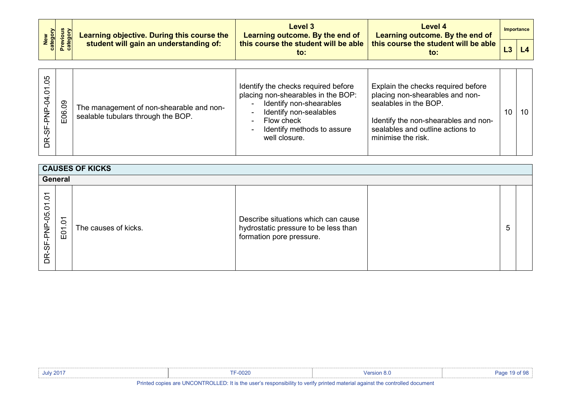| New<br>Category<br>Previous<br>Category | Learning objective. During this course the | <b>Level 3</b><br>Learning outcome. By the end of | Level 4<br>Learning outcome. By the end of                                                       | Importance |
|-----------------------------------------|--------------------------------------------|---------------------------------------------------|--------------------------------------------------------------------------------------------------|------------|
|                                         | student will gain an understanding of:     | to:                                               | this course the student will be able $\vert$ this course the student will be able $\vert$<br>to: |            |

| 80<br>0<br>3<br>80<br>E06<br>با<br>60 |  | The management of non-shearable and non-<br>sealable tubulars through the BOP. | Identify the checks required before<br>placing non-shearables in the BOP:<br>Identify non-shearables<br>Identify non-sealables<br>Flow check<br>Identify methods to assure<br>well closure. | Explain the checks required before<br>placing non-shearables and non-<br>sealables in the BOP.<br>Identify the non-shearables and non-<br>sealables and outline actions to<br>minimise the risk. | 10 |  |
|---------------------------------------|--|--------------------------------------------------------------------------------|---------------------------------------------------------------------------------------------------------------------------------------------------------------------------------------------|--------------------------------------------------------------------------------------------------------------------------------------------------------------------------------------------------|----|--|
|---------------------------------------|--|--------------------------------------------------------------------------------|---------------------------------------------------------------------------------------------------------------------------------------------------------------------------------------------|--------------------------------------------------------------------------------------------------------------------------------------------------------------------------------------------------|----|--|

<span id="page-18-1"></span><span id="page-18-0"></span>

|                                                   | <b>CAUSES OF KICKS</b>            |                      |                                                                                                         |  |   |  |  |  |  |  |  |
|---------------------------------------------------|-----------------------------------|----------------------|---------------------------------------------------------------------------------------------------------|--|---|--|--|--|--|--|--|
|                                                   | General                           |                      |                                                                                                         |  |   |  |  |  |  |  |  |
| $\overline{5}$<br>$\mathbf{r}$<br>DR-SF-PNP-05.01 | $\delta$<br>. .<br>$\overline{5}$ | The causes of kicks. | Describe situations which can cause<br>hydrostatic pressure to be less than<br>formation pore pressure. |  | 5 |  |  |  |  |  |  |

| <b>July 2017</b> | F-0020                                                                                                                      | √ersion 8 |  |  |  |  |  |  |
|------------------|-----------------------------------------------------------------------------------------------------------------------------|-----------|--|--|--|--|--|--|
|                  | Printed copies are UNCONTROLLED: It is the user's responsibility to verify printed material against the controlled document |           |  |  |  |  |  |  |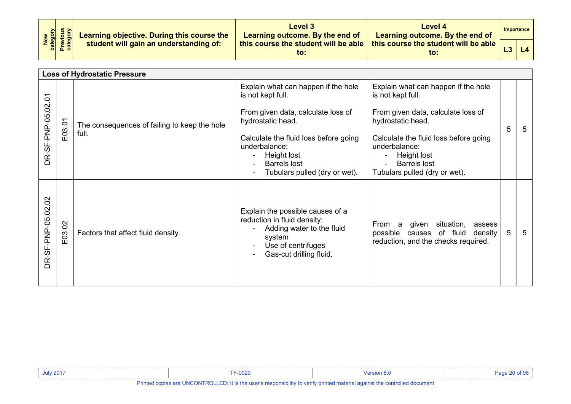| New<br>Category<br>Previous<br>Category | Learning objective. During this course the | Level 3<br>Learning outcome. By the end of  | Level 4<br>Learning outcome. By the end of  | Importance |
|-----------------------------------------|--------------------------------------------|---------------------------------------------|---------------------------------------------|------------|
|                                         | student will gain an understanding of:     | this course the student will be able<br>to: | this course the student will be able<br>to: |            |

<span id="page-19-0"></span>

|                    |        | <b>Loss of Hydrostatic Pressure</b>                   |                                                                                                                                                                                                                     |                                                                                                                                                                                                                     |   |   |
|--------------------|--------|-------------------------------------------------------|---------------------------------------------------------------------------------------------------------------------------------------------------------------------------------------------------------------------|---------------------------------------------------------------------------------------------------------------------------------------------------------------------------------------------------------------------|---|---|
| DR-SF-PNP-05.02.01 | E03.01 | The consequences of failing to keep the hole<br>full. | Explain what can happen if the hole<br>is not kept full.<br>From given data, calculate loss of<br>hydrostatic head.<br>Calculate the fluid loss before going<br>underbalance:<br>Height lost<br><b>Barrels lost</b> | Explain what can happen if the hole<br>is not kept full.<br>From given data, calculate loss of<br>hydrostatic head.<br>Calculate the fluid loss before going<br>underbalance:<br>Height lost<br><b>Barrels lost</b> | 5 | 5 |
|                    |        |                                                       | Tubulars pulled (dry or wet).                                                                                                                                                                                       | Tubulars pulled (dry or wet).                                                                                                                                                                                       |   |   |
| DR-SF-PNP-05.02.02 | E03.02 | Factors that affect fluid density.                    | Explain the possible causes of a<br>reduction in fluid density:<br>Adding water to the fluid<br>system<br>Use of centrifuges<br>Gas-cut drilling fluid.                                                             | From a<br>given<br>situation,<br>assess<br>possible<br>causes of fluid<br>density<br>reduction, and the checks required.                                                                                            | 5 | 5 |

| <b>July 2017</b> | $F-0020$                                                                                                                    | Version 8 0 | Page 20 of 98 |
|------------------|-----------------------------------------------------------------------------------------------------------------------------|-------------|---------------|
|                  |                                                                                                                             |             |               |
|                  | Printed copies are UNCONTROLLED: It is the user's responsibility to verify printed material against the controlled document |             |               |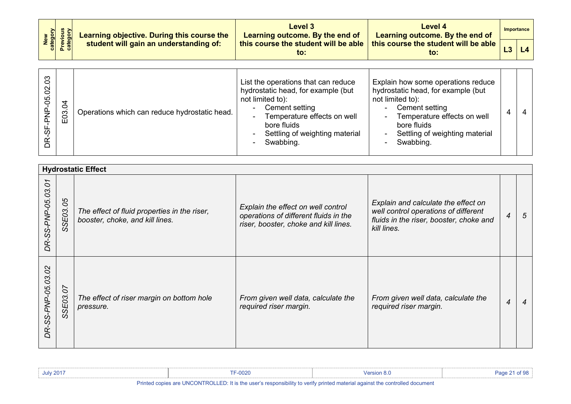| New<br>category<br>Previous<br>category | Learning objective. During this course the | Level 3<br>Learning outcome. By the end of  | <b>Level 4</b><br>Learning outcome. By the end of | Importance |
|-----------------------------------------|--------------------------------------------|---------------------------------------------|---------------------------------------------------|------------|
|                                         | student will gain an understanding of:     | this course the student will be able<br>to: | this course the student will be able<br>to.       | L4         |

| र्ठ<br>Operations which can reduce hydrostatic head.<br>8<br>Ш | List the operations that can reduce<br>hydrostatic head, for example (but<br>not limited to):<br>Cement setting<br>$\overline{\phantom{a}}$<br>Temperature effects on well<br>$\blacksquare$<br>bore fluids<br>Settling of weighting material<br>$\blacksquare$<br>Swabbing.<br>$\blacksquare$ | Explain how some operations reduce<br>hydrostatic head, for example (but<br>not limited to):<br>Cement setting<br>$\sim$<br>Temperature effects on well<br>$\blacksquare$<br>bore fluids<br>Settling of weighting material<br>$\overline{\phantom{0}}$<br>Swabbing.<br>۰ |  |  |
|----------------------------------------------------------------|------------------------------------------------------------------------------------------------------------------------------------------------------------------------------------------------------------------------------------------------------------------------------------------------|--------------------------------------------------------------------------------------------------------------------------------------------------------------------------------------------------------------------------------------------------------------------------|--|--|
|----------------------------------------------------------------|------------------------------------------------------------------------------------------------------------------------------------------------------------------------------------------------------------------------------------------------------------------------------------------------|--------------------------------------------------------------------------------------------------------------------------------------------------------------------------------------------------------------------------------------------------------------------------|--|--|

<span id="page-20-0"></span>

|                                            | <b>Hydrostatic Effect</b>          |                                                                                 |                                                                                                                      |                                                                                                                                       |                          |   |  |  |  |  |
|--------------------------------------------|------------------------------------|---------------------------------------------------------------------------------|----------------------------------------------------------------------------------------------------------------------|---------------------------------------------------------------------------------------------------------------------------------------|--------------------------|---|--|--|--|--|
| $\mathcal{L}$<br>DR-SS-PNP-05.03.          | 80<br><b>SE03.</b><br><sub>0</sub> | The effect of fluid properties in the riser,<br>booster, choke, and kill lines. | Explain the effect on well control<br>operations of different fluids in the<br>riser, booster, choke and kill lines. | Explain and calculate the effect on<br>well control operations of different<br>fluids in the riser, booster, choke and<br>kill lines. | $\overline{\mathcal{A}}$ | 5 |  |  |  |  |
| $\overline{O}$<br>03.<br>R-SS-PNP-05.<br>Q | SE03.07<br><sub>0</sub>            | The effect of riser margin on bottom hole<br>pressure.                          | From given well data, calculate the<br>required riser margin.                                                        | From given well data, calculate the<br>required riser margin.                                                                         | $\overline{4}$           | 4 |  |  |  |  |

| <b>July 2017</b> | --0020                                                                                                                      |  | Page 21 of 98 |  |  |  |  |  |  |
|------------------|-----------------------------------------------------------------------------------------------------------------------------|--|---------------|--|--|--|--|--|--|
|                  | Printed copies are UNCONTROLLED: It is the user's responsibility to verify printed material against the controlled document |  |               |  |  |  |  |  |  |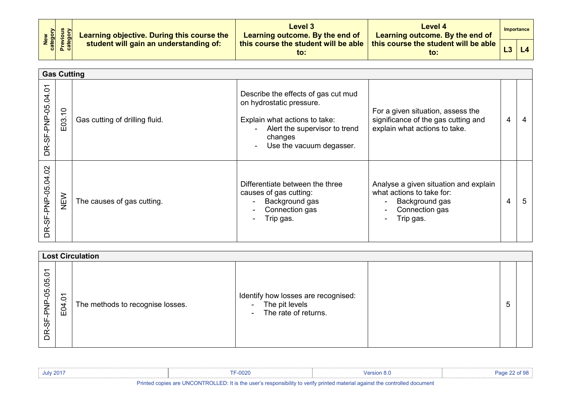| New<br>Category<br>Previous<br>Category | Learning objective. During this course the | Level 3<br>Learning outcome. By the end of  | Level 4<br>Learning outcome. By the end of              |    | Importance |
|-----------------------------------------|--------------------------------------------|---------------------------------------------|---------------------------------------------------------|----|------------|
|                                         | student will gain an understanding of:     | this course the student will be able<br>to: | this course the student will be able $\parallel$<br>to: | L3 | L4         |

<span id="page-21-0"></span>

|                             | <b>Gas Cutting</b>    |                                |                                                                                                                                                                          |                                                                                                                                                                        |   |   |  |  |
|-----------------------------|-----------------------|--------------------------------|--------------------------------------------------------------------------------------------------------------------------------------------------------------------------|------------------------------------------------------------------------------------------------------------------------------------------------------------------------|---|---|--|--|
| δ<br>DR-SF-PNP-05.04        | $\tilde{=}$<br>3<br>Ш | Gas cutting of drilling fluid. | Describe the effects of gas cut mud<br>on hydrostatic pressure.<br>Explain what actions to take:<br>Alert the supervisor to trend<br>changes<br>Use the vacuum degasser. | For a given situation, assess the<br>significance of the gas cutting and<br>explain what actions to take.                                                              | 4 |   |  |  |
| $\delta$<br>DR-SF-PNP-05.04 | NEW                   | The causes of gas cutting.     | Differentiate between the three<br>causes of gas cutting:<br>Background gas<br>Connection gas<br>$\blacksquare$<br>Trip gas.                                             | Analyse a given situation and explain<br>what actions to take for:<br>Background gas<br>$\overline{\phantom{a}}$<br>Connection gas<br>$\blacksquare$<br>Trip gas.<br>۰ | 4 | 5 |  |  |

<span id="page-21-1"></span>

|                                                                  | <b>Lost Circulation</b> |                                  |                                                                                                                   |  |   |  |  |  |  |
|------------------------------------------------------------------|-------------------------|----------------------------------|-------------------------------------------------------------------------------------------------------------------|--|---|--|--|--|--|
| $\overline{\phantom{0}}$<br>$\circ$<br>PNP-05.05<br>95<br>≃<br>≏ | $\delta$<br>E04.        | The methods to recognise losses. | Identify how losses are recognised:<br>The pit levels<br>$\blacksquare$<br>The rate of returns.<br>$\blacksquare$ |  | ა |  |  |  |  |

| <b>July 2017</b> | $TE-0000$<br>∙∪∪zu | <sup>ാ</sup> ersion പ |  |
|------------------|--------------------|-----------------------|--|
| _____            |                    |                       |  |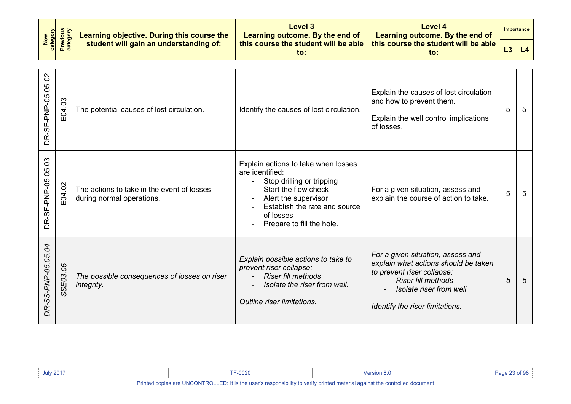| New<br>category    | <b>Previous</b><br>category | Learning objective. During this course the                              | Level 3<br>Learning outcome. By the end of                                                                                                                                                                     | Level 4<br>Learning outcome. By the end of                                                                                                                                                         |    | <b>Importance</b> |
|--------------------|-----------------------------|-------------------------------------------------------------------------|----------------------------------------------------------------------------------------------------------------------------------------------------------------------------------------------------------------|----------------------------------------------------------------------------------------------------------------------------------------------------------------------------------------------------|----|-------------------|
|                    |                             | student will gain an understanding of:                                  | this course the student will be able<br>$\mathsf{to}$ :                                                                                                                                                        | this course the student will be able<br>$\mathsf{to}$ :                                                                                                                                            | L3 | L4                |
| DR-SF-PNP-05.05.02 | E04.03                      | The potential causes of lost circulation.                               | Identify the causes of lost circulation.                                                                                                                                                                       | Explain the causes of lost circulation<br>and how to prevent them.<br>Explain the well control implications<br>of losses.                                                                          | 5  | $5\phantom{.0}$   |
| DR-SF-PNP-05.05.03 | E04.02                      | The actions to take in the event of losses<br>during normal operations. | Explain actions to take when losses<br>are identified:<br>Stop drilling or tripping<br>Start the flow check<br>Alert the supervisor<br>Establish the rate and source<br>of losses<br>Prepare to fill the hole. | For a given situation, assess and<br>explain the course of action to take.                                                                                                                         | 5  | 5                 |
| DR-SS-PNP-05.05.04 | SSE03.06                    | The possible consequences of losses on riser<br>integrity.              | Explain possible actions to take to<br>prevent riser collapse:<br><b>Riser fill methods</b><br>Isolate the riser from well.<br>Outline riser limitations.                                                      | For a given situation, assess and<br>explain what actions should be taken<br>to prevent riser collapse:<br><b>Riser fill methods</b><br>Isolate riser from well<br>Identify the riser limitations. | 5  | 5                 |

| July 2017                                                                                                                | F-0020 | <b>Version 8.0</b> |  |  |  |  |  |
|--------------------------------------------------------------------------------------------------------------------------|--------|--------------------|--|--|--|--|--|
| Dalaka al-aasiaa joo HNOONTDOHED. Bis Baadaasada saasaasii ilkoka caalko salaka asakaala lagabad ka jaadaalaal dagoosaak |        |                    |  |  |  |  |  |

""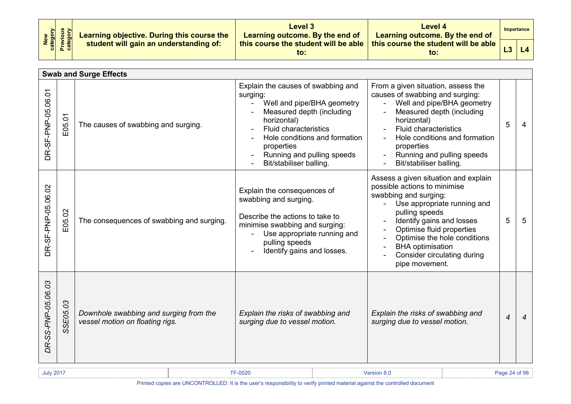| New<br>Category<br>Previous<br>Category | Learning objective. During this course the | Level 3<br>Learning outcome. By the end of  | Level 4<br>Learning outcome. By the end of  |  | <b>Importance</b> |
|-----------------------------------------|--------------------------------------------|---------------------------------------------|---------------------------------------------|--|-------------------|
|                                         | student will gain an understanding of:     | this course the student will be able<br>to: | this course the student will be able<br>to: |  |                   |

<span id="page-23-0"></span>

|                    | <b>Swab and Surge Effects</b> |                                                                           |                                                                                                                                                                                                                                                                  |                                                                                                                                                                                                                                                                                                                      |                |                |  |
|--------------------|-------------------------------|---------------------------------------------------------------------------|------------------------------------------------------------------------------------------------------------------------------------------------------------------------------------------------------------------------------------------------------------------|----------------------------------------------------------------------------------------------------------------------------------------------------------------------------------------------------------------------------------------------------------------------------------------------------------------------|----------------|----------------|--|
| DR-SF-PNP-05.06.01 | E05.01                        | The causes of swabbing and surging.                                       | Explain the causes of swabbing and<br>surging:<br>Well and pipe/BHA geometry<br>Measured depth (including<br>horizontal)<br><b>Fluid characteristics</b><br>Hole conditions and formation<br>properties<br>Running and pulling speeds<br>Bit/stabiliser balling. | From a given situation, assess the<br>causes of swabbing and surging:<br>Well and pipe/BHA geometry<br>Measured depth (including<br>horizontal)<br><b>Fluid characteristics</b><br>Hole conditions and formation<br>properties<br>Running and pulling speeds<br>Bit/stabiliser balling.                              | 5              | 4              |  |
| DR-SF-PNP-05.06.02 | E05.02                        | The consequences of swabbing and surging.                                 | Explain the consequences of<br>swabbing and surging.<br>Describe the actions to take to<br>minimise swabbing and surging:<br>Use appropriate running and<br>pulling speeds<br>Identify gains and losses.                                                         | Assess a given situation and explain<br>possible actions to minimise<br>swabbing and surging:<br>Use appropriate running and<br>pulling speeds<br>Identify gains and losses<br>Optimise fluid properties<br>Optimise the hole conditions<br><b>BHA</b> optimisation<br>Consider circulating during<br>pipe movement. | 5              | 5              |  |
| DR-SS-PNP-05.06.03 | SSE05.03                      | Downhole swabbing and surging from the<br>vessel motion on floating rigs. | Explain the risks of swabbing and<br>surging due to vessel motion.                                                                                                                                                                                               | Explain the risks of swabbing and<br>surging due to vessel motion.                                                                                                                                                                                                                                                   | $\overline{4}$ | $\overline{4}$ |  |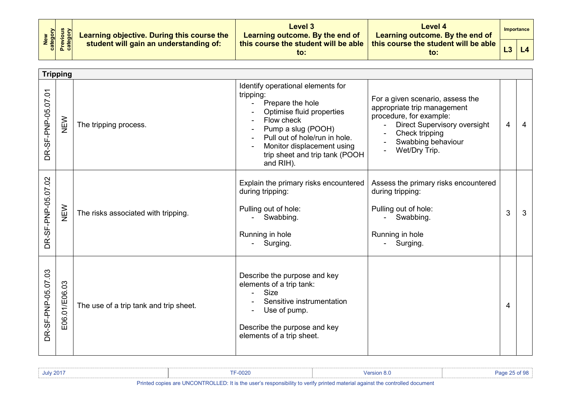| New<br>Category<br>Previous<br>Category | Learning objective. During this course the | Level 3<br>Learning outcome. By the end of              | Level 4<br>Learning outcome. By the end of              |  | Importance |
|-----------------------------------------|--------------------------------------------|---------------------------------------------------------|---------------------------------------------------------|--|------------|
|                                         | student will gain an understanding of:     | this course the student will be able $\parallel$<br>to: | this course the student will be able $\parallel$<br>to: |  | L4         |

<span id="page-24-0"></span>

|                    | <b>Tripping</b> |                                        |                                                                                                                                                                                                                                                                     |                                                                                                                                                                                            |                |   |
|--------------------|-----------------|----------------------------------------|---------------------------------------------------------------------------------------------------------------------------------------------------------------------------------------------------------------------------------------------------------------------|--------------------------------------------------------------------------------------------------------------------------------------------------------------------------------------------|----------------|---|
| DR-SF-PNP-05.07.01 | NEW             | The tripping process.                  | Identify operational elements for<br>tripping:<br>Prepare the hole<br>$\blacksquare$<br>Optimise fluid properties<br>Flow check<br>Pump a slug (POOH)<br>Pull out of hole/run in hole.<br>Monitor displacement using<br>trip sheet and trip tank (POOH<br>and RIH). | For a given scenario, assess the<br>appropriate trip management<br>procedure, for example:<br><b>Direct Supervisory oversight</b><br>Check tripping<br>Swabbing behaviour<br>Wet/Dry Trip. | $\overline{4}$ | 4 |
| DR-SF-PNP-05.07.02 | NEW             | The risks associated with tripping.    | Explain the primary risks encountered<br>during tripping:<br>Pulling out of hole:<br>- Swabbing.<br>Running in hole<br>- Surging.                                                                                                                                   | Assess the primary risks encountered<br>during tripping:<br>Pulling out of hole:<br>- Swabbing.<br>Running in hole<br>- Surging.                                                           | 3              | 3 |
| DR-SF-PNP-05.07.03 | E06.01/E06.03   | The use of a trip tank and trip sheet. | Describe the purpose and key<br>elements of a trip tank:<br><b>Size</b><br>Sensitive instrumentation<br>Use of pump.<br>Describe the purpose and key<br>elements of a trip sheet.                                                                                   |                                                                                                                                                                                            | 4              |   |

| July 2017 | <b>TF-0020</b>                    | <b>Version 8.0</b> | Page 25 of 98 |
|-----------|-----------------------------------|--------------------|---------------|
| .         | $\cdots$<br>$-11 - 11111 - 11111$ |                    |               |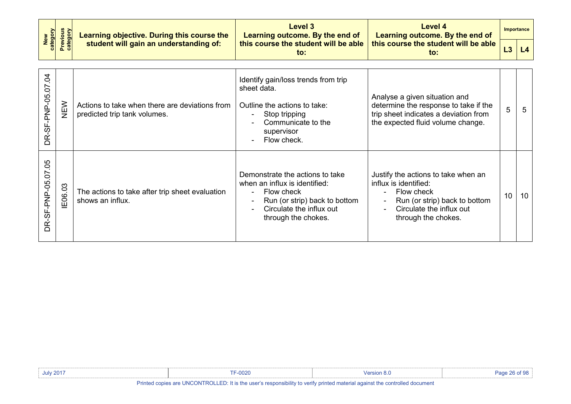| <b>Previous</b><br>category<br>New<br>category |        | Learning objective. During this course the                                     | <b>Level 3</b><br>Learning outcome. By the end of                                                                                                                                                                        | Level 4<br>Learning outcome. By the end of                                                                                                                                            |    | <b>Importance</b> |
|------------------------------------------------|--------|--------------------------------------------------------------------------------|--------------------------------------------------------------------------------------------------------------------------------------------------------------------------------------------------------------------------|---------------------------------------------------------------------------------------------------------------------------------------------------------------------------------------|----|-------------------|
|                                                |        | student will gain an understanding of:                                         | this course the student will be able<br>$\mathsf{to}$ :                                                                                                                                                                  | this course the student will be able<br>$\mathsf{to}$ :                                                                                                                               | L3 | L4                |
| DR-SF-PNP-05.07.04                             | NEW    | Actions to take when there are deviations from<br>predicted trip tank volumes. | Identify gain/loss trends from trip<br>sheet data.<br>Outline the actions to take:<br>Stop tripping<br>$\blacksquare$<br>Communicate to the<br>supervisor<br>Flow check.<br>$\blacksquare$                               | Analyse a given situation and<br>determine the response to take if the<br>trip sheet indicates a deviation from<br>the expected fluid volume change.                                  | 5  | 5                 |
| DR-SF-PNP-05.07.05                             | E06.03 | The actions to take after trip sheet evaluation<br>shows an influx.            | Demonstrate the actions to take<br>when an influx is identified:<br>Flow check<br>$\blacksquare$<br>Run (or strip) back to bottom<br>$\overline{a}$<br>Circulate the influx out<br>$\blacksquare$<br>through the chokes. | Justify the actions to take when an<br>influx is identified:<br>Flow check<br>Run (or strip) back to bottom<br>٠<br>Circulate the influx out<br>$\blacksquare$<br>through the chokes. | 10 | 10 <sup>°</sup>   |

| <b>July 2017</b> | $F = -0020$ | <b>rsion 8.</b> |  |
|------------------|-------------|-----------------|--|
|                  |             |                 |  |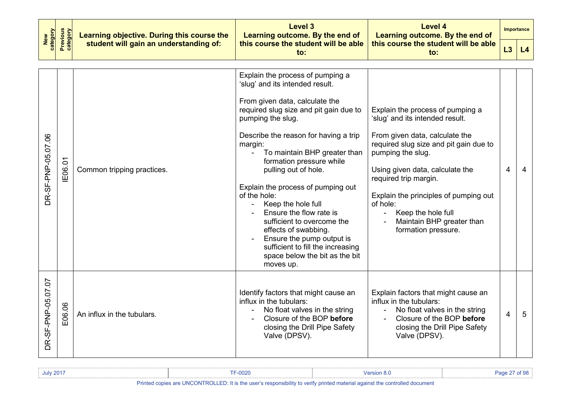|                    |                                                                | Learning objective. During this course the | <b>Level 3</b><br>Learning outcome. By the end of                                                                                                                                                                                                                                                                                                                                                                                                                                                                                                                                                                              | Level 4<br>Learning outcome. By the end of                                                                                                                                                                                                                                                                                                                                                          |                          | <b>Importance</b> |
|--------------------|----------------------------------------------------------------|--------------------------------------------|--------------------------------------------------------------------------------------------------------------------------------------------------------------------------------------------------------------------------------------------------------------------------------------------------------------------------------------------------------------------------------------------------------------------------------------------------------------------------------------------------------------------------------------------------------------------------------------------------------------------------------|-----------------------------------------------------------------------------------------------------------------------------------------------------------------------------------------------------------------------------------------------------------------------------------------------------------------------------------------------------------------------------------------------------|--------------------------|-------------------|
| New<br>category    | Previous<br>category<br>student will gain an understanding of: |                                            | this course the student will be able<br>to:                                                                                                                                                                                                                                                                                                                                                                                                                                                                                                                                                                                    | this course the student will be able<br>to:                                                                                                                                                                                                                                                                                                                                                         |                          | L4                |
| DR-SF-PNP-05.07.06 | IE06.01                                                        | Common tripping practices.                 | Explain the process of pumping a<br>'slug' and its intended result.<br>From given data, calculate the<br>required slug size and pit gain due to<br>pumping the slug.<br>Describe the reason for having a trip<br>margin:<br>To maintain BHP greater than<br>$\blacksquare$<br>formation pressure while<br>pulling out of hole.<br>Explain the process of pumping out<br>of the hole:<br>Keep the hole full<br>$\blacksquare$<br>Ensure the flow rate is<br>sufficient to overcome the<br>effects of swabbing.<br>Ensure the pump output is<br>sufficient to fill the increasing<br>space below the bit as the bit<br>moves up. | Explain the process of pumping a<br>'slug' and its intended result.<br>From given data, calculate the<br>required slug size and pit gain due to<br>pumping the slug.<br>Using given data, calculate the<br>required trip margin.<br>Explain the principles of pumping out<br>of hole:<br>Keep the hole full<br>$\blacksquare$<br>Maintain BHP greater than<br>$\blacksquare$<br>formation pressure. | $\overline{\mathcal{A}}$ | $\overline{4}$    |
| DR-SF-PNP-05.07.07 | E06.06                                                         | An influx in the tubulars.                 | Identify factors that might cause an<br>influx in the tubulars:<br>No float valves in the string<br>Closure of the BOP before<br>closing the Drill Pipe Safety<br>Valve (DPSV).                                                                                                                                                                                                                                                                                                                                                                                                                                                | Explain factors that might cause an<br>influx in the tubulars:<br>No float valves in the string<br>$\mathbf{r}$<br>Closure of the BOP before<br>closing the Drill Pipe Safety<br>Valve (DPSV).                                                                                                                                                                                                      | 4                        | 5                 |

| <b>July 2017</b> | <b>TF-0020</b>                                                                                                                                                                                                                                                                                   | Version 8.0                                                                                                     | Page 27 of 98 |
|------------------|--------------------------------------------------------------------------------------------------------------------------------------------------------------------------------------------------------------------------------------------------------------------------------------------------|-----------------------------------------------------------------------------------------------------------------|---------------|
| .                | $\mathbf{r}$ and $\mathbf{r}$ are $\mathbf{r}$ and $\mathbf{r}$ and $\mathbf{r}$ are $\mathbf{r}$ and $\mathbf{r}$ are $\mathbf{r}$ and $\mathbf{r}$ are $\mathbf{r}$ and $\mathbf{r}$ are $\mathbf{r}$ and $\mathbf{r}$ are $\mathbf{r}$ and $\mathbf{r}$ are $\mathbf{r}$ and $\mathbf{r}$ are | the contract of the contract of the contract of the contract of the contract of the contract of the contract of |               |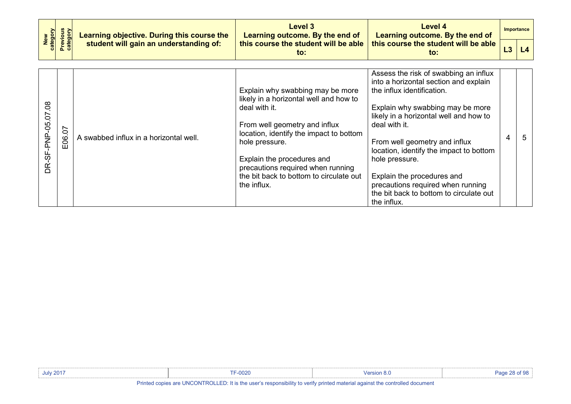|                                   | New<br>category<br><b>Previous</b><br>category<br>Learning objective. During this course the |                                        | Level 3<br>Learning outcome. By the end of                                                                                                                                                                                                                                                                             | <b>Level 4</b><br>Learning outcome. By the end of                                                                                                                                                                                                                                                                                                                                                                                      |   | Importance |
|-----------------------------------|----------------------------------------------------------------------------------------------|----------------------------------------|------------------------------------------------------------------------------------------------------------------------------------------------------------------------------------------------------------------------------------------------------------------------------------------------------------------------|----------------------------------------------------------------------------------------------------------------------------------------------------------------------------------------------------------------------------------------------------------------------------------------------------------------------------------------------------------------------------------------------------------------------------------------|---|------------|
|                                   |                                                                                              | student will gain an understanding of: | this course the student will be able<br>$\mathsf{to}$ :                                                                                                                                                                                                                                                                | this course the student will be able<br>to:                                                                                                                                                                                                                                                                                                                                                                                            |   | L4         |
| $\overline{0}$<br>DR-SF-PNP-05.07 | E06.07                                                                                       | A swabbed influx in a horizontal well. | Explain why swabbing may be more<br>likely in a horizontal well and how to<br>deal with it.<br>From well geometry and influx<br>location, identify the impact to bottom<br>hole pressure.<br>Explain the procedures and<br>precautions required when running<br>the bit back to bottom to circulate out<br>the influx. | Assess the risk of swabbing an influx<br>into a horizontal section and explain<br>the influx identification.<br>Explain why swabbing may be more<br>likely in a horizontal well and how to<br>deal with it.<br>From well geometry and influx<br>location, identify the impact to bottom<br>hole pressure.<br>Explain the procedures and<br>precautions required when running<br>the bit back to bottom to circulate out<br>the influx. | 4 | 5          |

| <b>July 2017</b> | $\sum_{n=1}^{\infty}$<br>υυ∠ι | 10r<br>. |  |
|------------------|-------------------------------|----------|--|
|                  |                               |          |  |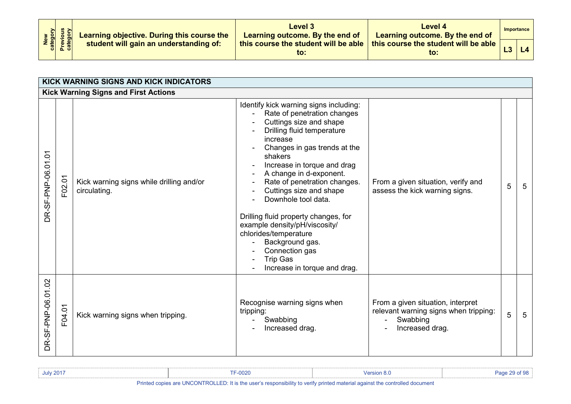| New<br>Category<br>Previous<br>Category | Learning objective. During this course the | Level 3<br>Learning outcome. By the end of  | Level 4<br>Learning outcome. By the end of              | Importance |
|-----------------------------------------|--------------------------------------------|---------------------------------------------|---------------------------------------------------------|------------|
|                                         | student will gain an understanding of:     | this course the student will be able<br>to: | this course the student will be able $\parallel$<br>to: | L4         |

<span id="page-28-1"></span><span id="page-28-0"></span>

|                        | KICK WARNING SIGNS AND KICK INDICATORS      |                                                          |                                                                                                                                                                                                                                                                                                                                                                                                                                                                                                                             |                                                                                                           |   |                 |  |  |  |  |
|------------------------|---------------------------------------------|----------------------------------------------------------|-----------------------------------------------------------------------------------------------------------------------------------------------------------------------------------------------------------------------------------------------------------------------------------------------------------------------------------------------------------------------------------------------------------------------------------------------------------------------------------------------------------------------------|-----------------------------------------------------------------------------------------------------------|---|-----------------|--|--|--|--|
|                        | <b>Kick Warning Signs and First Actions</b> |                                                          |                                                                                                                                                                                                                                                                                                                                                                                                                                                                                                                             |                                                                                                           |   |                 |  |  |  |  |
| -SF-PNP-06.01.01<br>ΒĖ | F02.01                                      | Kick warning signs while drilling and/or<br>circulating. | Identify kick warning signs including:<br>Rate of penetration changes<br>Cuttings size and shape<br>Drilling fluid temperature<br>increase<br>Changes in gas trends at the<br>shakers<br>Increase in torque and drag<br>A change in d-exponent.<br>Rate of penetration changes.<br>Cuttings size and shape<br>Downhole tool data.<br>Drilling fluid property changes, for<br>example density/pH/viscosity/<br>chlorides/temperature<br>Background gas.<br>Connection gas<br><b>Trip Gas</b><br>Increase in torque and drag. | From a given situation, verify and<br>assess the kick warning signs.                                      | 5 | 5               |  |  |  |  |
| DR-SF-PNP-06.01.02     | F04.01                                      | Kick warning signs when tripping.                        | Recognise warning signs when<br>tripping:<br>Swabbing<br>Increased drag.                                                                                                                                                                                                                                                                                                                                                                                                                                                    | From a given situation, interpret<br>relevant warning signs when tripping:<br>Swabbing<br>Increased drag. | 5 | $5\phantom{.0}$ |  |  |  |  |

| <b>July 2017</b> | <b>TF-0020</b>                                                                                                                                                                                                                                                                                              | <b>Version 8.0</b>                                                                                              | Page 29 of 90 |
|------------------|-------------------------------------------------------------------------------------------------------------------------------------------------------------------------------------------------------------------------------------------------------------------------------------------------------------|-----------------------------------------------------------------------------------------------------------------|---------------|
| .                | $\mathbf{u}$ , $\mathbf{u}$ , $\mathbf{u}$ , $\mathbf{u}$ , $\mathbf{u}$ , $\mathbf{u}$ , $\mathbf{u}$ , $\mathbf{u}$ , $\mathbf{u}$ , $\mathbf{u}$ , $\mathbf{u}$ , $\mathbf{u}$ , $\mathbf{u}$ , $\mathbf{u}$ , $\mathbf{u}$ , $\mathbf{u}$ , $\mathbf{u}$ , $\mathbf{u}$ , $\mathbf{u}$ , $\mathbf{u}$ , | the contract of the contract of the contract of the contract of the contract of the contract of the contract of |               |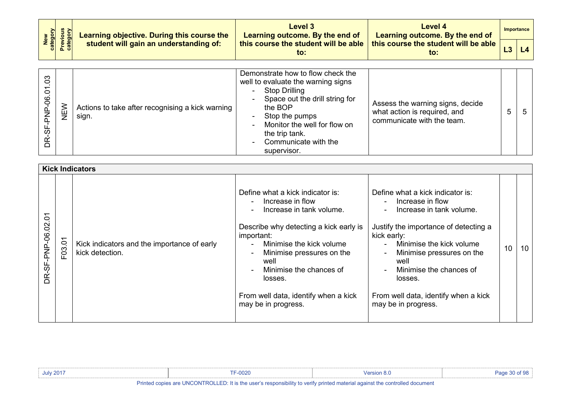|                                    | <b>Previous</b><br>category | Learning objective. During this course the<br>student will gain an understanding of: | Level 3<br>Learning outcome. By the end of                                                                                                                                                                         | Level 4<br>Learning outcome. By the end of<br>this course the student will be able<br>to:      |   | <b>Importance</b> |
|------------------------------------|-----------------------------|--------------------------------------------------------------------------------------|--------------------------------------------------------------------------------------------------------------------------------------------------------------------------------------------------------------------|------------------------------------------------------------------------------------------------|---|-------------------|
| New<br>category                    |                             |                                                                                      | this course the student will be able<br>to:                                                                                                                                                                        |                                                                                                |   | L4                |
|                                    |                             |                                                                                      | Demonstrate how to flow check the                                                                                                                                                                                  |                                                                                                |   |                   |
| $\overline{0}3$<br>DR-SF-PNP-06.01 | NEW                         | Actions to take after recognising a kick warning<br>sign.                            | well to evaluate the warning signs<br><b>Stop Drilling</b><br>Space out the drill string for<br>the BOP<br>Stop the pumps<br>Monitor the well for flow on<br>the trip tank.<br>Communicate with the<br>supervisor. | Assess the warning signs, decide<br>what action is required, and<br>communicate with the team. | 5 | 5                 |

<span id="page-29-0"></span>

|                    | <b>Kick Indicators</b> |                                                                |                                                                                                                                                                                                                                                                                                                |                                                                                                                                                                                                                                                                                                                                                                      |                 |    |  |  |  |  |
|--------------------|------------------------|----------------------------------------------------------------|----------------------------------------------------------------------------------------------------------------------------------------------------------------------------------------------------------------------------------------------------------------------------------------------------------------|----------------------------------------------------------------------------------------------------------------------------------------------------------------------------------------------------------------------------------------------------------------------------------------------------------------------------------------------------------------------|-----------------|----|--|--|--|--|
| DR-SF-PNP-06.02.01 | F03.01                 | Kick indicators and the importance of early<br>kick detection. | Define what a kick indicator is:<br>Increase in flow<br>Increase in tank volume.<br>Describe why detecting a kick early is<br>important:<br>Minimise the kick volume<br>Minimise pressures on the<br>well<br>Minimise the chances of<br>losses.<br>From well data, identify when a kick<br>may be in progress. | Define what a kick indicator is:<br>Increase in flow<br>$\blacksquare$<br>Increase in tank volume.<br>$\blacksquare$<br>Justify the importance of detecting a<br>kick early:<br>Minimise the kick volume<br>Minimise pressures on the<br>$\blacksquare$<br>well<br>Minimise the chances of<br>losses.<br>From well data, identify when a kick<br>may be in progress. | 10 <sup>1</sup> | 10 |  |  |  |  |

| <b>July 2017</b>                                                                                                                    | F-0020 | Version 8.0 |  |  |  |  |  |
|-------------------------------------------------------------------------------------------------------------------------------------|--------|-------------|--|--|--|--|--|
| Dalasta a carlor and HNOONTDOH ED. It is the model associated in the main advised accepted a controlled and security at the company |        |             |  |  |  |  |  |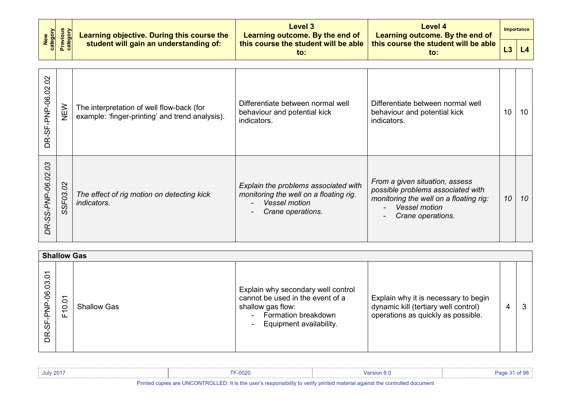| New<br>Category<br>Previous<br>Category | Learning objective. During this course the | <b>Level 3</b><br>Learning outcome. By the end of | Level 4<br>Learning outcome. By the end of              | Importance |
|-----------------------------------------|--------------------------------------------|---------------------------------------------------|---------------------------------------------------------|------------|
|                                         | student will gain an understanding of:     | this course the student will be able<br>to:       | this course the student will be able $\parallel$<br>to: |            |

| $\Omega$<br>-SF-PNP-06.02<br>BŘ    | NEW                      | The interpretation of well flow-back (for<br>example: 'finger-printing' and trend analysis). | Differentiate between normal well<br>behaviour and potential kick<br>indicators.                                                                        | Differentiate between normal well<br>behaviour and potential kick<br>indicators.                                                                           | 10 | 10 |
|------------------------------------|--------------------------|----------------------------------------------------------------------------------------------|---------------------------------------------------------------------------------------------------------------------------------------------------------|------------------------------------------------------------------------------------------------------------------------------------------------------------|----|----|
| $\mathcal{O}3$<br>DR-SS-PNP-06.02. | $\overline{O}$<br>SSF03. | The effect of rig motion on detecting kick<br><i>indicators.</i>                             | Explain the problems associated with<br>monitoring the well on a floating rig.<br><b>Vessel motion</b><br>$\overline{\phantom{0}}$<br>Crane operations. | From a given situation, assess<br>possible problems associated with<br>monitoring the well on a floating rig:<br><b>Vessel motion</b><br>Crane operations. | 10 | 10 |

<span id="page-30-0"></span>

|                                           | <b>Shallow Gas</b>                                               |                    |                                                                                                                                                         |                                                                                                                    |   |   |  |  |  |
|-------------------------------------------|------------------------------------------------------------------|--------------------|---------------------------------------------------------------------------------------------------------------------------------------------------------|--------------------------------------------------------------------------------------------------------------------|---|---|--|--|--|
| $\circ$<br>03<br>$\overline{6}$<br>ᢆ<br>∩ | $\overline{5}$<br>$\dot{\circ}$<br>$\overline{\phantom{0}}$<br>ட | <b>Shallow Gas</b> | Explain why secondary well control<br>cannot be used in the event of a<br>shallow gas flow:<br>Formation breakdown<br>Equipment availability.<br>$\sim$ | Explain why it is necessary to begin<br>dynamic kill (tertiary well control)<br>operations as quickly as possible. | 4 | 3 |  |  |  |

| <b>July 2017</b>                                                                                                            | F-0020 | Version 8.0 |  |  |  |  |  |
|-----------------------------------------------------------------------------------------------------------------------------|--------|-------------|--|--|--|--|--|
| Printed copies are UNCONTROLLED: It is the user's responsibility to verify printed material against the controlled document |        |             |  |  |  |  |  |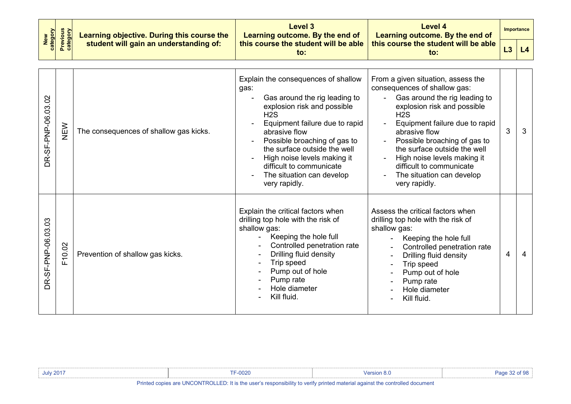| New<br>Category<br>Previous<br>Category | Learning objective. During this course the | Level 3<br>Learning outcome. By the end of  | Level 4<br>Learning outcome. By the end of  | Importance |
|-----------------------------------------|--------------------------------------------|---------------------------------------------|---------------------------------------------|------------|
|                                         | student will gain an understanding of:     | this course the student will be able<br>to: | this course the student will be able<br>to: | L4         |

| DR-SF-PNP-06.03.02                 | NEW    | The consequences of shallow gas kicks. | Explain the consequences of shallow<br>gas:<br>Gas around the rig leading to<br>explosion risk and possible<br>H2S<br>Equipment failure due to rapid<br>abrasive flow<br>Possible broaching of gas to<br>the surface outside the well<br>High noise levels making it<br>difficult to communicate<br>The situation can develop<br>very rapidly. | From a given situation, assess the<br>consequences of shallow gas:<br>Gas around the rig leading to<br>$\blacksquare$<br>explosion risk and possible<br>H2S<br>Equipment failure due to rapid<br>abrasive flow<br>Possible broaching of gas to<br>the surface outside the well<br>High noise levels making it<br>difficult to communicate<br>The situation can develop<br>very rapidly. | 3 | 3              |
|------------------------------------|--------|----------------------------------------|------------------------------------------------------------------------------------------------------------------------------------------------------------------------------------------------------------------------------------------------------------------------------------------------------------------------------------------------|-----------------------------------------------------------------------------------------------------------------------------------------------------------------------------------------------------------------------------------------------------------------------------------------------------------------------------------------------------------------------------------------|---|----------------|
| $\overline{0}3$<br>DR-SF-PNP-06.03 | F10.02 | Prevention of shallow gas kicks.       | Explain the critical factors when<br>drilling top hole with the risk of<br>shallow gas:<br>Keeping the hole full<br>Controlled penetration rate<br>Drilling fluid density<br>Trip speed<br>Pump out of hole<br>Pump rate<br>Hole diameter<br>Kill fluid.                                                                                       | Assess the critical factors when<br>drilling top hole with the risk of<br>shallow gas:<br>Keeping the hole full<br>$\blacksquare$<br>Controlled penetration rate<br>Drilling fluid density<br>Trip speed<br>Pump out of hole<br>Pump rate<br>Hole diameter<br>Kill fluid.                                                                                                               | 4 | $\overline{4}$ |

| <b>July 2017</b>                                                                                                            | F-0020 |  |  |  |  |
|-----------------------------------------------------------------------------------------------------------------------------|--------|--|--|--|--|
| Printed copies are UNCONTROLLED: It is the user's responsibility to verify printed material against the controlled document |        |  |  |  |  |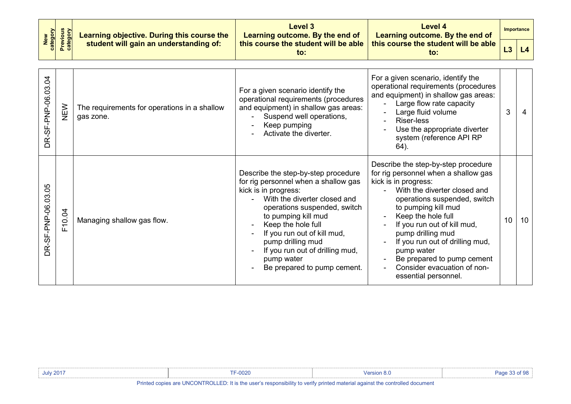|                        |                             | Learning objective. During this course the                | Level 3<br>Learning outcome. By the end of                                                                                                                                                                                                                                                                                                           | <b>Level 4</b><br>Learning outcome. By the end of                                                                                                                                                                                                                                                                                                                                                          |    | <b>Importance</b> |
|------------------------|-----------------------------|-----------------------------------------------------------|------------------------------------------------------------------------------------------------------------------------------------------------------------------------------------------------------------------------------------------------------------------------------------------------------------------------------------------------------|------------------------------------------------------------------------------------------------------------------------------------------------------------------------------------------------------------------------------------------------------------------------------------------------------------------------------------------------------------------------------------------------------------|----|-------------------|
| category<br><b>New</b> | <b>Previous</b><br>category | student will gain an understanding of:                    | this course the student will be able<br>$\mathsf{to}$ :                                                                                                                                                                                                                                                                                              | this course the student will be able<br>$\mathsf{to}$ :                                                                                                                                                                                                                                                                                                                                                    | L3 | L4                |
| -SF-PNP-06.03.04<br>ΒŘ | NEW                         | The requirements for operations in a shallow<br>gas zone. | For a given scenario identify the<br>operational requirements (procedures<br>and equipment) in shallow gas areas:<br>Suspend well operations,<br>Keep pumping<br>Activate the diverter.                                                                                                                                                              | For a given scenario, identify the<br>operational requirements (procedures<br>and equipment) in shallow gas areas:<br>Large flow rate capacity<br>Large fluid volume<br><b>Riser-less</b><br>Use the appropriate diverter<br>system (reference API RP<br>64).                                                                                                                                              | 3  | 4                 |
| DR-SF-PNP-06.03.05     | F10.04                      | Managing shallow gas flow.                                | Describe the step-by-step procedure<br>for rig personnel when a shallow gas<br>kick is in progress:<br>With the diverter closed and<br>operations suspended, switch<br>to pumping kill mud<br>Keep the hole full<br>If you run out of kill mud,<br>pump drilling mud<br>If you run out of drilling mud,<br>pump water<br>Be prepared to pump cement. | Describe the step-by-step procedure<br>for rig personnel when a shallow gas<br>kick is in progress:<br>With the diverter closed and<br>operations suspended, switch<br>to pumping kill mud<br>Keep the hole full<br>If you run out of kill mud,<br>pump drilling mud<br>If you run out of drilling mud,<br>pump water<br>Be prepared to pump cement<br>Consider evacuation of non-<br>essential personnel. | 10 | 10                |

| <b>July 2017</b> | $\sim$ $\sim$<br>·υυzι                                                                                                      |  |
|------------------|-----------------------------------------------------------------------------------------------------------------------------|--|
|                  | Drinted copies are UNCONTROLLED. It is the user's responsibility to verify printed material equipat the controlled desument |  |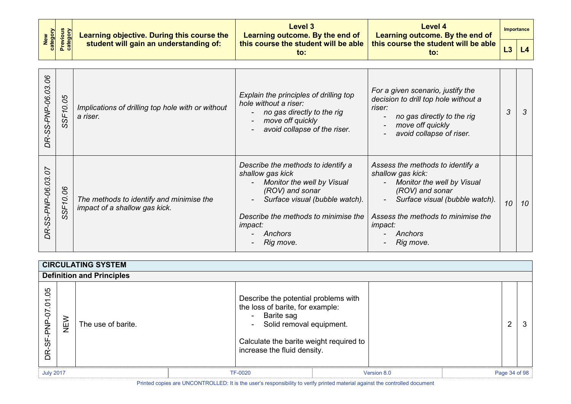| New<br>Category<br>Previous<br>Category | Learning objective. During this course the | Level 3<br>Learning outcome. By the end of  | Level 4<br>Learning outcome. By the end of  | Importance |
|-----------------------------------------|--------------------------------------------|---------------------------------------------|---------------------------------------------|------------|
|                                         | student will gain an understanding of:     | this course the student will be able<br>to: | this course the student will be able<br>to: |            |

| $\delta$<br>$\overline{c}$<br>-SS-PNP-06. | 80<br>S<br>56<br><sub>0</sub>               | Implications of drilling top hole with or without<br>a riser.             | Explain the principles of drilling top<br>hole without a riser:<br>no gas directly to the rig<br>move off quickly<br>avoid collapse of the riser.                                                                           | For a given scenario, justify the<br>decision to drill top hole without a<br>riser:<br>no gas directly to the rig<br>$\blacksquare$<br>move off quickly<br>avoid collapse of riser.                                                        | 3  | 3  |
|-------------------------------------------|---------------------------------------------|---------------------------------------------------------------------------|-----------------------------------------------------------------------------------------------------------------------------------------------------------------------------------------------------------------------------|--------------------------------------------------------------------------------------------------------------------------------------------------------------------------------------------------------------------------------------------|----|----|
| 5C<br>SS-PNP-06.03<br>DŔ,                 | $\delta$<br>$\circ$<br>Sé<br>$\mathfrak{O}$ | The methods to identify and minimise the<br>impact of a shallow gas kick. | Describe the methods to identify a<br>shallow gas kick<br>Monitor the well by Visual<br>(ROV) and sonar<br>Surface visual (bubble watch).<br>Describe the methods to minimise the<br><i>impact:</i><br>Anchors<br>Rig move. | Assess the methods to identify a<br>shallow gas kick:<br>Monitor the well by Visual<br>$\blacksquare$<br>(ROV) and sonar<br>Surface visual (bubble watch).<br>Assess the methods to minimise the<br><i>impact:</i><br>Anchors<br>Rig move. | 10 | 10 |

<span id="page-33-1"></span><span id="page-33-0"></span>

|                                   | <b>CIRCULATING SYSTEM</b>        |                    |  |                                                                                                                                                                                              |  |             |                |   |
|-----------------------------------|----------------------------------|--------------------|--|----------------------------------------------------------------------------------------------------------------------------------------------------------------------------------------------|--|-------------|----------------|---|
|                                   | <b>Definition and Principles</b> |                    |  |                                                                                                                                                                                              |  |             |                |   |
| 05<br>$\tilde{c}$<br>DR-SF-PNP-07 | NEW                              | The use of barite. |  | Describe the potential problems with<br>the loss of barite, for example:<br>Barite sag<br>Solid removal equipment.<br>Calculate the barite weight required to<br>increase the fluid density. |  |             | $\overline{2}$ | 3 |
| <b>July 2017</b>                  |                                  |                    |  | <b>TF-0020</b>                                                                                                                                                                               |  | Version 8.0 | Page 34 of 98  |   |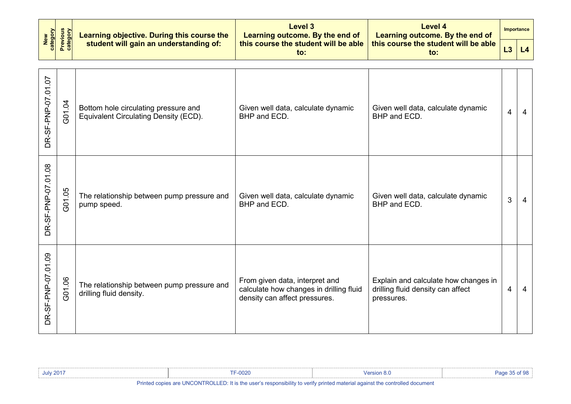| New<br>category    | <b>Previous</b><br>category | Learning objective. During this course the                                    | <b>Level 3</b><br>Learning outcome. By the end of                                                          | <b>Level 4</b><br>Learning outcome. By the end of                                       |                | <b>Importance</b> |
|--------------------|-----------------------------|-------------------------------------------------------------------------------|------------------------------------------------------------------------------------------------------------|-----------------------------------------------------------------------------------------|----------------|-------------------|
|                    |                             | student will gain an understanding of:                                        | this course the student will be able<br>to:                                                                | this course the student will be able<br>to:                                             | L3             | L4                |
| DR-SF-PNP-07.01.07 | G01.04                      | Bottom hole circulating pressure and<br>Equivalent Circulating Density (ECD). | Given well data, calculate dynamic<br>BHP and ECD.                                                         | Given well data, calculate dynamic<br>BHP and ECD.                                      | $\overline{4}$ | 4                 |
| DR-SF-PNP-07.01.08 | G01.05                      | The relationship between pump pressure and<br>pump speed.                     | Given well data, calculate dynamic<br>BHP and ECD.                                                         | Given well data, calculate dynamic<br>BHP and ECD.                                      | 3              | 4                 |
| DR-SF-PNP-07.01.09 | G01.06                      | The relationship between pump pressure and<br>drilling fluid density.         | From given data, interpret and<br>calculate how changes in drilling fluid<br>density can affect pressures. | Explain and calculate how changes in<br>drilling fluid density can affect<br>pressures. | 4              | 4                 |

| <b>July 2017</b> | <b>TF-0020</b>       | <b>Version 8.0</b>                                                                                              | Page 35 of 98 |
|------------------|----------------------|-----------------------------------------------------------------------------------------------------------------|---------------|
| .                | $\cdots$<br>$\cdots$ | the contract of the contract of the contract of the contract of the contract of the contract of the contract of |               |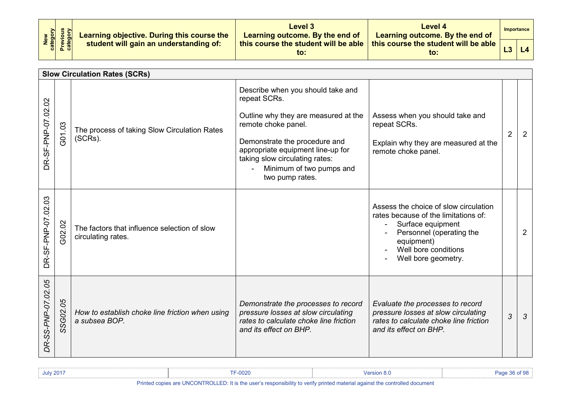| New<br>Category<br>Previous<br>Category | Learning objective. During this course the | Level 3<br>Learning outcome. By the end of  | Level 4<br>Learning outcome. By the end of  | Importance |
|-----------------------------------------|--------------------------------------------|---------------------------------------------|---------------------------------------------|------------|
|                                         | student will gain an understanding of:     | this course the student will be able<br>to: | this course the student will be able<br>to: |            |

<span id="page-35-0"></span>

|                    |              | <b>Slow Circulation Rates (SCRs)</b>                               |                                                                                                                                                                                                                                                                         |                                                                                                                                                                                                               |                |                |
|--------------------|--------------|--------------------------------------------------------------------|-------------------------------------------------------------------------------------------------------------------------------------------------------------------------------------------------------------------------------------------------------------------------|---------------------------------------------------------------------------------------------------------------------------------------------------------------------------------------------------------------|----------------|----------------|
| DR-SF-PNP-07.02.02 | G01.03       | The process of taking Slow Circulation Rates<br>(SCRs).            | Describe when you should take and<br>repeat SCRs.<br>Outline why they are measured at the<br>remote choke panel.<br>Demonstrate the procedure and<br>appropriate equipment line-up for<br>taking slow circulating rates:<br>Minimum of two pumps and<br>two pump rates. | Assess when you should take and<br>repeat SCRs.<br>Explain why they are measured at the<br>remote choke panel.                                                                                                | $\overline{2}$ | 2              |
| DR-SF-PNP-07.02.03 | G02.02       | The factors that influence selection of slow<br>circulating rates. |                                                                                                                                                                                                                                                                         | Assess the choice of slow circulation<br>rates because of the limitations of:<br>Surface equipment<br>$\blacksquare$<br>Personnel (operating the<br>equipment)<br>Well bore conditions<br>Well bore geometry. |                | $\overline{2}$ |
| DR-SS-PNP-07.02.05 | 80<br>SSG02. | How to establish choke line friction when using<br>a subsea BOP.   | Demonstrate the processes to record<br>pressure losses at slow circulating<br>rates to calculate choke line friction<br>and its effect on BHP.                                                                                                                          | Evaluate the processes to record<br>pressure losses at slow circulating<br>rates to calculate choke line friction<br>and its effect on BHP.                                                                   | 3              | $\mathcal{S}$  |

| <b>July 2017</b>                                                                                                                                                                                                                     | 0000<br>JUZU |  |  |
|--------------------------------------------------------------------------------------------------------------------------------------------------------------------------------------------------------------------------------------|--------------|--|--|
| <b>BALLARY LINGONTBOLLED BALLARY AND A MARCH AND A MARCH AND A MODEL CONTROLLED BALLARY AND A MODEL CONTROLLED BALLARY AND A MODEL CONTROLLED BALLARY AND A MODEL CONTROLLED BALLARY AND A MODEL CONTROLLED BALLARY AND A MODEL </b> |              |  |  |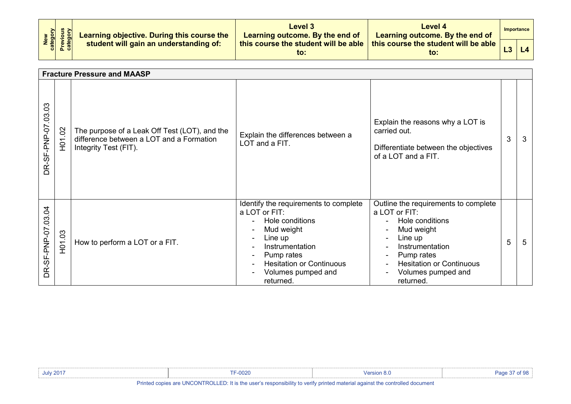| New<br>Category<br>Previous<br>Category | Learning objective. During this course the | Level 3<br>Learning outcome. By the end of  | Level 4<br>Learning outcome. By the end of  | <b>Importance</b> |
|-----------------------------------------|--------------------------------------------|---------------------------------------------|---------------------------------------------|-------------------|
|                                         | student will gain an understanding of:     | this course the student will be able<br>to: | this course the student will be able<br>to: |                   |

|                    | <b>Fracture Pressure and MAASP</b> |                                                                                                                    |                                                                                                                                                                                                                                                         |                                                                                                                                                                                                          |   |   |  |
|--------------------|------------------------------------|--------------------------------------------------------------------------------------------------------------------|---------------------------------------------------------------------------------------------------------------------------------------------------------------------------------------------------------------------------------------------------------|----------------------------------------------------------------------------------------------------------------------------------------------------------------------------------------------------------|---|---|--|
| DR-SF-PNP-07.03.03 | H01.02                             | The purpose of a Leak Off Test (LOT), and the<br>difference between a LOT and a Formation<br>Integrity Test (FIT). | Explain the differences between a<br>LOT and a FIT.                                                                                                                                                                                                     | Explain the reasons why a LOT is<br>carried out.<br>Differentiate between the objectives<br>of a LOT and a FIT.                                                                                          | 3 | 3 |  |
| DR-SF-PNP-07.03.04 | 03<br>E                            | How to perform a LOT or a FIT.                                                                                     | Identify the requirements to complete<br>a LOT or FIT:<br>Hole conditions<br>Mud weight<br>Line up<br>Instrumentation<br>Pump rates<br>$\overline{\phantom{a}}$<br><b>Hesitation or Continuous</b><br>Volumes pumped and<br>$\blacksquare$<br>returned. | Outline the requirements to complete<br>a LOT or FIT:<br>Hole conditions<br>Mud weight<br>Line up<br>Instrumentation<br>Pump rates<br><b>Hesitation or Continuous</b><br>Volumes pumped and<br>returned. | 5 | 5 |  |

| <b>July 2017</b>                                                                                                                         | F-0020 |  |  |  |  |  |  |
|------------------------------------------------------------------------------------------------------------------------------------------|--------|--|--|--|--|--|--|
| $\omega$ nies are HNCONTROLLED: "<br>$\cup$ : It is the user's responsibility to verify printed material against the controlled document |        |  |  |  |  |  |  |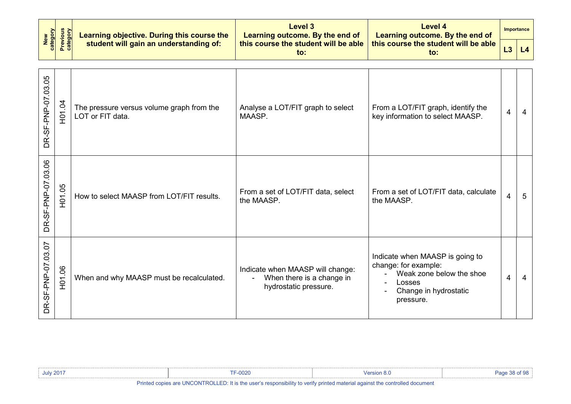| New<br>category    | <b>Previous</b><br>category | Learning objective. During this course the                    | <b>Level 3</b><br>Learning outcome. By the end of                                                        | <b>Level 4</b><br>Learning outcome. By the end of                                                                                                     |    | Importance |
|--------------------|-----------------------------|---------------------------------------------------------------|----------------------------------------------------------------------------------------------------------|-------------------------------------------------------------------------------------------------------------------------------------------------------|----|------------|
|                    |                             | student will gain an understanding of:                        | this course the student will be able<br>$\mathsf{to}$ :                                                  | this course the student will be able<br>to:                                                                                                           | L3 | L4         |
| DR-SF-PNP-07.03.05 | H01.04                      | The pressure versus volume graph from the<br>LOT or FIT data. | Analyse a LOT/FIT graph to select<br>MAASP.                                                              | From a LOT/FIT graph, identify the<br>key information to select MAASP.                                                                                | 4  | 4          |
| DR-SF-PNP-07.03.06 | H01.05                      | How to select MAASP from LOT/FIT results.                     | From a set of LOT/FIT data, select<br>the MAASP.                                                         | From a set of LOT/FIT data, calculate<br>the MAASP.                                                                                                   | 4  | 5          |
| DR-SF-PNP-07.03.07 | H01.06                      | When and why MAASP must be recalculated.                      | Indicate when MAASP will change:<br>When there is a change in<br>$\blacksquare$<br>hydrostatic pressure. | Indicate when MAASP is going to<br>change: for example:<br>Weak zone below the shoe<br>$\blacksquare$<br>Losses<br>Change in hydrostatic<br>pressure. | 4  | 4          |

| <b>July 2017</b>                                                                                                      | F-0020 | Version 8.0 |  |  |  |  |  |
|-----------------------------------------------------------------------------------------------------------------------|--------|-------------|--|--|--|--|--|
| Dalaka al-aasiaa joo HNOONTDOHED. Bis ka maada saasaasiisiiki ka malki salaka asakaala aasiaakka jaaskalla al-amaaska |        |             |  |  |  |  |  |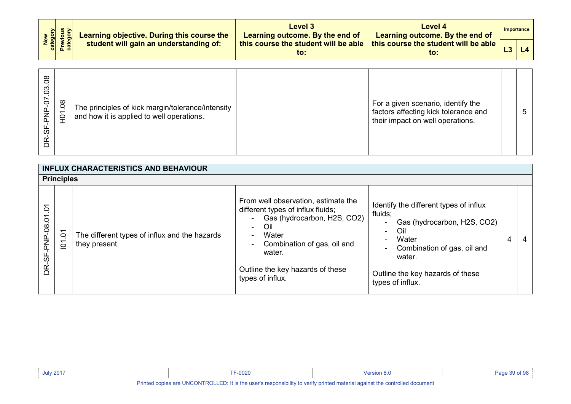| New<br>Category<br>Previous<br>Category | Learning objective. During this course the | Level 3<br>Learning outcome. By the end of  | Level 4<br>Learning outcome. By the end of  | Importance |
|-----------------------------------------|--------------------------------------------|---------------------------------------------|---------------------------------------------|------------|
|                                         | student will gain an understanding of:     | this course the student will be able<br>to: | this course the student will be able<br>to: |            |

| $\infty$<br>0<br>3<br>S<br>$\overline{0}$<br>$\overline{5}$<br>ഗ | The principles of kick margin/tolerance/intensity<br>and how it is applied to well operations. |  | For a given scenario, identify the<br>factors affecting kick tolerance and<br>their impact on well operations. |  |  |
|------------------------------------------------------------------|------------------------------------------------------------------------------------------------|--|----------------------------------------------------------------------------------------------------------------|--|--|
|------------------------------------------------------------------|------------------------------------------------------------------------------------------------|--|----------------------------------------------------------------------------------------------------------------|--|--|

|                      | <b>INFLUX CHARACTERISTICS AND BEHAVIOUR</b> |                                                                |                                                                                                                                                                                                                                                                        |                                                                                                                                                                                                                                                 |   |   |  |  |  |
|----------------------|---------------------------------------------|----------------------------------------------------------------|------------------------------------------------------------------------------------------------------------------------------------------------------------------------------------------------------------------------------------------------------------------------|-------------------------------------------------------------------------------------------------------------------------------------------------------------------------------------------------------------------------------------------------|---|---|--|--|--|
|                      | <b>Principles</b>                           |                                                                |                                                                                                                                                                                                                                                                        |                                                                                                                                                                                                                                                 |   |   |  |  |  |
| δ<br>DR-SF-PNP-08.01 | $\delta$<br>$\overline{5}$                  | The different types of influx and the hazards<br>they present. | From well observation, estimate the<br>different types of influx fluids;<br>Gas (hydrocarbon, H2S, CO2)<br>Oil<br>$\sim$<br>Water<br>$\blacksquare$<br>Combination of gas, oil and<br>$\blacksquare$<br>water.<br>Outline the key hazards of these<br>types of influx. | Identify the different types of influx<br>fluids;<br>Gas (hydrocarbon, H2S, CO2)<br>$\blacksquare$<br>Oil<br>$\overline{\phantom{a}}$<br>Water<br>Combination of gas, oil and<br>water.<br>Outline the key hazards of these<br>types of influx. | 4 | 4 |  |  |  |

| <b>July 2017</b>                                                                                                            | <b>F-0020</b> | Version 8.0 |  |  |  |  |  |
|-----------------------------------------------------------------------------------------------------------------------------|---------------|-------------|--|--|--|--|--|
| Printed copies are UNCONTROLLED: It is the user's responsibility to verify printed material against the controlled document |               |             |  |  |  |  |  |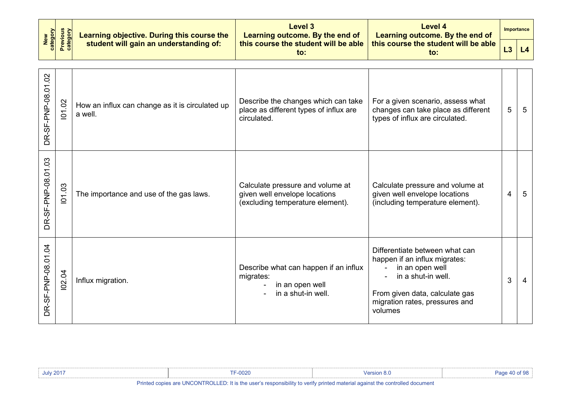| New<br>Category<br>Previous<br>Category | Learning objective. During this course the<br>student will gain an understanding of: | Level 3<br>Learning outcome. By the end of  | Level 4<br><b>Learning outcome. By the end of</b>           |  | Importance |
|-----------------------------------------|--------------------------------------------------------------------------------------|---------------------------------------------|-------------------------------------------------------------|--|------------|
|                                         |                                                                                      | this course the student will be able<br>to: | this course the student will be able $\mathsf{\mid}$<br>to: |  | $L3$ $L4$  |

| DR-SF-PNP-08.01.02 | 101.02 | How an influx can change as it is circulated up<br>a well. | Describe the changes which can take<br>place as different types of influx are<br>circulated.          | For a given scenario, assess what<br>changes can take place as different<br>types of influx are circulated.                                                                             | 5              | -5 |
|--------------------|--------|------------------------------------------------------------|-------------------------------------------------------------------------------------------------------|-----------------------------------------------------------------------------------------------------------------------------------------------------------------------------------------|----------------|----|
| DR-SF-PNP-08.01.03 | 101.03 | The importance and use of the gas laws.                    | Calculate pressure and volume at<br>given well envelope locations<br>(excluding temperature element). | Calculate pressure and volume at<br>given well envelope locations<br>(including temperature element).                                                                                   | $\overline{4}$ | -5 |
| DR-SF-PNP-08.01.04 | 102.04 | Influx migration.                                          | Describe what can happen if an influx<br>migrates:<br>in an open well<br>in a shut-in well.           | Differentiate between what can<br>happen if an influx migrates:<br>in an open well<br>in a shut-in well.<br>From given data, calculate gas<br>migration rates, pressures and<br>volumes | 3              | 4  |

| <b>July 2017</b>                                                                                                            | $F-0020$ | <b>Version 8</b> . | $P$ ane 40 of 98 |
|-----------------------------------------------------------------------------------------------------------------------------|----------|--------------------|------------------|
| Printed copies are UNCONTROLLED: It is the user's responsibility to verify printed material against the controlled document |          |                    |                  |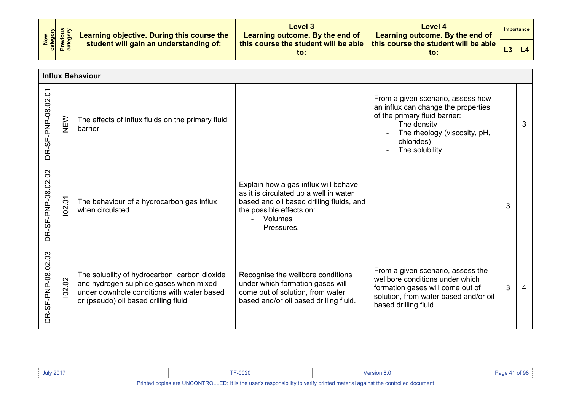| New<br>Category<br>Previous<br>Category |  | Learning objective. During this course the<br>student will gain an understanding of: | Level 3<br>Learning outcome. By the end of  | Level 4<br>Learning outcome. By the end of  | Importance |  |
|-----------------------------------------|--|--------------------------------------------------------------------------------------|---------------------------------------------|---------------------------------------------|------------|--|
|                                         |  |                                                                                      | this course the student will be able<br>to: | this course the student will be able<br>to: |            |  |

|                    | <b>Influx Behaviour</b> |                                                                                                                                                                                |                                                                                                                                                                                 |                                                                                                                                                                                           |   |   |  |  |  |
|--------------------|-------------------------|--------------------------------------------------------------------------------------------------------------------------------------------------------------------------------|---------------------------------------------------------------------------------------------------------------------------------------------------------------------------------|-------------------------------------------------------------------------------------------------------------------------------------------------------------------------------------------|---|---|--|--|--|
| DR-SF-PNP-08.02.01 | NEW                     | The effects of influx fluids on the primary fluid<br>barrier.                                                                                                                  |                                                                                                                                                                                 | From a given scenario, assess how<br>an influx can change the properties<br>of the primary fluid barrier:<br>The density<br>The rheology (viscosity, pH,<br>chlorides)<br>The solubility. |   | 3 |  |  |  |
| DR-SF-PNP-08.02.02 | 102.01                  | The behaviour of a hydrocarbon gas influx<br>when circulated.                                                                                                                  | Explain how a gas influx will behave<br>as it is circulated up a well in water<br>based and oil based drilling fluids, and<br>the possible effects on:<br>Volumes<br>Pressures. |                                                                                                                                                                                           | 3 |   |  |  |  |
| DR-SF-PNP-08.02.03 | 102.02                  | The solubility of hydrocarbon, carbon dioxide<br>and hydrogen sulphide gases when mixed<br>under downhole conditions with water based<br>or (pseudo) oil based drilling fluid. | Recognise the wellbore conditions<br>under which formation gases will<br>come out of solution, from water<br>based and/or oil based drilling fluid.                             | From a given scenario, assess the<br>wellbore conditions under which<br>formation gases will come out of<br>solution, from water based and/or oil<br>based drilling fluid.                | 3 | 4 |  |  |  |

| <b>July 2017</b>                                                                                                                                                                                                                            | F-0020 | <b>Version 8.u</b> |  |  |
|---------------------------------------------------------------------------------------------------------------------------------------------------------------------------------------------------------------------------------------------|--------|--------------------|--|--|
| <b>B</b> able of the contr <b>int ONTBOLLED</b> . If their considered and the contribution and contribution of the consideration of the consideration of the consideration of the consideration of the consideration of the consideration o |        |                    |  |  |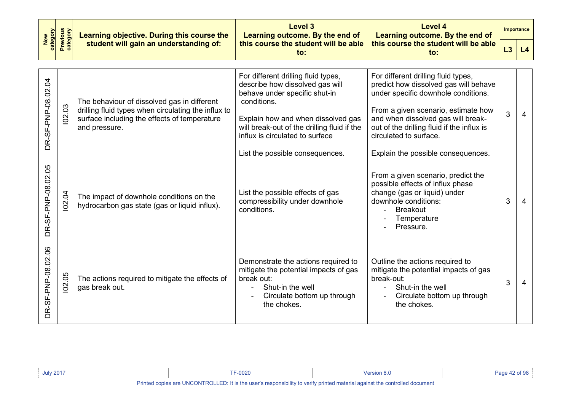| category<br><b>New</b> | <b>Previous</b><br>category | Learning objective. During this course the                                                                                                                          | Level 3<br>Learning outcome. By the end of                                                                                                                                                                                                                                        | <b>Level 4</b><br>Learning outcome. By the end of                                                                                                                                                                                                                                                              |    | <b>Importance</b> |
|------------------------|-----------------------------|---------------------------------------------------------------------------------------------------------------------------------------------------------------------|-----------------------------------------------------------------------------------------------------------------------------------------------------------------------------------------------------------------------------------------------------------------------------------|----------------------------------------------------------------------------------------------------------------------------------------------------------------------------------------------------------------------------------------------------------------------------------------------------------------|----|-------------------|
|                        |                             | student will gain an understanding of:                                                                                                                              | this course the student will be able<br>to:                                                                                                                                                                                                                                       | this course the student will be able<br>$\mathbf{to}$ :                                                                                                                                                                                                                                                        | L3 | L4                |
| DR-SF-PNP-08.02.04     | 102.03                      | The behaviour of dissolved gas in different<br>drilling fluid types when circulating the influx to<br>surface including the effects of temperature<br>and pressure. | For different drilling fluid types,<br>describe how dissolved gas will<br>behave under specific shut-in<br>conditions.<br>Explain how and when dissolved gas<br>will break-out of the drilling fluid if the<br>influx is circulated to surface<br>List the possible consequences. | For different drilling fluid types,<br>predict how dissolved gas will behave<br>under specific downhole conditions.<br>From a given scenario, estimate how<br>and when dissolved gas will break-<br>out of the drilling fluid if the influx is<br>circulated to surface.<br>Explain the possible consequences. | 3  | $\overline{4}$    |
| DR-SF-PNP-08.02.05     | 102.04                      | The impact of downhole conditions on the<br>hydrocarbon gas state (gas or liquid influx).                                                                           | List the possible effects of gas<br>compressibility under downhole<br>conditions.                                                                                                                                                                                                 | From a given scenario, predict the<br>possible effects of influx phase<br>change (gas or liquid) under<br>downhole conditions:<br><b>Breakout</b><br>Temperature<br>Pressure.                                                                                                                                  | 3  | 4                 |
| DR-SF-PNP-08.02.06     | 102.05                      | The actions required to mitigate the effects of<br>gas break out.                                                                                                   | Demonstrate the actions required to<br>mitigate the potential impacts of gas<br>break out:<br>Shut-in the well<br>Circulate bottom up through<br>the chokes.                                                                                                                      | Outline the actions required to<br>mitigate the potential impacts of gas<br>break-out:<br>Shut-in the well<br>Circulate bottom up through<br>the chokes.                                                                                                                                                       | 3  | 4                 |

| July 2017                                                                                                                                     | 0.000c<br>υυ∠ι |  |  |  |  |
|-----------------------------------------------------------------------------------------------------------------------------------------------|----------------|--|--|--|--|
| <b>D</b> atable in the contr <b>int ONTDOLLED</b> , if that he could be contributed to the above a second contribution of the contribution of |                |  |  |  |  |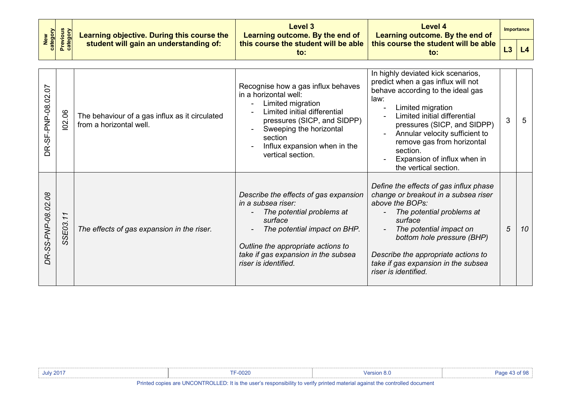|                              |                      | Learning objective. During this course the                                | <b>Level 3</b><br>Learning outcome. By the end of                                                                                                                                                                                          | <b>Level 4</b><br>Learning outcome. By the end of                                                                                                                                                                                                                                                                                                               |    | Importance |
|------------------------------|----------------------|---------------------------------------------------------------------------|--------------------------------------------------------------------------------------------------------------------------------------------------------------------------------------------------------------------------------------------|-----------------------------------------------------------------------------------------------------------------------------------------------------------------------------------------------------------------------------------------------------------------------------------------------------------------------------------------------------------------|----|------------|
| New<br>category              | Previous<br>category | student will gain an understanding of:                                    | this course the student will be able<br>$\mathsf{to}$ :                                                                                                                                                                                    | this course the student will be able<br>$\mathsf{to}$ :                                                                                                                                                                                                                                                                                                         | L3 | L4         |
| DR-SF-PNP-08.02.07           | 102.06               | The behaviour of a gas influx as it circulated<br>from a horizontal well. | Recognise how a gas influx behaves<br>in a horizontal well:<br>Limited migration<br>Limited initial differential<br>pressures (SICP, and SIDPP)<br>Sweeping the horizontal<br>section<br>Influx expansion when in the<br>vertical section. | In highly deviated kick scenarios,<br>predict when a gas influx will not<br>behave according to the ideal gas<br>law:<br>Limited migration<br>$\overline{a}$<br>Limited initial differential<br>pressures (SICP, and SIDPP)<br>Annular velocity sufficient to<br>remove gas from horizontal<br>section.<br>Expansion of influx when in<br>the vertical section. | 3  | 5          |
| $\delta$<br>DR-SS-PNP-08.02. | SSE03.11             | The effects of gas expansion in the riser.                                | Describe the effects of gas expansion<br>in a subsea riser:<br>The potential problems at<br>surface<br>The potential impact on BHP.<br>Outline the appropriate actions to<br>take if gas expansion in the subsea<br>riser is identified.   | Define the effects of gas influx phase<br>change or breakout in a subsea riser<br>above the BOPs:<br>The potential problems at<br>surface<br>The potential impact on<br>bottom hole pressure (BHP)<br>Describe the appropriate actions to<br>take if gas expansion in the subsea<br>riser is identified.                                                        | 5  | 10         |

| <b>July 2017</b> | מח י<br>∙υυ∠ι |  |  |
|------------------|---------------|--|--|
| Printad coniac   |               |  |  |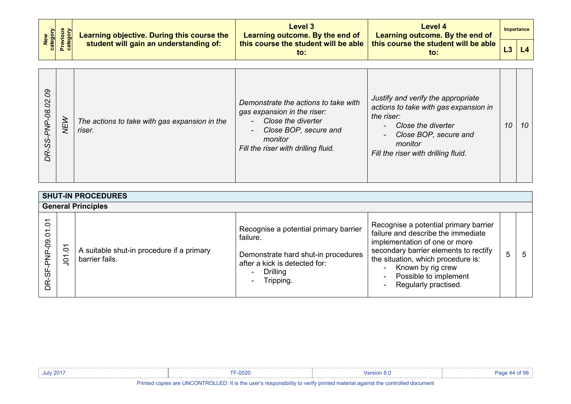| New<br>category<br>Previous<br>category |  | Learning objective. During this course the<br>student will gain an understanding of: | Level 3<br>Learning outcome. By the end of  | Level 4<br>Learning outcome. By the end of              | Importance |
|-----------------------------------------|--|--------------------------------------------------------------------------------------|---------------------------------------------|---------------------------------------------------------|------------|
|                                         |  |                                                                                      | this course the student will be able<br>to: | this course the student will be able $\parallel$<br>to: | L4         |

| <b>SHUT-IN PROCEDURES</b><br><b>General Principles</b> |                                                       |                                                             |                                                                                                                                                              |                                                                                                                                                                                                                                                                   |   |  |  |
|--------------------------------------------------------|-------------------------------------------------------|-------------------------------------------------------------|--------------------------------------------------------------------------------------------------------------------------------------------------------------|-------------------------------------------------------------------------------------------------------------------------------------------------------------------------------------------------------------------------------------------------------------------|---|--|--|
| 5<br>0.90<br>ō                                         | $\overline{\phantom{0}}$<br>$\circ$<br>$\overline{5}$ | A suitable shut-in procedure if a primary<br>barrier fails. | Recognise a potential primary barrier<br>failure.<br>Demonstrate hard shut-in procedures<br>after a kick is detected for:<br>Drilling<br>$\sim$<br>Tripping. | Recognise a potential primary barrier<br>failure and describe the immediate<br>implementation of one or more<br>secondary barrier elements to rectify<br>the situation, which procedure is:<br>Known by rig crew<br>Possible to implement<br>Regularly practised. | 5 |  |  |

| <b>July 2017</b> | $-0020$                          | Version 8.0                                                                                                                                                                                                                    |  |
|------------------|----------------------------------|--------------------------------------------------------------------------------------------------------------------------------------------------------------------------------------------------------------------------------|--|
| .                | $\cdots$<br><b>CARL PARK COM</b> | the contract of the contract of the contract of the contract of the contract of the contract of the contract of the contract of the contract of the contract of the contract of the contract of the contract of the contract o |  |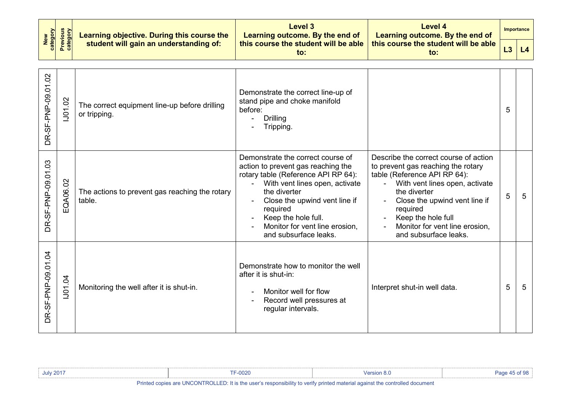| New<br>Category<br>Previous<br>Category |  | Learning objective. During this course the<br>student will gain an understanding of: | Level 3<br>Learning outcome. By the end of  | Level 4<br>Learning outcome. By the end of  | <b>Importance</b> |  |
|-----------------------------------------|--|--------------------------------------------------------------------------------------|---------------------------------------------|---------------------------------------------|-------------------|--|
|                                         |  |                                                                                      | this course the student will be able<br>to: | this course the student will be able<br>to: | L4                |  |

| DR-SF-PNP-09.01.02                | 1J01.02  | The correct equipment line-up before drilling<br>or tripping. | Demonstrate the correct line-up of<br>stand pipe and choke manifold<br>before:<br><b>Drilling</b><br>Tripping.                                                                                                                                                                                  |                                                                                                                                                                                                                                                                                             | 5 |   |
|-----------------------------------|----------|---------------------------------------------------------------|-------------------------------------------------------------------------------------------------------------------------------------------------------------------------------------------------------------------------------------------------------------------------------------------------|---------------------------------------------------------------------------------------------------------------------------------------------------------------------------------------------------------------------------------------------------------------------------------------------|---|---|
| DR-SF-PNP-09.01.03                | EQA06.02 | The actions to prevent gas reaching the rotary<br>table.      | Demonstrate the correct course of<br>action to prevent gas reaching the<br>rotary table (Reference API RP 64):<br>With vent lines open, activate<br>the diverter<br>Close the upwind vent line if<br>required<br>Keep the hole full.<br>Monitor for vent line erosion,<br>and subsurface leaks. | Describe the correct course of action<br>to prevent gas reaching the rotary<br>table (Reference API RP 64):<br>With vent lines open, activate<br>the diverter<br>Close the upwind vent line if<br>required<br>Keep the hole full<br>Monitor for vent line erosion,<br>and subsurface leaks. | 5 | 5 |
| $\overline{q}$<br>DR-SF-PNP-09.01 | 1001.04  | Monitoring the well after it is shut-in.                      | Demonstrate how to monitor the well<br>after it is shut-in:<br>Monitor well for flow<br>Record well pressures at<br>regular intervals.                                                                                                                                                          | Interpret shut-in well data.                                                                                                                                                                                                                                                                | 5 | 5 |

| <b>July 2017</b> | $-0020$                                                                                                                     | ersion 8. |  |
|------------------|-----------------------------------------------------------------------------------------------------------------------------|-----------|--|
|                  | Printed copies are UNCONTROLLED: It is the user's responsibility to verify printed material against the controlled document |           |  |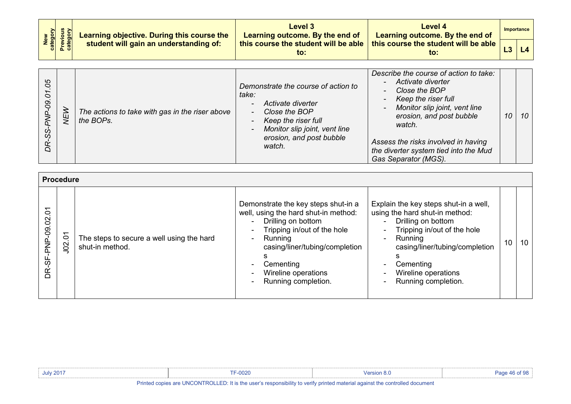| New<br>Category<br>Previous<br>Category |  | <b>Learning objective. During this course the</b><br>student will gain an understanding of: | Level 3<br>Learning outcome. By the end of | Level 4<br>Learning outcome. By the end of                                                       |  | Importance |
|-----------------------------------------|--|---------------------------------------------------------------------------------------------|--------------------------------------------|--------------------------------------------------------------------------------------------------|--|------------|
|                                         |  |                                                                                             | to:                                        | , this course the student will be able $\mid$ this course the student will be able $\mid$<br>to: |  |            |

| 80<br>$\circ$<br>$\overline{5}$<br>တွ<br>DR | NEW | The actions to take with gas in the riser above<br>the BOPs. | Demonstrate the course of action to<br>take:<br>Activate diverter<br>Close the BOP<br>$\sim$<br>Keep the riser full<br>Monitor slip joint, vent line<br>$\blacksquare$<br>erosion, and post bubble<br>watch. | Describe the course of action to take:<br>Activate diverter<br>$\sim$<br>Close the BOP<br>Keep the riser full<br>$\blacksquare$<br>Monitor slip joint, vent line<br>$\sim$<br>erosion, and post bubble<br>watch.<br>Assess the risks involved in having<br>the diverter system tied into the Mud<br>Gas Separator (MGS). | 10 | 10 |
|---------------------------------------------|-----|--------------------------------------------------------------|--------------------------------------------------------------------------------------------------------------------------------------------------------------------------------------------------------------|--------------------------------------------------------------------------------------------------------------------------------------------------------------------------------------------------------------------------------------------------------------------------------------------------------------------------|----|----|
|---------------------------------------------|-----|--------------------------------------------------------------|--------------------------------------------------------------------------------------------------------------------------------------------------------------------------------------------------------------|--------------------------------------------------------------------------------------------------------------------------------------------------------------------------------------------------------------------------------------------------------------------------------------------------------------------------|----|----|

|                    | <b>Procedure</b> |                                                              |                                                                                                                                                                                                                                                                                          |                                                                                                                                                                                                                                                                                                   |    |    |
|--------------------|------------------|--------------------------------------------------------------|------------------------------------------------------------------------------------------------------------------------------------------------------------------------------------------------------------------------------------------------------------------------------------------|---------------------------------------------------------------------------------------------------------------------------------------------------------------------------------------------------------------------------------------------------------------------------------------------------|----|----|
| DR-SF-PNP-09.02.01 | J02.01           | The steps to secure a well using the hard<br>shut-in method. | Demonstrate the key steps shut-in a<br>well, using the hard shut-in method:<br>Drilling on bottom<br>$\sim$<br>Tripping in/out of the hole<br>$\sim$<br>Running<br>$\sim$<br>casing/liner/tubing/completion<br>Cementing<br>Wireline operations<br>Running completion.<br>$\blacksquare$ | Explain the key steps shut-in a well,<br>using the hard shut-in method:<br>Drilling on bottom<br>$\blacksquare$<br>Tripping in/out of the hole<br>$\sim$<br>Running<br>$\sim$<br>casing/liner/tubing/completion<br>Cementing<br>$\blacksquare$<br>Wireline operations<br>Running completion.<br>۰ | 10 | 10 |

| <b>July 2017</b> | $F-0020$                                                                                                                    | Version $8x$ |  |
|------------------|-----------------------------------------------------------------------------------------------------------------------------|--------------|--|
|                  | Drinted copies are UNCONTROLLED. It is the user's responsibility to verify printed material equipet the controlled desument |              |  |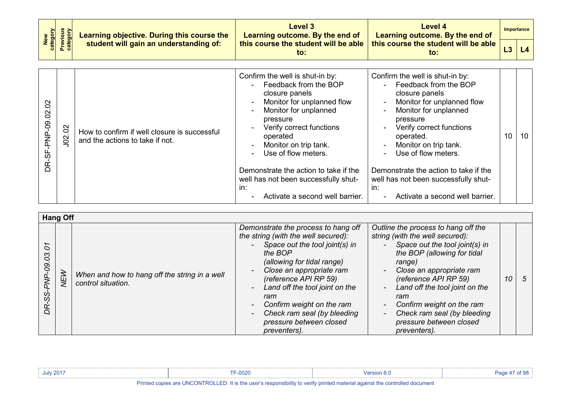| New<br>Category<br>Previous<br>Category | Learning objective. During this course the | Level 3<br>Learning outcome. By the end of  | Level 4<br>Learning outcome. By the end of  |  | Importance     |
|-----------------------------------------|--------------------------------------------|---------------------------------------------|---------------------------------------------|--|----------------|
|                                         | student will gain an understanding of:     | this course the student will be able<br>to: | this course the student will be able<br>to: |  | L <sub>4</sub> |
|                                         |                                            |                                             |                                             |  |                |
|                                         |                                            | Confirm the well is shut-in by:             | Confirm the well is shut-in by:             |  |                |

| $\mathcal{S}$<br>$-09.02$<br>9€<br>Ř | J02.02 | How to confirm if well closure is successful<br>and the actions to take if not. | Confirm the well is shut-in by:<br>Feedback from the BOP<br>$\sim$<br>closure panels<br>Monitor for unplanned flow<br>$\sim$<br>Monitor for unplanned<br>$\sim$<br>pressure<br>Verify correct functions<br>operated<br>Monitor on trip tank.<br>Use of flow meters.<br>$\sim$<br>Demonstrate the action to take if the<br>well has not been successfully shut- | Confirm the well is shut-in by:<br>Feedback from the BOP<br>$\blacksquare$<br>closure panels<br>Monitor for unplanned flow<br>$\blacksquare$<br>Monitor for unplanned<br>$\blacksquare$<br>pressure<br>Verify correct functions<br>$\blacksquare$<br>operated.<br>Monitor on trip tank.<br>$\blacksquare$<br>Use of flow meters.<br>$\blacksquare$<br>Demonstrate the action to take if the<br>well has not been successfully shut- | 10 | 10 |
|--------------------------------------|--------|---------------------------------------------------------------------------------|----------------------------------------------------------------------------------------------------------------------------------------------------------------------------------------------------------------------------------------------------------------------------------------------------------------------------------------------------------------|-------------------------------------------------------------------------------------------------------------------------------------------------------------------------------------------------------------------------------------------------------------------------------------------------------------------------------------------------------------------------------------------------------------------------------------|----|----|
|                                      |        |                                                                                 | in:<br>Activate a second well barrier.                                                                                                                                                                                                                                                                                                                         | in:<br>Activate a second well barrier.<br>$\sim$                                                                                                                                                                                                                                                                                                                                                                                    |    |    |

|                    | <b>Hang Off</b> |                                                                     |                                                                                                                                                                                                                                                                                                                                                                                                  |                                                                                                                                                                                                                                                                                                                                                                                                                        |    |    |
|--------------------|-----------------|---------------------------------------------------------------------|--------------------------------------------------------------------------------------------------------------------------------------------------------------------------------------------------------------------------------------------------------------------------------------------------------------------------------------------------------------------------------------------------|------------------------------------------------------------------------------------------------------------------------------------------------------------------------------------------------------------------------------------------------------------------------------------------------------------------------------------------------------------------------------------------------------------------------|----|----|
| O<br>පි<br>႙ၟ<br>S | <b>NEW</b>      | When and how to hang off the string in a well<br>control situation. | Demonstrate the process to hang off<br>the string (with the well secured):<br>Space out the tool joint(s) in<br>the BOP<br>(allowing for tidal range)<br>Close an appropriate ram<br>$\overline{\phantom{a}}$<br>(reference API RP 59)<br>Land off the tool joint on the<br>$\sim$<br>ram<br>Confirm weight on the ram<br>Check ram seal (by bleeding<br>pressure between closed<br>preventers). | Outline the process to hang off the<br>string (with the well secured):<br>Space out the tool joint(s) in<br>the BOP (allowing for tidal<br>range)<br>Close an appropriate ram<br>$\blacksquare$<br>(reference API RP 59)<br>Land off the tool joint on the<br>$\blacksquare$<br>ram<br>Confirm weight on the ram<br>$\blacksquare$<br>Check ram seal (by bleeding<br>$\sim$<br>pressure between closed<br>preventers). | 10 | -5 |

| <b>July 2017</b> | F-0020                                                                                                                      |  |
|------------------|-----------------------------------------------------------------------------------------------------------------------------|--|
|                  | Printed copies are UNCONTROLLED: It is the user's responsibility to verify printed material against the controlled document |  |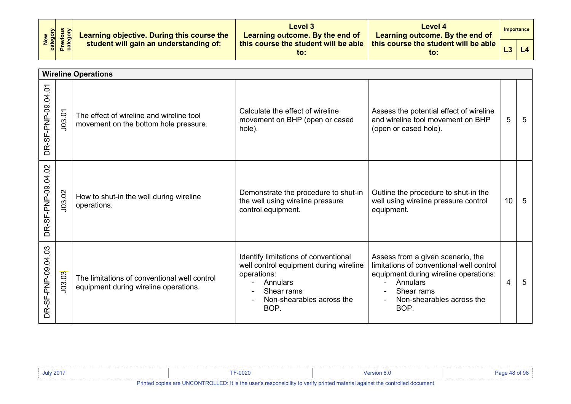| New<br>Category<br>Previous<br>Category | Learning objective. During this course the | Level 3<br>Learning outcome. By the end of  | Level 4<br>Learning outcome. By the end of              |                | Importance |
|-----------------------------------------|--------------------------------------------|---------------------------------------------|---------------------------------------------------------|----------------|------------|
|                                         | student will gain an understanding of:     | this course the student will be able<br>to: | this course the student will be able $\parallel$<br>to: | L <sub>3</sub> | L4         |

|                        | <b>Wireline Operations</b> |                                                                                       |                                                                                                                                                              |                                                                                                                                                                                       |    |   |  |  |
|------------------------|----------------------------|---------------------------------------------------------------------------------------|--------------------------------------------------------------------------------------------------------------------------------------------------------------|---------------------------------------------------------------------------------------------------------------------------------------------------------------------------------------|----|---|--|--|
| DR-SF-PNP-09.04.01     | J03.01                     | The effect of wireline and wireline tool<br>movement on the bottom hole pressure.     | Calculate the effect of wireline<br>movement on BHP (open or cased<br>hole).                                                                                 | Assess the potential effect of wireline<br>and wireline tool movement on BHP<br>(open or cased hole).                                                                                 | 5  | 5 |  |  |
| DR-SF-PNP-09.04.02     | J03.02                     | How to shut-in the well during wireline<br>operations.                                | Demonstrate the procedure to shut-in<br>the well using wireline pressure<br>control equipment.                                                               | Outline the procedure to shut-in the<br>well using wireline pressure control<br>equipment.                                                                                            | 10 | 5 |  |  |
| -SF-PNP-09.04.03<br>BË | J03.03                     | The limitations of conventional well control<br>equipment during wireline operations. | Identify limitations of conventional<br>well control equipment during wireline<br>operations:<br>Annulars<br>Shear rams<br>Non-shearables across the<br>BOP. | Assess from a given scenario, the<br>limitations of conventional well control<br>equipment during wireline operations:<br>Annulars<br>Shear rams<br>Non-shearables across the<br>BOP. | 4  | 5 |  |  |

| <b>July 2017</b>                                                                                                            | F-0020 | <sup>v</sup> ersion 8. |  |  |  |
|-----------------------------------------------------------------------------------------------------------------------------|--------|------------------------|--|--|--|
| Printed copies are UNCONTROLLED: It is the user's responsibility to verify printed material against the controlled document |        |                        |  |  |  |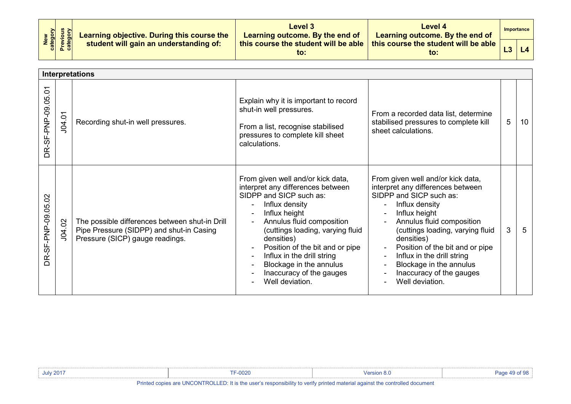| New<br>Category<br>Previous<br>Category | Learning objective. During this course the | Level 3<br>Learning outcome. By the end of  | Level 4<br>Learning outcome. By the end of              |                | Importance |
|-----------------------------------------|--------------------------------------------|---------------------------------------------|---------------------------------------------------------|----------------|------------|
|                                         | student will gain an understanding of:     | this course the student will be able<br>to: | this course the student will be able $\parallel$<br>to: | L <sub>3</sub> | L4         |

|                                | <b>Interpretations</b> |                                                                                                                               |                                                                                                                                                                                                                                                                                                                                                                |                                                                                                                                                                                                                                                                                                                                                                |   |    |  |  |
|--------------------------------|------------------------|-------------------------------------------------------------------------------------------------------------------------------|----------------------------------------------------------------------------------------------------------------------------------------------------------------------------------------------------------------------------------------------------------------------------------------------------------------------------------------------------------------|----------------------------------------------------------------------------------------------------------------------------------------------------------------------------------------------------------------------------------------------------------------------------------------------------------------------------------------------------------------|---|----|--|--|
| DR-SF-PNP-09.05.01             | J04.01                 | Recording shut-in well pressures.                                                                                             | Explain why it is important to record<br>shut-in well pressures.<br>From a list, recognise stabilised<br>pressures to complete kill sheet<br>calculations.                                                                                                                                                                                                     | From a recorded data list, determine<br>stabilised pressures to complete kill<br>sheet calculations.                                                                                                                                                                                                                                                           | 5 | 10 |  |  |
| R-SF-PNP-09.05.02<br>$\bigcap$ | J04.02                 | The possible differences between shut-in Drill<br>Pipe Pressure (SIDPP) and shut-in Casing<br>Pressure (SICP) gauge readings. | From given well and/or kick data,<br>interpret any differences between<br>SIDPP and SICP such as:<br>Influx density<br>Influx height<br>Annulus fluid composition<br>(cuttings loading, varying fluid<br>densities)<br>Position of the bit and or pipe<br>Influx in the drill string<br>Blockage in the annulus<br>Inaccuracy of the gauges<br>Well deviation. | From given well and/or kick data,<br>interpret any differences between<br>SIDPP and SICP such as:<br>Influx density<br>Influx height<br>Annulus fluid composition<br>(cuttings loading, varying fluid<br>densities)<br>Position of the bit and or pipe<br>Influx in the drill string<br>Blockage in the annulus<br>Inaccuracy of the gauges<br>Well deviation. | 3 | 5  |  |  |

| <b>July 2017</b>                                                                                                            | =-0020 | Mersion 8. |  |
|-----------------------------------------------------------------------------------------------------------------------------|--------|------------|--|
| Printed copies are UNCONTROLLED: It is the user's responsibility to verify printed material against the controlled document |        |            |  |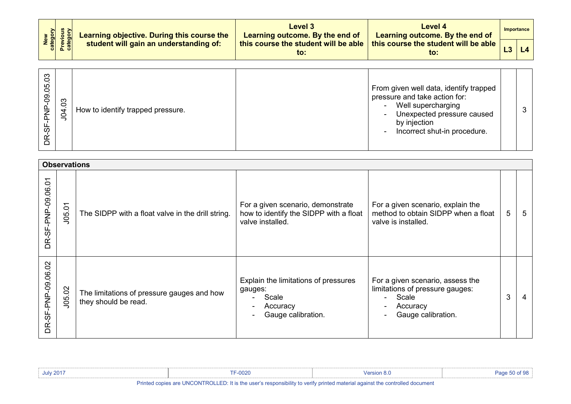| New<br>Category<br>Previous<br>Category | Learning objective. During this course the | Level 3<br>Learning outcome. By the end of                                                     | Level 4<br><b>Learning outcome. By the end of</b> | Importance |
|-----------------------------------------|--------------------------------------------|------------------------------------------------------------------------------------------------|---------------------------------------------------|------------|
|                                         | student will gain an understanding of:     | $\mid$ this course the student will be able $\mid$ this course the student will be able $\mid$ | to:                                               |            |

| $\infty$<br>50<br>$\overline{8}$<br>$\overline{d}$<br>မှ<br>တ<br>Ě | 3<br>$\overline{5}$ | How to identify trapped pressure. | From given well data, identify trapped<br>pressure and take action for:<br>Well supercharging<br>$\sim$<br>Unexpected pressure caused<br>$\sim$<br>by injection<br>Incorrect shut-in procedure.<br>$\sim$ |  |  |
|--------------------------------------------------------------------|---------------------|-----------------------------------|-----------------------------------------------------------------------------------------------------------------------------------------------------------------------------------------------------------|--|--|
|--------------------------------------------------------------------|---------------------|-----------------------------------|-----------------------------------------------------------------------------------------------------------------------------------------------------------------------------------------------------------|--|--|

|                                   | <b>Observations</b> |                                                                    |                                                                                                 |                                                                                                                |   |    |  |  |  |
|-----------------------------------|---------------------|--------------------------------------------------------------------|-------------------------------------------------------------------------------------------------|----------------------------------------------------------------------------------------------------------------|---|----|--|--|--|
| DR-SF-PNP-09.06.01                | J05.01              | The SIDPP with a float valve in the drill string.                  | For a given scenario, demonstrate<br>how to identify the SIDPP with a float<br>valve installed. | For a given scenario, explain the<br>method to obtain SIDPP when a float<br>valve is installed.                | 5 | -5 |  |  |  |
| $\overline{5}$<br>DR-SF-PNP-09.06 | J05.02              | The limitations of pressure gauges and how<br>they should be read. | Explain the limitations of pressures<br>gauges:<br>Scale<br>Accuracy<br>Gauge calibration.      | For a given scenario, assess the<br>limitations of pressure gauges:<br>Scale<br>Accuracy<br>Gauge calibration. | 3 | 4  |  |  |  |

| <b>July 2017</b>                                                                                                            | <b>F-0020</b> | Version 8 ( | Page 50 of 98 |  |  |  |
|-----------------------------------------------------------------------------------------------------------------------------|---------------|-------------|---------------|--|--|--|
| Printed copies are UNCONTROLLED: It is the user's responsibility to verify printed material against the controlled document |               |             |               |  |  |  |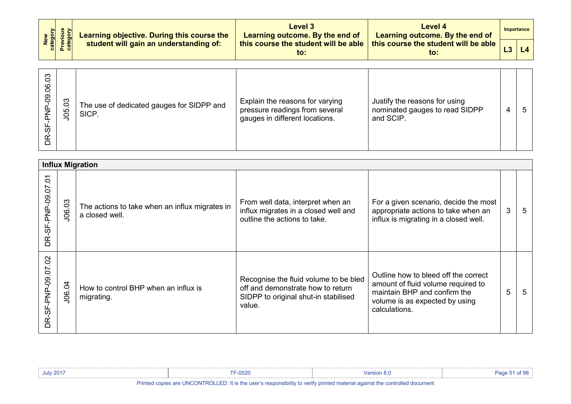| New<br>Category<br>Previous<br>Category | Learning objective. During this course the | Level 3<br>Learning outcome. By the end of | Level 4<br>Learning outcome. By the end of                                                       | Importance |
|-----------------------------------------|--------------------------------------------|--------------------------------------------|--------------------------------------------------------------------------------------------------|------------|
|                                         | student will gain an understanding of:     | to:                                        | , this course the student will be able $\mid$ this course the student will be able $\mid$<br>to: |            |

| $\overline{c}$<br>06<br>.<br>9<br>ပ္တ | $\overline{0}3$<br>105 | The use of dedicated gauges for SIDPP and<br>SICP. | Explain the reasons for varying<br>pressure readings from several<br>gauges in different locations. | Justify the reasons for using<br>nominated gauges to read SIDPP<br>and SCIP. | 4 | 5 |
|---------------------------------------|------------------------|----------------------------------------------------|-----------------------------------------------------------------------------------------------------|------------------------------------------------------------------------------|---|---|
|---------------------------------------|------------------------|----------------------------------------------------|-----------------------------------------------------------------------------------------------------|------------------------------------------------------------------------------|---|---|

|                                                 | <b>Influx Migration</b> |                                                                  |                                                                                                                              |                                                                                                                                                               |   |   |  |  |  |  |
|-------------------------------------------------|-------------------------|------------------------------------------------------------------|------------------------------------------------------------------------------------------------------------------------------|---------------------------------------------------------------------------------------------------------------------------------------------------------------|---|---|--|--|--|--|
| Š<br>DR-SF-PNP-09.07                            | J06.03                  | The actions to take when an influx migrates in<br>a closed well. | From well data, interpret when an<br>influx migrates in a closed well and<br>outline the actions to take.                    | For a given scenario, decide the most<br>appropriate actions to take when an<br>influx is migrating in a closed well.                                         | 3 | 5 |  |  |  |  |
| $\overline{5}$<br>SF-PNP-09.07<br>Ľ<br>$\Omega$ | J06.04                  | How to control BHP when an influx is<br>migrating.               | Recognise the fluid volume to be bled<br>off and demonstrate how to return<br>SIDPP to original shut-in stabilised<br>value. | Outline how to bleed off the correct<br>amount of fluid volume required to<br>maintain BHP and confirm the<br>volume is as expected by using<br>calculations. | 5 | 5 |  |  |  |  |

| <b>July 2017</b>                                                                                                            | F-0020 | <b>Mersion 8.U</b> |  |  |  |  |  |
|-----------------------------------------------------------------------------------------------------------------------------|--------|--------------------|--|--|--|--|--|
| Printed copies are UNCONTROLLED: It is the user's responsibility to verify printed material against the controlled document |        |                    |  |  |  |  |  |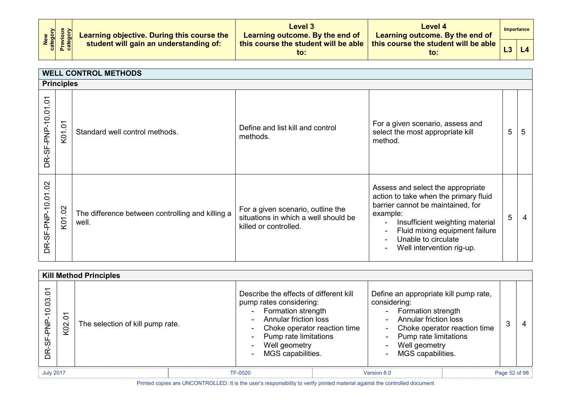| New<br>Category<br>Previous<br>Category | Learning objective. During this course the | Level 3<br>Learning outcome. By the end of | Level 4<br>Learning outcome. By the end of                                                       | Importance          |
|-----------------------------------------|--------------------------------------------|--------------------------------------------|--------------------------------------------------------------------------------------------------|---------------------|
|                                         | student will gain an understanding of:     | to:                                        | , this course the student will be able $\mid$ this course the student will be able $\mid$<br>to: | $\lfloor 4 \rfloor$ |

|                    | <b>WELL CONTROL METHODS</b> |                                                           |                                                                                                    |                                                                                                                                                                                                                                                                                                             |   |   |  |  |  |
|--------------------|-----------------------------|-----------------------------------------------------------|----------------------------------------------------------------------------------------------------|-------------------------------------------------------------------------------------------------------------------------------------------------------------------------------------------------------------------------------------------------------------------------------------------------------------|---|---|--|--|--|
|                    | <b>Principles</b>           |                                                           |                                                                                                    |                                                                                                                                                                                                                                                                                                             |   |   |  |  |  |
| DR-SF-PNP-10.01.01 | Š<br>K <sub>0</sub> 1       | Standard well control methods.                            | Define and list kill and control<br>methods.                                                       | For a given scenario, assess and<br>select the most appropriate kill<br>method.                                                                                                                                                                                                                             | 5 | 5 |  |  |  |
| DR-SF-PNP-10.01.02 | K01.02                      | The difference between controlling and killing a<br>well. | For a given scenario, outline the<br>situations in which a well should be<br>killed or controlled. | Assess and select the appropriate<br>action to take when the primary fluid<br>barrier cannot be maintained, for<br>example:<br>Insufficient weighting material<br>$\blacksquare$<br>Fluid mixing equipment failure<br>$\qquad \qquad \blacksquare$<br>Unable to circulate<br>Well intervention rig-up.<br>۰ | 5 |   |  |  |  |

|                                 | <b>Kill Method Principles</b> |                                  |                                                                                                                                                                                                                                     |                                                                                                                                                                                                             |  |               |  |
|---------------------------------|-------------------------------|----------------------------------|-------------------------------------------------------------------------------------------------------------------------------------------------------------------------------------------------------------------------------------|-------------------------------------------------------------------------------------------------------------------------------------------------------------------------------------------------------------|--|---------------|--|
| 10.03.01<br>PN-<br>E<br>မှ<br>တ | $\delta$<br>K <sub>02</sub>   | The selection of kill pump rate. | Describe the effects of different kill<br>pump rates considering:<br><b>Formation strength</b><br><b>Annular friction loss</b><br>Choke operator reaction time<br>٠.<br>Pump rate limitations<br>Well geometry<br>MGS capabilities. | Define an appropriate kill pump rate,<br>considering:<br>- Formation strength<br>- Annular friction loss<br>- Choke operator reaction time<br>- Pump rate limitations<br>Well geometry<br>MGS capabilities. |  | 3<br>-4       |  |
| <b>July 2017</b>                |                               |                                  | <b>TF-0020</b>                                                                                                                                                                                                                      | Version 8.0                                                                                                                                                                                                 |  | Page 52 of 98 |  |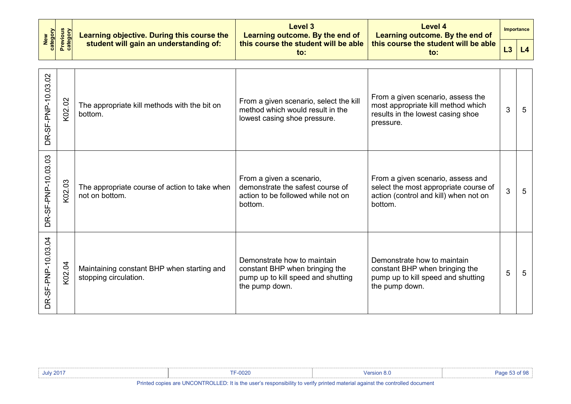| New<br>category    | <b>Previous</b><br>category | Learning objective. During this course the                          | <b>Level 3</b><br>Learning outcome. By the end of                                                                     | Level 4<br>Learning outcome. By the end of                                                                                     |    | <b>Importance</b> |
|--------------------|-----------------------------|---------------------------------------------------------------------|-----------------------------------------------------------------------------------------------------------------------|--------------------------------------------------------------------------------------------------------------------------------|----|-------------------|
|                    |                             | student will gain an understanding of:                              | this course the student will be able<br>$\mathsf{to}$ :                                                               | this course the student will be able<br>$\mathsf{to}$ :                                                                        | L3 | L4                |
| DR-SF-PNP-10.03.02 | K02.02                      | The appropriate kill methods with the bit on<br>bottom.             | From a given scenario, select the kill<br>method which would result in the<br>lowest casing shoe pressure.            | From a given scenario, assess the<br>most appropriate kill method which<br>results in the lowest casing shoe<br>pressure.      | 3  | 5                 |
| DR-SF-PNP-10.03.03 | K02.03                      | The appropriate course of action to take when<br>not on bottom.     | From a given a scenario,<br>demonstrate the safest course of<br>action to be followed while not on<br>bottom.         | From a given scenario, assess and<br>select the most appropriate course of<br>action (control and kill) when not on<br>bottom. | 3  | $5\phantom{.0}$   |
| DR-SF-PNP-10.03.04 | K02.04                      | Maintaining constant BHP when starting and<br>stopping circulation. | Demonstrate how to maintain<br>constant BHP when bringing the<br>pump up to kill speed and shutting<br>the pump down. | Demonstrate how to maintain<br>constant BHP when bringing the<br>pump up to kill speed and shutting<br>the pump down.          | 5  | 5                 |

| <b>July 201<sup>-</sup></b> | $-0020$                                                                                                                          | <sup>വ</sup> ersion പ |  |
|-----------------------------|----------------------------------------------------------------------------------------------------------------------------------|-----------------------|--|
|                             | Dalasta a carlor and HNOONTDOH ED. It is the model associated in the main advised accepted a controlled and services the company |                       |  |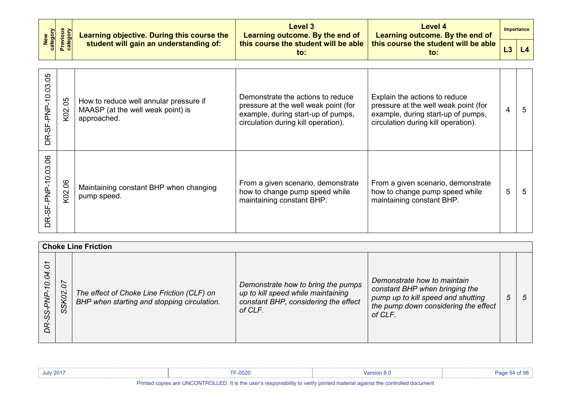| New<br>category    | <b>Previous</b><br>category | Learning objective. During this course the                                                 | Level 3<br>Learning outcome. By the end of                                                                                                             | <b>Level 4</b><br>Learning outcome. By the end of                                                                                                  |   | Importance |
|--------------------|-----------------------------|--------------------------------------------------------------------------------------------|--------------------------------------------------------------------------------------------------------------------------------------------------------|----------------------------------------------------------------------------------------------------------------------------------------------------|---|------------|
|                    |                             | student will gain an understanding of:                                                     | this course the student will be able<br>$\mathsf{to}$ :                                                                                                | this course the student will be able<br>$\mathsf{to}$ :                                                                                            |   | L4         |
| DR-SF-PNP-10.03.05 | K02.05                      | How to reduce well annular pressure if<br>MAASP (at the well weak point) is<br>approached. | Demonstrate the actions to reduce<br>pressure at the well weak point (for<br>example, during start-up of pumps,<br>circulation during kill operation). | Explain the actions to reduce<br>pressure at the well weak point (for<br>example, during start-up of pumps,<br>circulation during kill operation). | 4 | 5          |
| DR-SF-PNP-10.03.06 | K02.06                      | Maintaining constant BHP when changing<br>pump speed.                                      | From a given scenario, demonstrate<br>how to change pump speed while<br>maintaining constant BHP.                                                      | From a given scenario, demonstrate<br>how to change pump speed while<br>maintaining constant BHP.                                                  | 5 | 5          |

|                           | <b>Choke Line Friction</b>           |                                                                                           |                                                                                                                             |                                                                                                                                                        |   |     |  |  |  |
|---------------------------|--------------------------------------|-------------------------------------------------------------------------------------------|-----------------------------------------------------------------------------------------------------------------------------|--------------------------------------------------------------------------------------------------------------------------------------------------------|---|-----|--|--|--|
| 5<br>10.04.<br>DR-SS-PNP- | $\tilde{o}$<br>$\overline{S}$<br>SSK | The effect of Choke Line Friction (CLF) on<br>BHP when starting and stopping circulation. | Demonstrate how to bring the pumps<br>up to kill speed while maintaining<br>constant BHP, considering the effect<br>of CLF. | Demonstrate how to maintain<br>constant BHP when bringing the<br>pump up to kill speed and shutting<br>the pump down considering the effect<br>of CLF. | 5 | - 5 |  |  |  |

| <b>July 2017</b>                                                                                                            | <b>TF-0020</b> | Version 8.0 |  |  |  |
|-----------------------------------------------------------------------------------------------------------------------------|----------------|-------------|--|--|--|
| Printed copies are UNCONTROLLED: It is the user's responsibility to verify printed material against the controlled document |                |             |  |  |  |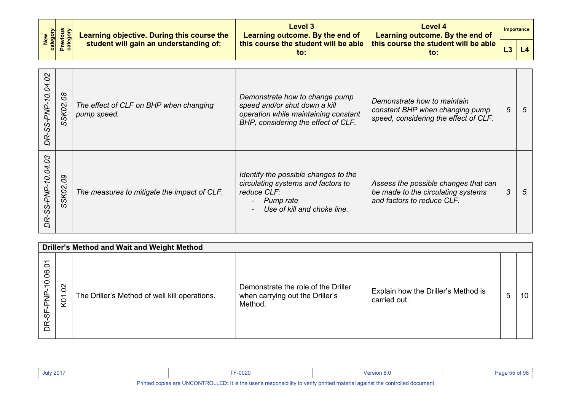| New<br>Category<br>Previous<br>Category | Learning objective. During this course the | Level 3<br>Learning outcome. By the end of  | Level 4<br>Learning outcome. By the end of              | <b>Importance</b> |
|-----------------------------------------|--------------------------------------------|---------------------------------------------|---------------------------------------------------------|-------------------|
|                                         | student will gain an understanding of:     | this course the student will be able<br>to: | this course the student will be able $\parallel$<br>to: | L4                |

| $\mathbf{a}$<br>O<br>$\overline{6}$<br>5Z<br>-SS-PNP-<br>Ř | 80<br>SSK02.       | The effect of CLF on BHP when changing<br>pump speed. | Demonstrate how to change pump<br>speed and/or shut down a kill<br>operation while maintaining constant<br>BHP, considering the effect of CLF. | Demonstrate how to maintain<br>constant BHP when changing pump<br>speed, considering the effect of CLF.  | 5 | -5 |
|------------------------------------------------------------|--------------------|-------------------------------------------------------|------------------------------------------------------------------------------------------------------------------------------------------------|----------------------------------------------------------------------------------------------------------|---|----|
| CS<br>10.04.<br>-PNP-<br>ပ္ပံ<br>œ<br>◠                    | $\infty$<br>SSK02. | The measures to mitigate the impact of CLF.           | Identify the possible changes to the<br>circulating systems and factors to<br>reduce CLF:<br>Pump rate<br>۰.<br>Use of kill and choke line.    | Assess the possible changes that can<br>be made to the circulating systems<br>and factors to reduce CLF. | 3 | -5 |

|                                  | Driller's Method and Wait and Weight Method            |                                               |                                                                                   |                                                     |                 |    |  |  |  |  |
|----------------------------------|--------------------------------------------------------|-----------------------------------------------|-----------------------------------------------------------------------------------|-----------------------------------------------------|-----------------|----|--|--|--|--|
| δ<br>10.06<br>ni<br>Na<br>ჭ<br>œ | $\delta$<br>$\overline{\phantom{0}}$<br>$\overline{8}$ | The Driller's Method of well kill operations. | Demonstrate the role of the Driller<br>when carrying out the Driller's<br>Method. | Explain how the Driller's Method is<br>carried out. | $5\overline{)}$ | 10 |  |  |  |  |

| <b>July 2017</b> | <b>TF-0020</b>                    | <b>Version 8.</b> | 55 of 98<br>Pane |
|------------------|-----------------------------------|-------------------|------------------|
| .                | $\cdots$<br>$-11 - 11111 - 11111$ |                   |                  |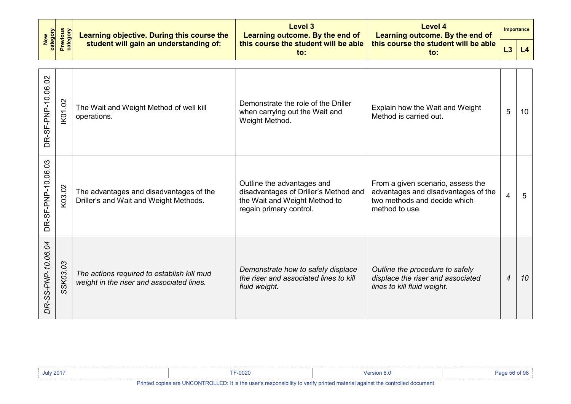|                                         |                | Learning objective. During this course the                                              | <b>Level 3</b><br>Learning outcome. By the end of                                                                               | <b>Level 4</b><br>Learning outcome. By the end of                                                                          |                | <b>Importance</b> |
|-----------------------------------------|----------------|-----------------------------------------------------------------------------------------|---------------------------------------------------------------------------------------------------------------------------------|----------------------------------------------------------------------------------------------------------------------------|----------------|-------------------|
| Previous<br>category<br>New<br>category |                | student will gain an understanding of:                                                  | this course the student will be able<br>$\mathsf{to}$ :                                                                         | this course the student will be able<br>to:                                                                                | L3             | L4                |
| DR-SF-PNP-10.06.02                      | <b>IK01.02</b> | The Wait and Weight Method of well kill<br>operations.                                  | Demonstrate the role of the Driller<br>when carrying out the Wait and<br>Weight Method.                                         | Explain how the Wait and Weight<br>Method is carried out.                                                                  | 5              | 10                |
| DR-SF-PNP-10.06.03                      | K03.02         | The advantages and disadvantages of the<br>Driller's and Wait and Weight Methods.       | Outline the advantages and<br>disadvantages of Driller's Method and<br>the Wait and Weight Method to<br>regain primary control. | From a given scenario, assess the<br>advantages and disadvantages of the<br>two methods and decide which<br>method to use. | 4              | 5                 |
| DR-SS-PNP-10.06.04                      | SSK03.03       | The actions required to establish kill mud<br>weight in the riser and associated lines. | Demonstrate how to safely displace<br>the riser and associated lines to kill<br>fluid weight.                                   | Outline the procedure to safely<br>displace the riser and associated<br>lines to kill fluid weight.                        | $\overline{4}$ | 10                |

| July 201 <sup>-</sup> | 0000<br>UUZU                                                                                                                                                                                                                         |  |
|-----------------------|--------------------------------------------------------------------------------------------------------------------------------------------------------------------------------------------------------------------------------------|--|
|                       | <b>British Constitution of the constitution of the constitution of the constitution of the constitution of the constitution of the constitution of the constitution of the constitution of the constitution of the constitution </b> |  |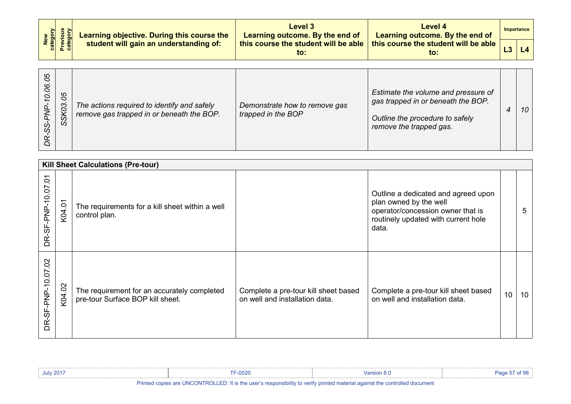|  | New<br>Category<br>Previous<br>Category<br>Learning objective. During this course the<br>student will gain an understanding of: | Level 3<br>Learning outcome. By the end of  | Level 4<br>Learning outcome. By the end of  | Importance |
|--|---------------------------------------------------------------------------------------------------------------------------------|---------------------------------------------|---------------------------------------------|------------|
|  |                                                                                                                                 | this course the student will be able<br>to: | this course the student will be able<br>to: |            |

| 80<br>8 <sup>o</sup><br>80<br>O<br>KO <sub>3</sub><br>SS,<br>SS. | The actions required to identify and safely<br>remove gas trapped in or beneath the BOP. | Demonstrate how to remove gas<br>trapped in the BOP | Estimate the volume and pressure of<br>gas trapped in or beneath the BOP.<br>Outline the procedure to safely<br>remove the trapped gas. |  | 10 |
|------------------------------------------------------------------|------------------------------------------------------------------------------------------|-----------------------------------------------------|-----------------------------------------------------------------------------------------------------------------------------------------|--|----|
|------------------------------------------------------------------|------------------------------------------------------------------------------------------|-----------------------------------------------------|-----------------------------------------------------------------------------------------------------------------------------------------|--|----|

|                                     | <b>Kill Sheet Calculations (Pre-tour)</b> |                                                                                 |                                                                        |                                                                                                                                                    |    |    |  |  |  |  |
|-------------------------------------|-------------------------------------------|---------------------------------------------------------------------------------|------------------------------------------------------------------------|----------------------------------------------------------------------------------------------------------------------------------------------------|----|----|--|--|--|--|
| $\tilde{\Theta}$<br>DR-SF-PNP-10.07 | $\overline{ }$<br>K04.0                   | The requirements for a kill sheet within a well<br>control plan.                |                                                                        | Outline a dedicated and agreed upon<br>plan owned by the well<br>operator/concession owner that is<br>routinely updated with current hole<br>data. |    | 5  |  |  |  |  |
| 02<br>DR-SF-PNP-10.07               | $\sim$<br>K04.0                           | The requirement for an accurately completed<br>pre-tour Surface BOP kill sheet. | Complete a pre-tour kill sheet based<br>on well and installation data. | Complete a pre-tour kill sheet based<br>on well and installation data.                                                                             | 10 | 10 |  |  |  |  |

| July $2017$ | $-0020$                                                                                                                | ` <i>'</i> ersion o.⊾ | $\sim$ 0.0<br>Pane |
|-------------|------------------------------------------------------------------------------------------------------------------------|-----------------------|--------------------|
|             | <b>IN THE RESIDENT OF THE REPORT OF A STATE OF A STATE OF A STATE OF A STATE OF A STATE OF A STATE OF A STATE OF A</b> |                       |                    |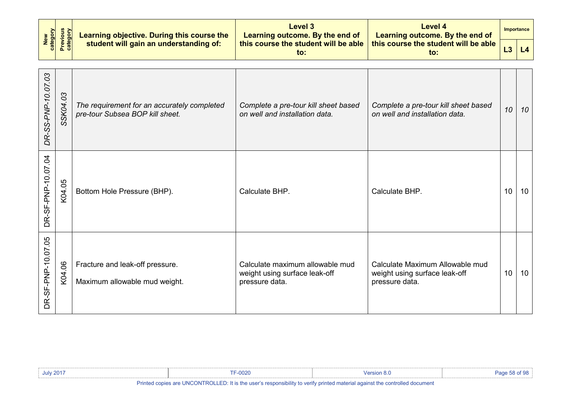|                                                |          | Learning objective. During this course the                                     | Level 3<br>Learning outcome. By the end of                                         | <b>Level 4</b><br>Learning outcome. By the end of                                  |    | <b>Importance</b> |
|------------------------------------------------|----------|--------------------------------------------------------------------------------|------------------------------------------------------------------------------------|------------------------------------------------------------------------------------|----|-------------------|
| <b>Previous</b><br>category<br>New<br>category |          | student will gain an understanding of:                                         | this course the student will be able<br>$\mathsf{to}$ :                            | this course the student will be able<br>$f_{\Omega}$ :                             | L3 | L4                |
| DR-SS-PNP-10.07.03                             | SSK04.03 | The requirement for an accurately completed<br>pre-tour Subsea BOP kill sheet. | Complete a pre-tour kill sheet based<br>on well and installation data.             | Complete a pre-tour kill sheet based<br>on well and installation data.             | 10 | 10                |
| DR-SF-PNP-10.07.04                             | K04.05   | Bottom Hole Pressure (BHP).                                                    | Calculate BHP.                                                                     | Calculate BHP.                                                                     | 10 | 10                |
| DR-SF-PNP-10.07.05                             | K04.06   | Fracture and leak-off pressure.<br>Maximum allowable mud weight.               | Calculate maximum allowable mud<br>weight using surface leak-off<br>pressure data. | Calculate Maximum Allowable mud<br>weight using surface leak-off<br>pressure data. | 10 | 10                |

| <b>July 2017</b>                                                                                                                                   | $T \cap \Omega$<br>∙∪∪z∪ |  |  |
|----------------------------------------------------------------------------------------------------------------------------------------------------|--------------------------|--|--|
| <b>IN</b> the contract of <b>TRIANITIAL LEN</b> International constitution of the contract of the contract of the constitution of the construction |                          |  |  |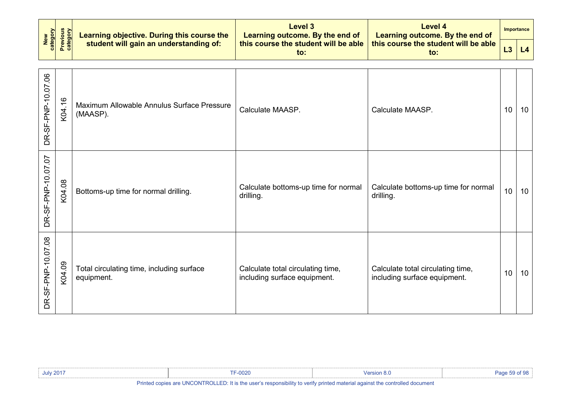|  |                                                                                                                                                                                                                                                                                                                                                                                                                           | Level 3<br>Learning outcome. By the end of  | Level 4<br>Learning outcome. By the end of              | <b>Importance</b> |
|--|---------------------------------------------------------------------------------------------------------------------------------------------------------------------------------------------------------------------------------------------------------------------------------------------------------------------------------------------------------------------------------------------------------------------------|---------------------------------------------|---------------------------------------------------------|-------------------|
|  | $\begin{array}{ c c c c }\hline & \frac{1}{2}& \frac{1}{2}& \frac{1}{2}& \frac{1}{2}& \frac{1}{2}& \frac{1}{2}& \frac{1}{2}& \frac{1}{2}& \frac{1}{2}& \frac{1}{2}& \frac{1}{2}& \frac{1}{2}& \frac{1}{2}& \frac{1}{2}& \frac{1}{2}& \frac{1}{2}& \frac{1}{2}& \frac{1}{2}& \frac{1}{2}& \frac{1}{2}& \frac{1}{2}& \frac{1}{2}& \frac{1}{2}& \frac{1}{2}& \frac{1}{2}& \frac{1}{2}& \frac{1}{2}& \frac{1}{2}& \frac{1}{2$ | this course the student will be able<br>to: | this course the student will be able $\parallel$<br>to: |                   |

| DR-SF-PNP-10.07.06 | K04.16 | Maximum Allowable Annulus Surface Pressure<br>(MAASP).  | Calculate MAASP.                                                  | Calculate MAASP.                                                  | 10 | 10 <sup>°</sup> |
|--------------------|--------|---------------------------------------------------------|-------------------------------------------------------------------|-------------------------------------------------------------------|----|-----------------|
| DR-SF-PNP-10.07.07 | K04.08 | Bottoms-up time for normal drilling.                    | Calculate bottoms-up time for normal<br>drilling.                 | Calculate bottoms-up time for normal<br>drilling.                 | 10 | 10 <sup>°</sup> |
| DR-SF-PNP-10.07.08 | K04.09 | Total circulating time, including surface<br>equipment. | Calculate total circulating time,<br>including surface equipment. | Calculate total circulating time,<br>including surface equipment. | 10 | 10              |

| <b>July 2017</b>                                                                                                                                                                                                                         | F-0020 | <b>Version 8.u</b> |  |  |  |  |  |
|------------------------------------------------------------------------------------------------------------------------------------------------------------------------------------------------------------------------------------------|--------|--------------------|--|--|--|--|--|
| <b>IN</b> the control of the <b>INTOON TIME</b> In the first of the control of the control of the control of the control of the control of the control of the control of the control of the control of the control of the control of the |        |                    |  |  |  |  |  |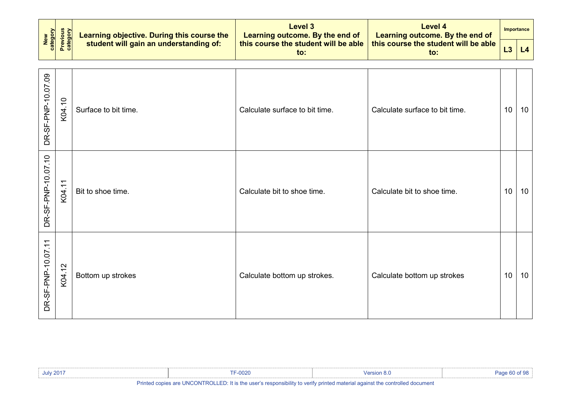|                    |                      | Learning objective. During this course the | <b>Level 3</b><br>Learning outcome. By the end of | <b>Level 4</b><br>Learning outcome. By the end of       |    | Importance |
|--------------------|----------------------|--------------------------------------------|---------------------------------------------------|---------------------------------------------------------|----|------------|
| New<br>category    | Previous<br>category | student will gain an understanding of:     | this course the student will be able<br>to:       | this course the student will be able<br>$\mathsf{to}$ : | L3 | L4         |
| DR-SF-PNP-10.07.09 | K04.10               | Surface to bit time.                       | Calculate surface to bit time.                    | Calculate surface to bit time.                          | 10 | 10         |
| DR-SF-PNP-10.07.10 | K04.11               | Bit to shoe time.                          | Calculate bit to shoe time.                       | Calculate bit to shoe time.                             | 10 | 10         |
| DR-SF-PNP-10.07.11 | K04.12               | Bottom up strokes                          | Calculate bottom up strokes.                      | Calculate bottom up strokes                             | 10 | 10         |

| <b>July 2017</b> | <b>TF-0020</b>                                                                                                                                                                                                                                                                                   | Version 8. $\cup$                                                                                               | Page 60 of 98 |
|------------------|--------------------------------------------------------------------------------------------------------------------------------------------------------------------------------------------------------------------------------------------------------------------------------------------------|-----------------------------------------------------------------------------------------------------------------|---------------|
| .                | $\mathbf{r}$ and $\mathbf{r}$ are $\mathbf{r}$ and $\mathbf{r}$ are $\mathbf{r}$ and $\mathbf{r}$ are $\mathbf{r}$ and $\mathbf{r}$ are $\mathbf{r}$ and $\mathbf{r}$ are $\mathbf{r}$ and $\mathbf{r}$ are $\mathbf{r}$ and $\mathbf{r}$ are $\mathbf{r}$ and $\mathbf{r}$ are $\mathbf{r}$ and | the contract of the contract of the contract of the contract of the contract of the contract of the contract of |               |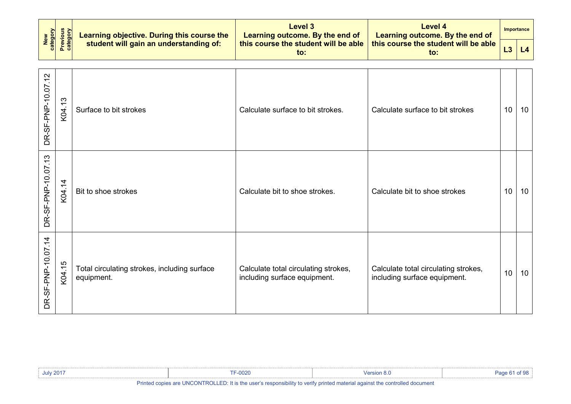| New<br>category    |                             | Learning objective. During this course the                 | <b>Level 3</b><br>Learning outcome. By the end of                    | <b>Level 4</b><br>Learning outcome. By the end of                    | Importance |    |
|--------------------|-----------------------------|------------------------------------------------------------|----------------------------------------------------------------------|----------------------------------------------------------------------|------------|----|
|                    | <b>Previous</b><br>category | student will gain an understanding of:                     | this course the student will be able<br>$\mathsf{to}$ :              | this course the student will be able<br>$\mathbf{to}$ :              | L3         | L4 |
| DR-SF-PNP-10.07.12 | K04.13                      | Surface to bit strokes                                     | Calculate surface to bit strokes.                                    | Calculate surface to bit strokes                                     | 10         | 10 |
| DR-SF-PNP-10.07.13 | K04.14                      | Bit to shoe strokes                                        | Calculate bit to shoe strokes.                                       | Calculate bit to shoe strokes                                        | 10         | 10 |
| DR-SF-PNP-10.07.14 | K04.15                      | Total circulating strokes, including surface<br>equipment. | Calculate total circulating strokes,<br>including surface equipment. | Calculate total circulating strokes,<br>including surface equipment. | 10         | 10 |

| <b>July 2017</b>                                                                                                                                     | <b>F-0020</b> |  |  |
|------------------------------------------------------------------------------------------------------------------------------------------------------|---------------|--|--|
| <b>IN</b> the contract of <b>INIOONTDOLLER</b> . If the construction is the constitution of the construction of the construction of the construction |               |  |  |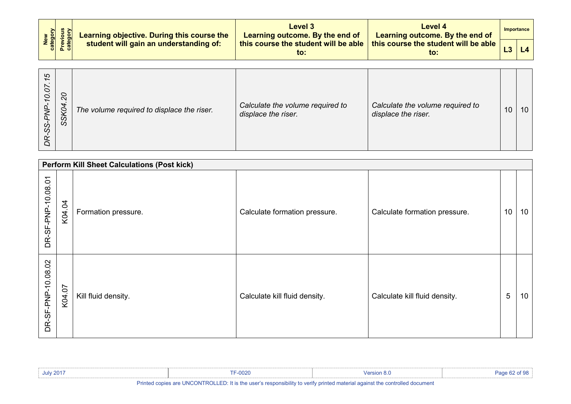|  | $\begin{array}{ c c c c }\hline & \frac{1}{2} & \frac{1}{2} & \frac{1}{2} \\ \hline \end{array}$ & $\begin{array}{ c c c }\hline \frac{1}{2} & \frac{1}{2} & \frac{1}{2} \\ \frac{1}{2} & \frac{1}{2} & \frac{1}{2} \\ \frac{1}{2} & \frac{1}{2} & \frac{1}{2} \end{array}$ Student will gain an understanding of: | Level 3<br>Learning outcome. By the end of       | Level 4<br>Learning outcome. By the end of  |  | Importance |
|--|--------------------------------------------------------------------------------------------------------------------------------------------------------------------------------------------------------------------------------------------------------------------------------------------------------------------|--------------------------------------------------|---------------------------------------------|--|------------|
|  |                                                                                                                                                                                                                                                                                                                    | this course the student will be able $\ $<br>to: | this course the student will be able<br>to: |  | L4         |

| 5<br>5<br>$\overline{c}$<br>$\mathbf{r}$<br>Ó,<br>4<br>Š<br>SS<br>SS | The volume required to displace the riser. | Calculate the volume required to<br>displace the riser. | Calculate the volume required to<br>displace the riser. | 10 | 10 |
|----------------------------------------------------------------------|--------------------------------------------|---------------------------------------------------------|---------------------------------------------------------|----|----|
|----------------------------------------------------------------------|--------------------------------------------|---------------------------------------------------------|---------------------------------------------------------|----|----|

|                    | <b>Perform Kill Sheet Calculations (Post kick)</b> |                     |                               |                               |    |                 |  |  |  |
|--------------------|----------------------------------------------------|---------------------|-------------------------------|-------------------------------|----|-----------------|--|--|--|
| DR-SF-PNP-10.08.01 | K04.04                                             | Formation pressure. | Calculate formation pressure. | Calculate formation pressure. | 10 | 10              |  |  |  |
| DR-SF-PNP-10.08.02 | K04.07                                             | Kill fluid density. | Calculate kill fluid density. | Calculate kill fluid density. | 5  | 10 <sup>°</sup> |  |  |  |

| <b>July 2017</b> | $-0020$                                                                                                               |  |
|------------------|-----------------------------------------------------------------------------------------------------------------------|--|
|                  | d copies are UNCONTROLLED: It is the user's responsibility to verify printed material against the controlled document |  |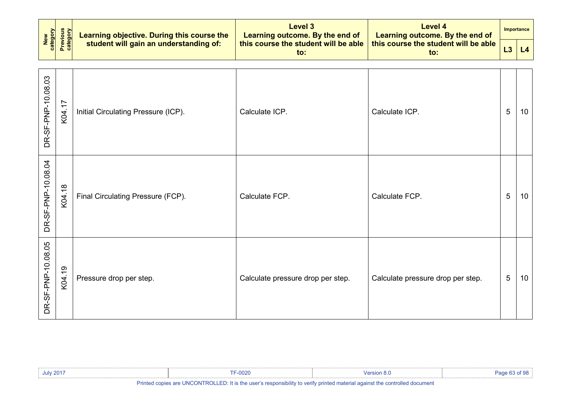| New<br>category    | <b>Previous</b><br>category | Learning objective. During this course the | <b>Level 3</b><br>Learning outcome. By the end of | <b>Level 4</b><br>Learning outcome. By the end of | Importance |    |
|--------------------|-----------------------------|--------------------------------------------|---------------------------------------------------|---------------------------------------------------|------------|----|
|                    |                             | student will gain an understanding of:     | this course the student will be able<br>to:       | this course the student will be able<br>to:       | L3         | L4 |
| DR-SF-PNP-10.08.03 | K04.17                      | Initial Circulating Pressure (ICP).        | Calculate ICP.                                    | Calculate ICP.                                    | 5          | 10 |
| DR-SF-PNP-10.08.04 | K04.18                      | Final Circulating Pressure (FCP).          | Calculate FCP.                                    | Calculate FCP.                                    | 5          | 10 |
| DR-SF-PNP-10.08.05 | K04.19                      | Pressure drop per step.                    | Calculate pressure drop per step.                 | Calculate pressure drop per step.                 | 5          | 10 |

| <b>July 2017</b> | <b>CELODOC</b><br>-UUZU | /ersic                                                                                                          |  |
|------------------|-------------------------|-----------------------------------------------------------------------------------------------------------------|--|
| ___              |                         | the second contract the second contract of the second contract of the second contract of the second contract of |  |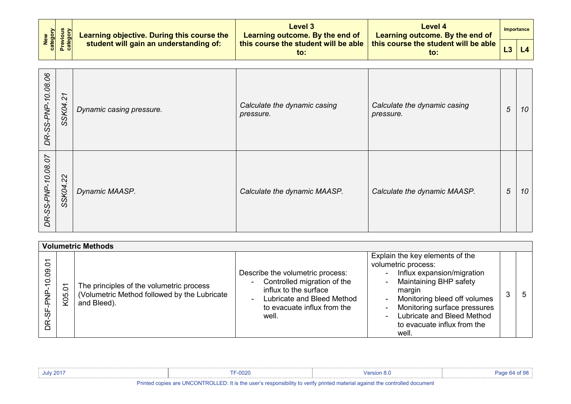| New<br>category<br>Previous<br>category | Learning objective. During this course the | <b>Level 3</b><br>Learning outcome. By the end of | Level 4<br>Learning outcome. By the end of  | Importance |
|-----------------------------------------|--------------------------------------------|---------------------------------------------------|---------------------------------------------|------------|
|                                         | student will gain an understanding of:     | this course the student will be able<br>TO.       | this course the student will be able<br>to: |            |

| DR-SS-PNP-10.08.06 | $\tilde{z}$<br>SSK04. | Dynamic casing pressure. | Calculate the dynamic casing<br>pressure. | Calculate the dynamic casing<br>pressure. | 5 | 10 |
|--------------------|-----------------------|--------------------------|-------------------------------------------|-------------------------------------------|---|----|
| DR-SS-PNP-10.08.07 | 22<br>SSK04.          | Dynamic MAASP.           | Calculate the dynamic MAASP.              | Calculate the dynamic MAASP.              | 5 | 10 |

|                                           | <b>Volumetric Methods</b> |                                                                                                         |                                                                                                                                                                                    |                                                                                                                                                                                                                                                                |   |               |  |  |
|-------------------------------------------|---------------------------|---------------------------------------------------------------------------------------------------------|------------------------------------------------------------------------------------------------------------------------------------------------------------------------------------|----------------------------------------------------------------------------------------------------------------------------------------------------------------------------------------------------------------------------------------------------------------|---|---------------|--|--|
| Ò<br>$\overline{5}$<br>$\circ$<br>あ<br>ΒŘ | 5<br>K <sub>05</sub>      | The principles of the volumetric process<br>(Volumetric Method followed by the Lubricate<br>and Bleed). | Describe the volumetric process:<br>Controlled migration of the<br>$\sim$<br>influx to the surface<br>Lubricate and Bleed Method<br>$\sim$<br>to evacuate influx from the<br>well. | Explain the key elements of the<br>volumetric process:<br>Influx expansion/migration<br>Maintaining BHP safety<br>margin<br>Monitoring bleed off volumes<br>Monitoring surface pressures<br>Lubricate and Bleed Method<br>to evacuate influx from the<br>well. | 3 | $\mathfrak b$ |  |  |

| <b>July 2017</b> | F-0020                                                                                                                      | <sup>∖</sup> /ersion 8.∖ |  |
|------------------|-----------------------------------------------------------------------------------------------------------------------------|--------------------------|--|
|                  | Printed copies are UNCONTROLLED: It is the user's responsibility to verify printed material against the controlled document |                          |  |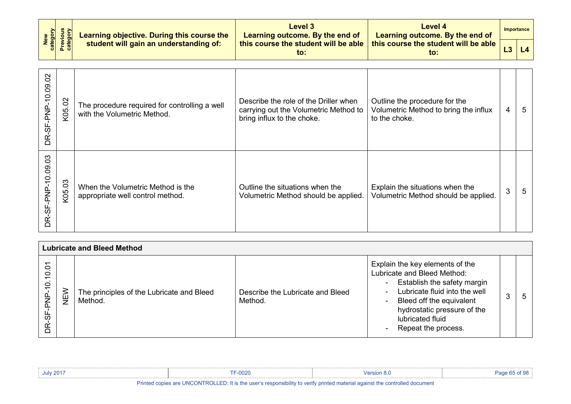| New<br>Category<br>Previous<br>Category | Learning objective. During this course the | Level 3<br>Learning outcome. By the end of  | Level 4<br>Learning outcome. By the end of    | Importance |
|-----------------------------------------|--------------------------------------------|---------------------------------------------|-----------------------------------------------|------------|
|                                         | student will gain an understanding of:     | this course the student will be able<br>to: | this course the student will be able  <br>to: |            |

| DR-SF-PNP-10.09.02     | K05.02 | The procedure required for controlling a well<br>with the Volumetric Method. | Describe the role of the Driller when<br>carrying out the Volumetric Method to<br>bring influx to the choke. | Outline the procedure for the<br>Volumetric Method to bring the influx<br>to the choke. | 4 | 5 |
|------------------------|--------|------------------------------------------------------------------------------|--------------------------------------------------------------------------------------------------------------|-----------------------------------------------------------------------------------------|---|---|
| R-SF-PNP-10.09.03<br>≏ | K05.03 | When the Volumetric Method is the<br>appropriate well control method.        | Outline the situations when the<br>Volumetric Method should be applied.                                      | Explain the situations when the<br>Volumetric Method should be applied.                 | 3 | 5 |

|                                                                      | <b>Lubricate and Bleed Method</b> |                                                      |                                             |                                                                                                                                                                                                                                      |         |              |  |  |
|----------------------------------------------------------------------|-----------------------------------|------------------------------------------------------|---------------------------------------------|--------------------------------------------------------------------------------------------------------------------------------------------------------------------------------------------------------------------------------------|---------|--------------|--|--|
| $\overline{Q}$<br>$\overline{c}$<br>$\overline{Q}$<br><u>မှ</u><br>Ĕ | í<br>Σ                            | The principles of the Lubricate and Bleed<br>Method. | Describe the Lubricate and Bleed<br>Method. | Explain the key elements of the<br>Lubricate and Bleed Method:<br>Establish the safety margin<br>Lubricate fluid into the well<br>Bleed off the equivalent<br>hydrostatic pressure of the<br>lubricated fluid<br>Repeat the process. | ◠<br>C, | <sub>5</sub> |  |  |

| <b>July 2017</b> | F-0020                                                                                                                      | <b>Version 8.u</b> |  |
|------------------|-----------------------------------------------------------------------------------------------------------------------------|--------------------|--|
|                  | Printed copies are UNCONTROLLED: It is the user's responsibility to verify printed material against the controlled document |                    |  |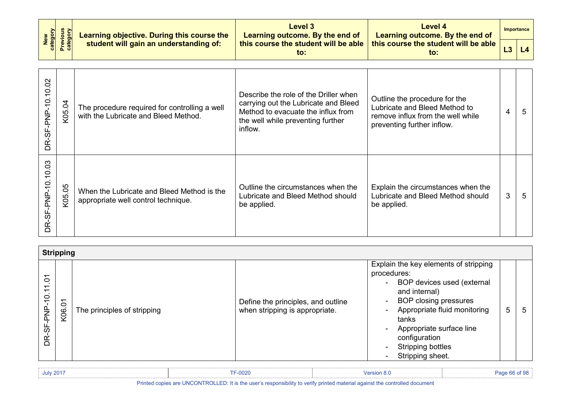| New<br>Category<br>Previous<br>Category | Learning objective. During this course the | Level 3<br>Learning outcome. By the end of  | Level 4<br>Learning outcome. By the end of              | Importance |
|-----------------------------------------|--------------------------------------------|---------------------------------------------|---------------------------------------------------------|------------|
|                                         | student will gain an understanding of:     | this course the student will be able<br>to: | this course the student will be able $\parallel$<br>to: |            |

| DR-SF-PNP-10.10.02 | K05.04 | The procedure required for controlling a well<br>with the Lubricate and Bleed Method. | Describe the role of the Driller when<br>carrying out the Lubricate and Bleed<br>Method to evacuate the influx from<br>the well while preventing further<br>inflow. | Outline the procedure for the<br>Lubricate and Bleed Method to<br>remove influx from the well while<br>preventing further inflow. | 4 | 5 |
|--------------------|--------|---------------------------------------------------------------------------------------|---------------------------------------------------------------------------------------------------------------------------------------------------------------------|-----------------------------------------------------------------------------------------------------------------------------------|---|---|
| DR-SF-PNP-10.10.03 | K05.05 | When the Lubricate and Bleed Method is the<br>appropriate well control technique.     | Outline the circumstances when the<br>Lubricate and Bleed Method should<br>be applied.                                                                              | Explain the circumstances when the<br>Lubricate and Bleed Method should<br>be applied.                                            | 3 | 5 |

|                                                                                                                                                               | <b>Stripping</b>      |                             |                                                                      |                                                                                                                                                                                                                                                                                         |   |   |
|---------------------------------------------------------------------------------------------------------------------------------------------------------------|-----------------------|-----------------------------|----------------------------------------------------------------------|-----------------------------------------------------------------------------------------------------------------------------------------------------------------------------------------------------------------------------------------------------------------------------------------|---|---|
| $\overline{\phantom{0}}$<br>$\circ$<br>$\overline{\phantom{0}}$<br>$\overline{\phantom{0}}$<br>. .<br>$\tilde{\mathsf{C}}$<br>-PNP-<br><u>არ</u><br><u>ok</u> | $\overline{5}$<br>K06 | The principles of stripping | Define the principles, and outline<br>when stripping is appropriate. | Explain the key elements of stripping<br>procedures:<br>- BOP devices used (external<br>and internal)<br><b>BOP closing pressures</b><br>۰.<br>Appropriate fluid monitoring<br>tanks<br>Appropriate surface line<br>configuration<br><b>Stripping bottles</b><br>Ξ.<br>Stripping sheet. | 5 | 5 |

| <b>July 2017</b> | $-0020$ | <b>Version 8.J</b> | $\epsilon$ QQ<br>. |
|------------------|---------|--------------------|--------------------|
|                  |         |                    |                    |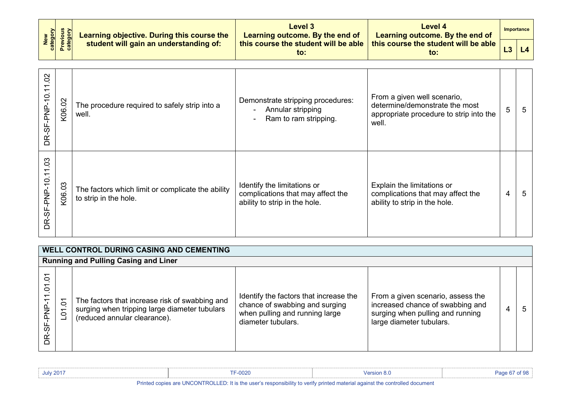| New<br>category<br>Previous<br>category | Learning objective. During this course the | Level 3<br>Learning outcome. By the end of  | Level 4<br>Learning outcome. By the end of              |  | Importance |
|-----------------------------------------|--------------------------------------------|---------------------------------------------|---------------------------------------------------------|--|------------|
|                                         | student will gain an understanding of:     | this course the student will be able<br>to: | this course the student will be able $\parallel$<br>to: |  | L4         |

| $\mathcal{S}$<br>DR-SF-PNP-10.11                 | K06.02     | The procedure required to safely strip into a<br>well.                     | Demonstrate stripping procedures:<br>Annular stripping<br>Ram to ram stripping.                   | From a given well scenario,<br>determine/demonstrate the most<br>appropriate procedure to strip into the<br>well. | 5 | 5 |
|--------------------------------------------------|------------|----------------------------------------------------------------------------|---------------------------------------------------------------------------------------------------|-------------------------------------------------------------------------------------------------------------------|---|---|
| 03<br>$\overline{\phantom{0}}$<br>DR-SF-PNP-10.1 | က<br>K06.0 | The factors which limit or complicate the ability<br>to strip in the hole. | Identify the limitations or<br>complications that may affect the<br>ability to strip in the hole. | Explain the limitations or<br>complications that may affect the<br>ability to strip in the hole.                  | 4 | 5 |

| <b>WELL CONTROL DURING CASING AND CEMENTING</b>                          |                            |                                                                                                                                 |                                                                                                                                  |                                                                                                                                       |   |    |  |  |  |  |
|--------------------------------------------------------------------------|----------------------------|---------------------------------------------------------------------------------------------------------------------------------|----------------------------------------------------------------------------------------------------------------------------------|---------------------------------------------------------------------------------------------------------------------------------------|---|----|--|--|--|--|
|                                                                          |                            | <b>Running and Pulling Casing and Liner</b>                                                                                     |                                                                                                                                  |                                                                                                                                       |   |    |  |  |  |  |
| $\circ$<br>$\tilde{\Theta}$<br>$\overline{\phantom{0}}$<br>SF-PNP<br>DŘ. | $\delta$<br>$\overline{5}$ | The factors that increase risk of swabbing and<br>surging when tripping large diameter tubulars<br>(reduced annular clearance). | Identify the factors that increase the<br>chance of swabbing and surging<br>when pulling and running large<br>diameter tubulars. | From a given scenario, assess the<br>increased chance of swabbing and<br>surging when pulling and running<br>large diameter tubulars. | 4 | -5 |  |  |  |  |

| <b>July 2017</b> | $-0020$ | ersion 8.0                                                                                                                                                                                                                     |  |
|------------------|---------|--------------------------------------------------------------------------------------------------------------------------------------------------------------------------------------------------------------------------------|--|
| ____             |         | the contract the contract of the contract of the contract of the contract of the contract of the contract of the contract of the contract of the contract of the contract of the contract of the contract of the contract of t |  |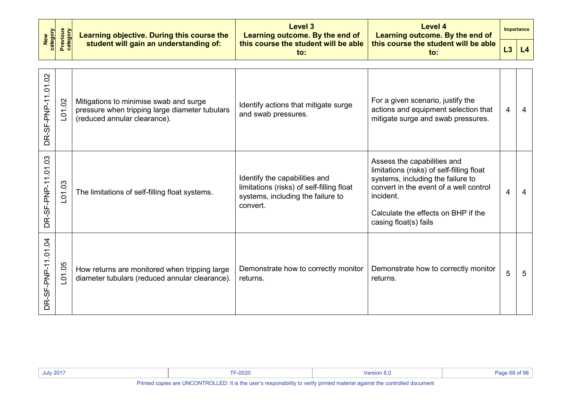|  | Learning objective. During this course the | Level 3<br>Learning outcome. By the end of | Level 4<br>Learning outcome. By the end of  | Importance                                              |  |
|--|--------------------------------------------|--------------------------------------------|---------------------------------------------|---------------------------------------------------------|--|
|  | New<br>Category<br>Previous<br>Category    | student will gain an understanding of:     | this course the student will be able<br>to: | this course the student will be able $\parallel$<br>to: |  |

| DR-SF-PNP-11.01.02 | L01.02               | Mitigations to minimise swab and surge<br>pressure when tripping large diameter tubulars<br>(reduced annular clearance). | Identify actions that mitigate surge<br>and swab pressures.                                                                 | For a given scenario, justify the<br>actions and equipment selection that<br>mitigate surge and swab pressures.                                                                                                                      | 4 | 4 |
|--------------------|----------------------|--------------------------------------------------------------------------------------------------------------------------|-----------------------------------------------------------------------------------------------------------------------------|--------------------------------------------------------------------------------------------------------------------------------------------------------------------------------------------------------------------------------------|---|---|
| DR-SF-PNP-11.01.03 | L01.03               | The limitations of self-filling float systems.                                                                           | Identify the capabilities and<br>limitations (risks) of self-filling float<br>systems, including the failure to<br>convert. | Assess the capabilities and<br>limitations (risks) of self-filling float<br>systems, including the failure to<br>convert in the event of a well control<br>incident.<br>Calculate the effects on BHP if the<br>casing float(s) fails | 4 | 4 |
| DR-SF-PNP-11.01.04 | 05<br>$\overline{5}$ | How returns are monitored when tripping large<br>diameter tubulars (reduced annular clearance).                          | Demonstrate how to correctly monitor<br>returns.                                                                            | Demonstrate how to correctly monitor<br>returns.                                                                                                                                                                                     | 5 | 5 |

| <b>July 2017</b> | F-0020                                                                                                                      | <sup>∿</sup> /ersion 8.⊾ |  |  |  |  |  |  |  |
|------------------|-----------------------------------------------------------------------------------------------------------------------------|--------------------------|--|--|--|--|--|--|--|
|                  | Printed copies are UNCONTROLLED: It is the user's responsibility to verify printed material against the controlled document |                          |  |  |  |  |  |  |  |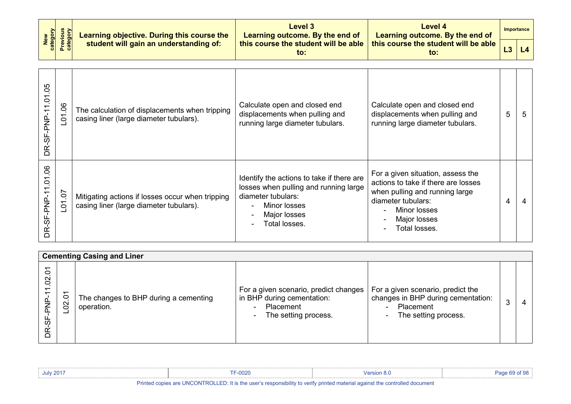| New<br>category<br>Previous<br>category | Learning objective. During this course the | <b>Level 3</b><br>Learning outcome. By the end of | Level 4<br>Learning outcome. By the end of  |                | Importance |  |
|-----------------------------------------|--------------------------------------------|---------------------------------------------------|---------------------------------------------|----------------|------------|--|
|                                         | student will gain an understanding of:     | this course the student will be able<br>to:       | this course the student will be able<br>to: | L <sub>3</sub> | L4         |  |

| DR-SF-PNP-11.01.05     | 06<br>$\overline{5}$ | The calculation of displacements when tripping<br>casing liner (large diameter tubulars).   | Calculate open and closed end<br>displacements when pulling and<br>running large diameter tubulars.                                                       | Calculate open and closed end<br>displacements when pulling and<br>running large diameter tubulars.                                                                               | 5 | 5 |
|------------------------|----------------------|---------------------------------------------------------------------------------------------|-----------------------------------------------------------------------------------------------------------------------------------------------------------|-----------------------------------------------------------------------------------------------------------------------------------------------------------------------------------|---|---|
| .06<br>DR-SF-PNP-11.01 | 01.07                | Mitigating actions if losses occur when tripping<br>casing liner (large diameter tubulars). | Identify the actions to take if there are<br>losses when pulling and running large<br>diameter tubulars:<br>Minor losses<br>Major losses<br>Total losses. | For a given situation, assess the<br>actions to take if there are losses<br>when pulling and running large<br>diameter tubulars:<br>Minor losses<br>Major losses<br>Total losses. | 4 |   |

|                                | <b>Cementing Casing and Liner</b> |                                                     |                                                                                                                                      |                                                                                                              |   |   |  |  |  |
|--------------------------------|-----------------------------------|-----------------------------------------------------|--------------------------------------------------------------------------------------------------------------------------------------|--------------------------------------------------------------------------------------------------------------|---|---|--|--|--|
| $\circ$<br>$\overline{0}$<br>ഗ | $\circ$<br>$\infty$               | The changes to BHP during a cementing<br>operation. | For a given scenario, predict changes<br>in BHP during cementation:<br>Placement<br>The setting process.<br>$\overline{\phantom{a}}$ | For a given scenario, predict the<br>changes in BHP during cementation:<br>Placement<br>The setting process. | ≘ | 4 |  |  |  |

| <b>July 2017</b> | <b>TF-0020</b>                                                                                                                                                                                                                                                                                                                                                                                                                                                                                                                                                      | Version 8.0                                                                                                     | Page 69 of 98 |
|------------------|---------------------------------------------------------------------------------------------------------------------------------------------------------------------------------------------------------------------------------------------------------------------------------------------------------------------------------------------------------------------------------------------------------------------------------------------------------------------------------------------------------------------------------------------------------------------|-----------------------------------------------------------------------------------------------------------------|---------------|
|                  | $\mathbf{u}$ $\mathbf{u}$ $\mathbf{u}$ $\mathbf{u}$ $\mathbf{u}$ $\mathbf{v}$ $\mathbf{v}$ $\mathbf{v}$ $\mathbf{v}$ $\mathbf{v}$ $\mathbf{v}$ $\mathbf{v}$ $\mathbf{v}$ $\mathbf{v}$ $\mathbf{v}$ $\mathbf{v}$ $\mathbf{v}$ $\mathbf{v}$ $\mathbf{v}$ $\mathbf{v}$ $\mathbf{v}$ $\mathbf{v}$ $\mathbf{v}$ $\mathbf{v}$ $\mathbf{$<br>the company of the company of the company of the company of the company of the company of the company of the company of the company of the company of the company of the company of the company of the company of the company | the contract of the contract of the contract of the contract of the contract of the contract of the contract of |               |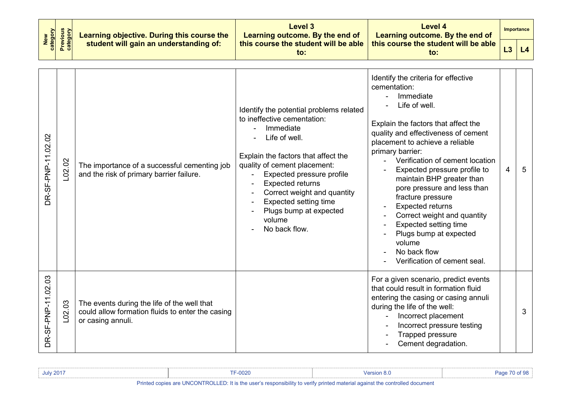| New<br>category    | <b>Previous</b><br>category<br>Learning objective. During this course the |                                                                                                                      | <b>Level 3</b><br>Learning outcome. By the end of                                                                                                                                                                                                                                                                                                       | <b>Level 4</b><br>Learning outcome. By the end of                                                                                                                                                                                                                                                                                                                                                                                                                                                                                                        |   | <b>Importance</b> |
|--------------------|---------------------------------------------------------------------------|----------------------------------------------------------------------------------------------------------------------|---------------------------------------------------------------------------------------------------------------------------------------------------------------------------------------------------------------------------------------------------------------------------------------------------------------------------------------------------------|----------------------------------------------------------------------------------------------------------------------------------------------------------------------------------------------------------------------------------------------------------------------------------------------------------------------------------------------------------------------------------------------------------------------------------------------------------------------------------------------------------------------------------------------------------|---|-------------------|
|                    |                                                                           | student will gain an understanding of:                                                                               | this course the student will be able<br>to:                                                                                                                                                                                                                                                                                                             | this course the student will be able<br>to:                                                                                                                                                                                                                                                                                                                                                                                                                                                                                                              |   | L4                |
| DR-SF-PNP-11.02.02 | L02.02                                                                    | The importance of a successful cementing job<br>and the risk of primary barrier failure.                             | Identify the potential problems related<br>to ineffective cementation:<br>Immediate<br>Life of well.<br>Explain the factors that affect the<br>quality of cement placement:<br>Expected pressure profile<br><b>Expected returns</b><br>Correct weight and quantity<br><b>Expected setting time</b><br>Plugs bump at expected<br>volume<br>No back flow. | Identify the criteria for effective<br>cementation:<br>Immediate<br>Life of well.<br>Explain the factors that affect the<br>quality and effectiveness of cement<br>placement to achieve a reliable<br>primary barrier:<br>Verification of cement location<br>Expected pressure profile to<br>maintain BHP greater than<br>pore pressure and less than<br>fracture pressure<br><b>Expected returns</b><br>Correct weight and quantity<br><b>Expected setting time</b><br>Plugs bump at expected<br>volume<br>No back flow<br>Verification of cement seal. | 4 | 5                 |
| DR-SF-PNP-11.02.03 | L <sub>02.03</sub>                                                        | The events during the life of the well that<br>could allow formation fluids to enter the casing<br>or casing annuli. |                                                                                                                                                                                                                                                                                                                                                         | For a given scenario, predict events<br>that could result in formation fluid<br>entering the casing or casing annuli<br>during the life of the well:<br>Incorrect placement<br>Incorrect pressure testing<br>Trapped pressure<br>Cement degradation.                                                                                                                                                                                                                                                                                                     |   | 3                 |

| <b>July 2017</b>                                                                                                      | $= -0020$ | <b>Mersion 8.u</b> |  |  |  |  |  |  |  |
|-----------------------------------------------------------------------------------------------------------------------|-----------|--------------------|--|--|--|--|--|--|--|
| Dalaka al-aasiaa joo HNOONTDOHED. Bis ka maada saasaasiisiiki ka malki salaka asakaala aasiaakka jaaskalla al-amaaska |           |                    |  |  |  |  |  |  |  |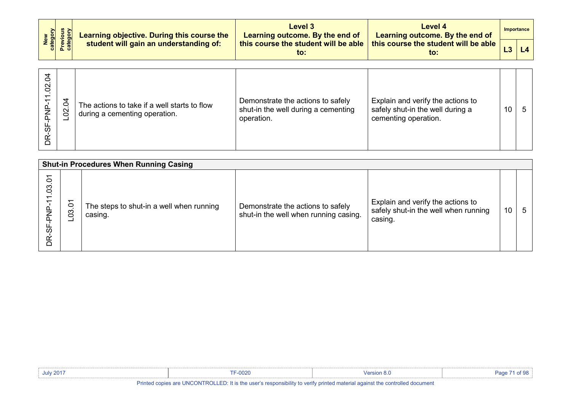|  | Learning objective. During this course the | Level 3<br>Learning outcome. By the end of | Level 4<br>Learning outcome. By the end of  |                                             | Importance |    |
|--|--------------------------------------------|--------------------------------------------|---------------------------------------------|---------------------------------------------|------------|----|
|  | New<br>Category<br>Previous<br>Category    | student will gain an understanding of:     | this course the student will be able<br>to: | this course the student will be able<br>to: |            | L4 |

| S,<br>$\Omega$<br>൧഻<br>준<br>9−<br>9<br>BŘ | ड<br>$\delta$ | The actions to take if a well starts to flow<br>during a cementing operation. | Demonstrate the actions to safely<br>shut-in the well during a cementing<br>operation. | Explain and verify the actions to<br>safely shut-in the well during a<br>cementing operation. | 10 |  |
|--------------------------------------------|---------------|-------------------------------------------------------------------------------|----------------------------------------------------------------------------------------|-----------------------------------------------------------------------------------------------|----|--|
|--------------------------------------------|---------------|-------------------------------------------------------------------------------|----------------------------------------------------------------------------------------|-----------------------------------------------------------------------------------------------|----|--|

| <b>Shut-in Procedures When Running Casing</b>                           |                   |                                                     |                                                                            |                                                                                      |    |   |  |
|-------------------------------------------------------------------------|-------------------|-----------------------------------------------------|----------------------------------------------------------------------------|--------------------------------------------------------------------------------------|----|---|--|
| Š<br>$\overline{0}3$<br>$\overline{\phantom{0}}$<br>ok<br>AP<br>56<br>È | ᅮ<br>$\circ$<br>ဒ | The steps to shut-in a well when running<br>casing. | Demonstrate the actions to safely<br>shut-in the well when running casing. | Explain and verify the actions to<br>safely shut-in the well when running<br>casing. | 10 | 5 |  |

| <b>July 2017</b>                                                                                                      | $-0020$ |  |  |  |  |
|-----------------------------------------------------------------------------------------------------------------------|---------|--|--|--|--|
| <b>BULLER AND ARRANTS OF BULLER AND A STREET AND A STREET AND A STREET AND A STREET AND A STREET AND A STREET AND</b> |         |  |  |  |  |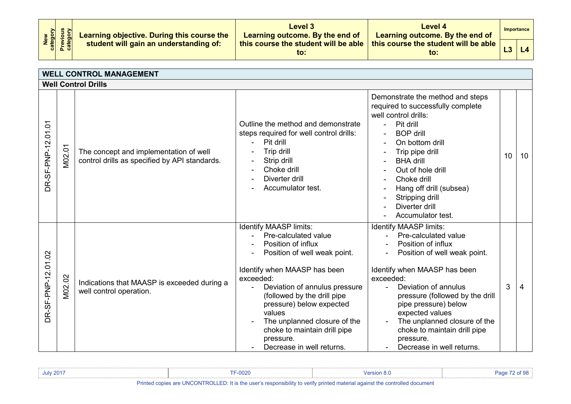| New<br>category<br>Previous<br>category |  | Learning objective. During this course the<br>student will gain an understanding of: | Level 3<br>Learning outcome. By the end of | Level 4<br>Learning outcome. By the end of                                                       |  | Importance          |
|-----------------------------------------|--|--------------------------------------------------------------------------------------|--------------------------------------------|--------------------------------------------------------------------------------------------------|--|---------------------|
|                                         |  |                                                                                      | to:                                        | this course the student will be able $\vert$ this course the student will be able $\vert$<br>to: |  | $\lfloor 4 \rfloor$ |

| <b>WELL CONTROL MANAGEMENT</b> |        |                                                                                         |                                                                                                                                                                                                                                                                                                                                                                   |                                                                                                                                                                                                                                                                                                                                                                                      |                 |    |  |
|--------------------------------|--------|-----------------------------------------------------------------------------------------|-------------------------------------------------------------------------------------------------------------------------------------------------------------------------------------------------------------------------------------------------------------------------------------------------------------------------------------------------------------------|--------------------------------------------------------------------------------------------------------------------------------------------------------------------------------------------------------------------------------------------------------------------------------------------------------------------------------------------------------------------------------------|-----------------|----|--|
| <b>Well Control Drills</b>     |        |                                                                                         |                                                                                                                                                                                                                                                                                                                                                                   |                                                                                                                                                                                                                                                                                                                                                                                      |                 |    |  |
| DR-SF-PNP-12.01.01             | M02.01 | The concept and implementation of well<br>control drills as specified by API standards. | Outline the method and demonstrate<br>steps required for well control drills:<br>Pit drill<br>Trip drill<br>Strip drill<br>Choke drill<br>Diverter drill<br>Accumulator test.                                                                                                                                                                                     | Demonstrate the method and steps<br>required to successfully complete<br>well control drills:<br>Pit drill<br><b>BOP</b> drill<br>On bottom drill<br>Trip pipe drill<br><b>BHA drill</b><br>Out of hole drill<br>Choke drill<br>Hang off drill (subsea)<br>Stripping drill<br>Diverter drill<br>Accumulator test.                                                                    | 10 <sup>°</sup> | 10 |  |
| DR-SF-PNP-12.01.02             | M02.02 | Indications that MAASP is exceeded during a<br>well control operation.                  | Identify MAASP limits:<br>Pre-calculated value<br>Position of influx<br>Position of well weak point.<br>Identify when MAASP has been<br>exceeded:<br>Deviation of annulus pressure<br>(followed by the drill pipe<br>pressure) below expected<br>values<br>The unplanned closure of the<br>choke to maintain drill pipe<br>pressure.<br>Decrease in well returns. | Identify MAASP limits:<br>Pre-calculated value<br>$\sim 10^{-11}$<br>Position of influx<br>Position of well weak point.<br>Identify when MAASP has been<br>exceeded:<br>Deviation of annulus<br>pressure (followed by the drill<br>pipe pressure) below<br>expected values<br>The unplanned closure of the<br>choke to maintain drill pipe<br>pressure.<br>Decrease in well returns. | 3               | 4  |  |

| <b>July 2017</b>                                                                                                            | -0020 |  | Danc |  |  |
|-----------------------------------------------------------------------------------------------------------------------------|-------|--|------|--|--|
| Printed copies are UNCONTROLLED: It is the user's responsibility to verify printed material against the controlled document |       |  |      |  |  |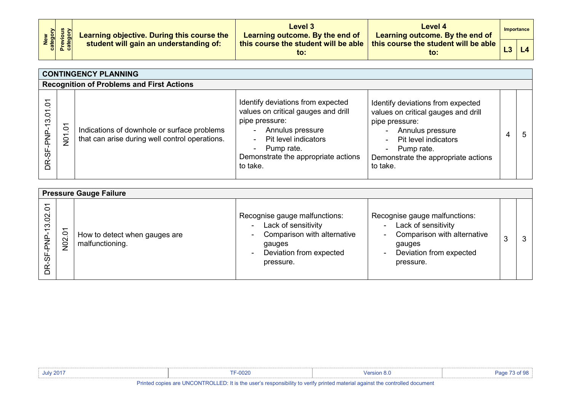| New<br>Category<br>Previous<br>Category |  | Learning objective. During this course the<br>student will gain an understanding of: | Level 3<br>Learning outcome. By the end of | Level 4<br>Learning outcome. By the end of                                                       | Importance |
|-----------------------------------------|--|--------------------------------------------------------------------------------------|--------------------------------------------|--------------------------------------------------------------------------------------------------|------------|
|                                         |  |                                                                                      | to:                                        | , this course the student will be able $\mid$ this course the student will be able $\mid$<br>to: | L4         |

| <b>CONTINGENCY PLANNING</b>                                        |                     |                                                                                               |                                                                                                                                                                                                                           |                                                                                                                                                                                                                                     |   |  |
|--------------------------------------------------------------------|---------------------|-----------------------------------------------------------------------------------------------|---------------------------------------------------------------------------------------------------------------------------------------------------------------------------------------------------------------------------|-------------------------------------------------------------------------------------------------------------------------------------------------------------------------------------------------------------------------------------|---|--|
|                                                                    |                     | <b>Recognition of Problems and First Actions</b>                                              |                                                                                                                                                                                                                           |                                                                                                                                                                                                                                     |   |  |
| 5<br>$\tilde{\mathbf{c}}$<br>S<br>غ<br>ج<br>ن<br>8<br>$\mathbb{R}$ | Š<br>$\overline{5}$ | Indications of downhole or surface problems<br>that can arise during well control operations. | Identify deviations from expected<br>values on critical gauges and drill<br>pipe pressure:<br>Annulus pressure<br>Pit level indicators<br>Pump rate.<br>$\blacksquare$<br>Demonstrate the appropriate actions<br>to take. | Identify deviations from expected<br>values on critical gauges and drill<br>pipe pressure:<br>Annulus pressure<br>Pit level indicators<br>$\sim$<br>Pump rate.<br>$\blacksquare$<br>Demonstrate the appropriate actions<br>to take. | 4 |  |

|                        | <b>Pressure Gauge Failure</b> |                                                  |                                                                                                                                                                             |                                                                                                                                                                                     |  |  |  |  |
|------------------------|-------------------------------|--------------------------------------------------|-----------------------------------------------------------------------------------------------------------------------------------------------------------------------------|-------------------------------------------------------------------------------------------------------------------------------------------------------------------------------------|--|--|--|--|
| $\circ$<br>8<br>S<br>ഗ | ᅮ<br>$\frac{0}{20}$           | How to detect when gauges are<br>malfunctioning. | Recognise gauge malfunctions:<br>Lack of sensitivity<br>$\sim$<br>Comparison with alternative<br>$\sim$<br>gauges<br>Deviation from expected<br>$\blacksquare$<br>pressure. | Recognise gauge malfunctions:<br>Lack of sensitivity<br>$\blacksquare$<br>Comparison with alternative<br>$\sim$<br>gauges<br>Deviation from expected<br>$\blacksquare$<br>pressure. |  |  |  |  |

| <b>July 2017</b> | $-0020$                                                                                                                     | Persion 8. |  |
|------------------|-----------------------------------------------------------------------------------------------------------------------------|------------|--|
|                  | Printed copies are UNCONTROLLED: It is the user's responsibility to verify printed material against the controlled document |            |  |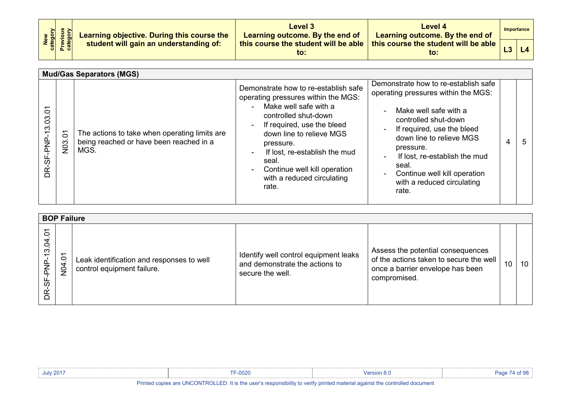| New<br>category<br>Previous<br>category | Learning objective. During this course the | Level 3<br>Learning outcome. By the end of  | Level 4<br>Learning outcome. By the end of              | Importance |
|-----------------------------------------|--------------------------------------------|---------------------------------------------|---------------------------------------------------------|------------|
|                                         | student will gain an understanding of:     | this course the student will be able<br>to: | this course the student will be able $\parallel$<br>to: |            |

|                                         |                             | <b>Mud/Gas Separators (MGS)</b>                                                                  |                                                                                                                                                                                                                                                                                                                                                              |                                                                                                                                                                                                                                                                                                                                                            |   |   |
|-----------------------------------------|-----------------------------|--------------------------------------------------------------------------------------------------|--------------------------------------------------------------------------------------------------------------------------------------------------------------------------------------------------------------------------------------------------------------------------------------------------------------------------------------------------------------|------------------------------------------------------------------------------------------------------------------------------------------------------------------------------------------------------------------------------------------------------------------------------------------------------------------------------------------------------------|---|---|
| 13.03.01<br><u>، مر</u><br>جم<br>DR-SF- | $\delta$<br>N <sub>03</sub> | The actions to take when operating limits are<br>being reached or have been reached in a<br>MGS. | Demonstrate how to re-establish safe<br>operating pressures within the MGS:<br>Make well safe with a<br>$\sim$<br>controlled shut-down<br>If required, use the bleed<br>$\sim$<br>down line to relieve MGS<br>pressure.<br>If lost, re-establish the mud<br>$\sim$<br>seal.<br>Continue well kill operation<br>$\sim$<br>with a reduced circulating<br>rate. | Demonstrate how to re-establish safe<br>operating pressures within the MGS:<br>Make well safe with a<br>$\sim$<br>controlled shut-down<br>If required, use the bleed<br>$\blacksquare$<br>down line to relieve MGS<br>pressure.<br>If lost, re-establish the mud<br>seal.<br>Continue well kill operation<br>$\sim$<br>with a reduced circulating<br>rate. | 4 | 5 |

| <b>BOP Failure</b>                                             |                                             |                                                                         |                                                                                             |                                                                                                                                  |    |    |  |
|----------------------------------------------------------------|---------------------------------------------|-------------------------------------------------------------------------|---------------------------------------------------------------------------------------------|----------------------------------------------------------------------------------------------------------------------------------|----|----|--|
| $\circ$<br>$\overline{a}$<br>$\tilde{\mathfrak{c}}$<br>ഗ<br>ΒŘ | $\overline{ }$<br>$\circ$<br>$\overline{a}$ | Leak identification and responses to well<br>control equipment failure. | Identify well control equipment leaks<br>and demonstrate the actions to<br>secure the well. | Assess the potential consequences<br>of the actions taken to secure the well<br>once a barrier envelope has been<br>compromised. | 10 | 10 |  |

| <b>July 2017</b> | <b>TF-0020</b>                                                                                                                                                                                                                                                                                                                                                                                                                                                                                                                              | Version 8.0                                                                                                     | Page 74 of 98 |
|------------------|---------------------------------------------------------------------------------------------------------------------------------------------------------------------------------------------------------------------------------------------------------------------------------------------------------------------------------------------------------------------------------------------------------------------------------------------------------------------------------------------------------------------------------------------|-----------------------------------------------------------------------------------------------------------------|---------------|
| .                | $\mathbf{r}$ , $\mathbf{r}$ , $\mathbf{r}$ , $\mathbf{r}$ , $\mathbf{r}$ , $\mathbf{r}$ , $\mathbf{r}$ , $\mathbf{r}$ , $\mathbf{r}$ , $\mathbf{r}$ , $\mathbf{r}$ , $\mathbf{r}$ , $\mathbf{r}$ , $\mathbf{r}$ , $\mathbf{r}$ , $\mathbf{r}$ , $\mathbf{r}$ , $\mathbf{r}$ , $\mathbf{r}$ , $\mathbf{r}$ ,<br>$-1.11$ . The second contract of the second contract of the second contract of the second contract of the second contract of the second contract of the second contract of the second contract of the second contract of the | the contract of the contract of the contract of the contract of the contract of the contract of the contract of |               |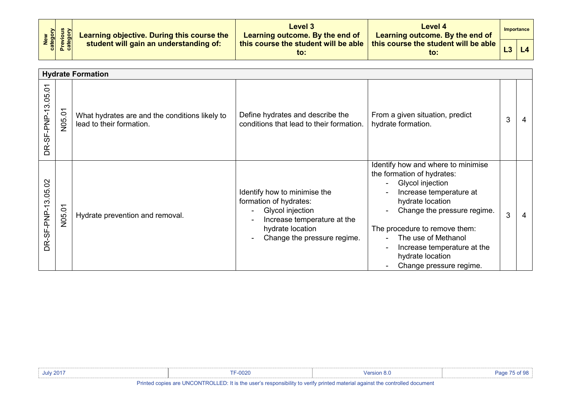| New<br>Category<br>Previous<br>Category | Learning objective. During this course the | Level 3<br>Learning outcome. By the end of  | Level 4<br>Learning outcome. By the end of  |    | Importance |
|-----------------------------------------|--------------------------------------------|---------------------------------------------|---------------------------------------------|----|------------|
|                                         | student will gain an understanding of:     | this course the student will be able<br>to: | this course the student will be able<br>to: | L3 | L4         |

|                                     |        | <b>Hydrate Formation</b>                                                   |                                                                                                                                                              |                                                                                                                                                                                                                                                                                                                            |   |  |
|-------------------------------------|--------|----------------------------------------------------------------------------|--------------------------------------------------------------------------------------------------------------------------------------------------------------|----------------------------------------------------------------------------------------------------------------------------------------------------------------------------------------------------------------------------------------------------------------------------------------------------------------------------|---|--|
| $\overline{ }$<br>DR-SF-PNP-13.05.0 | N05.01 | What hydrates are and the conditions likely to<br>lead to their formation. | Define hydrates and describe the<br>conditions that lead to their formation.                                                                                 | From a given situation, predict<br>hydrate formation.                                                                                                                                                                                                                                                                      | 3 |  |
| DR-SF-PNP-13.05.02                  | N05.01 | Hydrate prevention and removal.                                            | Identify how to minimise the<br>formation of hydrates:<br>Glycol injection<br>Increase temperature at the<br>hydrate location<br>Change the pressure regime. | Identify how and where to minimise<br>the formation of hydrates:<br>Glycol injection<br>$\blacksquare$<br>Increase temperature at<br>hydrate location<br>Change the pressure regime.<br>The procedure to remove them:<br>The use of Methanol<br>Increase temperature at the<br>hydrate location<br>Change pressure regime. | 3 |  |

| <b>July 2017</b> | F-0020                                                                                                                      |  |
|------------------|-----------------------------------------------------------------------------------------------------------------------------|--|
|                  | Printed copies are UNCONTROLLED: It is the user's responsibility to verify printed material against the controlled document |  |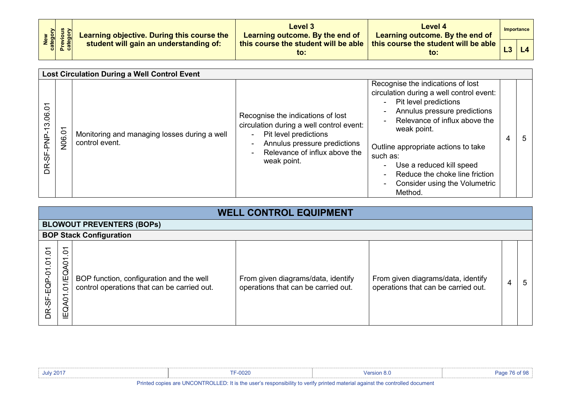| New<br>Category<br>Previous<br>Category | Learning objective. During this course the | Level 3<br>Learning outcome. By the end of  | Level 4<br>Learning outcome. By the end of  | Importance |
|-----------------------------------------|--------------------------------------------|---------------------------------------------|---------------------------------------------|------------|
|                                         | student will gain an understanding of:     | this course the student will be able<br>to: | this course the student will be able<br>to: |            |

| <b>Lost Circulation During a Well Control Event</b> |        |                                                                |                                                                                                                                                                                                  |                                                                                                                                                                                                                                                                                                                                                       |   |   |
|-----------------------------------------------------|--------|----------------------------------------------------------------|--------------------------------------------------------------------------------------------------------------------------------------------------------------------------------------------------|-------------------------------------------------------------------------------------------------------------------------------------------------------------------------------------------------------------------------------------------------------------------------------------------------------------------------------------------------------|---|---|
| Š<br>13.06<br>INd-39-<br>BŘ                         | N06.01 | Monitoring and managing losses during a well<br>control event. | Recognise the indications of lost<br>circulation during a well control event:<br>Pit level predictions<br>$\sim$<br>Annulus pressure predictions<br>Relevance of influx above the<br>weak point. | Recognise the indications of lost<br>circulation during a well control event:<br>- Pit level predictions<br>Annulus pressure predictions<br>Relevance of influx above the<br>weak point.<br>Outline appropriate actions to take<br>such as:<br>Use a reduced kill speed<br>Reduce the choke line friction<br>Consider using the Volumetric<br>Method. | 4 | 5 |

|                                          | <b>WELL CONTROL EQUIPMENT</b>          |                                                                                         |                                                                           |                                                                           |   |    |  |  |  |  |
|------------------------------------------|----------------------------------------|-----------------------------------------------------------------------------------------|---------------------------------------------------------------------------|---------------------------------------------------------------------------|---|----|--|--|--|--|
|                                          |                                        | <b>BLOWOUT PREVENTERS (BOPS)</b>                                                        |                                                                           |                                                                           |   |    |  |  |  |  |
|                                          |                                        | <b>BOP Stack Configuration</b>                                                          |                                                                           |                                                                           |   |    |  |  |  |  |
| $\tilde{c}$<br>$-EGP - 01.01$<br>ယ်<br>œ | 5<br>᠇<br>9<br>EQ<br>$\circ$<br>IEQA01 | BOP function, configuration and the well<br>control operations that can be carried out. | From given diagrams/data, identify<br>operations that can be carried out. | From given diagrams/data, identify<br>operations that can be carried out. | 4 | -5 |  |  |  |  |

| July 2017 | 0000<br><b>IF-0020</b> | ersion 8.0 |  |
|-----------|------------------------|------------|--|
|           |                        |            |  |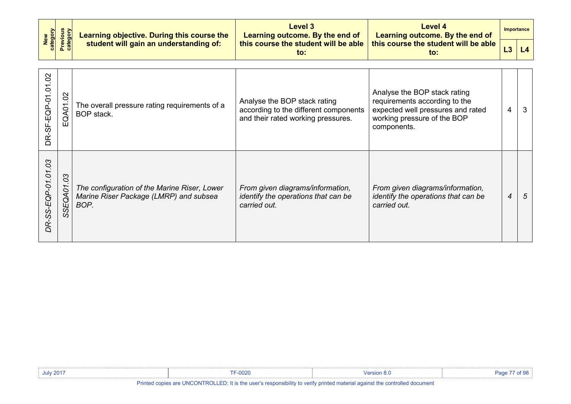| New<br>category                                        | <b>Previous</b><br>category | Learning objective. During this course the<br>student will gain an understanding of: | Level 3<br>Learning outcome. By the end of                                                                  | Level 4<br>Learning outcome. By the end of                                                                                                       |   | <b>Importance</b> |
|--------------------------------------------------------|-----------------------------|--------------------------------------------------------------------------------------|-------------------------------------------------------------------------------------------------------------|--------------------------------------------------------------------------------------------------------------------------------------------------|---|-------------------|
|                                                        |                             |                                                                                      | this course the student will be able<br>to:                                                                 | this course the student will be able<br>to:                                                                                                      |   | L4                |
| $\overline{0}$<br>$\tilde{c}$<br>SF-EQP-01<br>DR-<br>D | So<br>EQA01                 | The overall pressure rating requirements of a<br>BOP stack.                          | Analyse the BOP stack rating<br>according to the different components<br>and their rated working pressures. | Analyse the BOP stack rating<br>requirements according to the<br>expected well pressures and rated<br>working pressure of the BOP<br>components. | 4 | 3                 |

*DR-SS-EQP-01.01.03*

DR-SS-EQP-01.01.03

*SSEQA01.03*

*BOP.*

*The configuration of the Marine Riser, Lower Marine Riser Package (LMRP) and subsea* 

*From given diagrams/information, identify the operations that can be* 

*carried out.*

*From given diagrams/information, identify the operations that can be* 

*4 5*

*carried out.*

| <b>July 2017</b> | TF-0020              | Version 8.0 | of $98$<br>Page 77 |
|------------------|----------------------|-------------|--------------------|
| .                | $\cdots$<br>$\cdots$ |             |                    |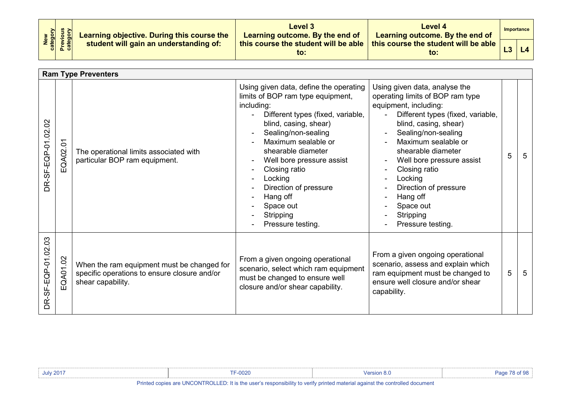| New<br>Category<br>Previous<br>Category | Learning objective. During this course the | Level 3<br>Learning outcome. By the end of  | Level 4<br>Learning outcome. By the end of  |    | Importance |
|-----------------------------------------|--------------------------------------------|---------------------------------------------|---------------------------------------------|----|------------|
|                                         | student will gain an understanding of:     | this course the student will be able<br>to: | this course the student will be able<br>to: | L3 | L4         |

|                                   | <b>Ram Type Preventers</b> |                                                                                                                 |                                                                                                                                                                                                                                                                                                                                                                          |                                                                                                                                                                                                                                                                                                                                                                                             |   |   |  |  |
|-----------------------------------|----------------------------|-----------------------------------------------------------------------------------------------------------------|--------------------------------------------------------------------------------------------------------------------------------------------------------------------------------------------------------------------------------------------------------------------------------------------------------------------------------------------------------------------------|---------------------------------------------------------------------------------------------------------------------------------------------------------------------------------------------------------------------------------------------------------------------------------------------------------------------------------------------------------------------------------------------|---|---|--|--|
| $\mathcal{S}$<br>DR-SF-EQP-01.02. | $\overline{5}$<br>EQA02.   | The operational limits associated with<br>particular BOP ram equipment.                                         | Using given data, define the operating<br>limits of BOP ram type equipment,<br>including:<br>Different types (fixed, variable,<br>blind, casing, shear)<br>Sealing/non-sealing<br>Maximum sealable or<br>shearable diameter<br>Well bore pressure assist<br>Closing ratio<br>Locking<br>Direction of pressure<br>Hang off<br>Space out<br>Stripping<br>Pressure testing. | Using given data, analyse the<br>operating limits of BOP ram type<br>equipment, including:<br>Different types (fixed, variable,<br>blind, casing, shear)<br>Sealing/non-sealing<br>Maximum sealable or<br>shearable diameter<br>Well bore pressure assist<br>$\blacksquare$<br>Closing ratio<br>Locking<br>Direction of pressure<br>Hang off<br>Space out<br>Stripping<br>Pressure testing. | 5 | 5 |  |  |
| DR-SF-EQP-01.02.03                | QA01.02<br>ш               | When the ram equipment must be changed for<br>specific operations to ensure closure and/or<br>shear capability. | From a given ongoing operational<br>scenario, select which ram equipment<br>must be changed to ensure well<br>closure and/or shear capability.                                                                                                                                                                                                                           | From a given ongoing operational<br>scenario, assess and explain which<br>ram equipment must be changed to<br>ensure well closure and/or shear<br>capability.                                                                                                                                                                                                                               | 5 | 5 |  |  |

| <b>July 2017</b>                                                                                                            | F-0020 | Mersion 8.u |  |
|-----------------------------------------------------------------------------------------------------------------------------|--------|-------------|--|
| Printed copies are UNCONTROLLED: It is the user's responsibility to verify printed material against the controlled document |        |             |  |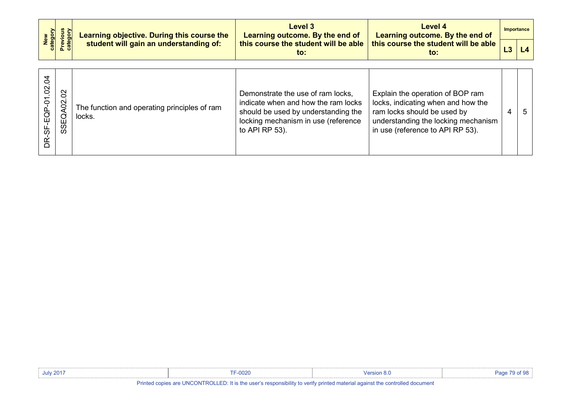| New<br>category                |                               | Learning objective. During this course the<br>student will gain an understanding of: | Level 3<br>Learning outcome. By the end of                                                                                                                               | Level 4<br>Learning outcome. By the end of<br>this course the student will be able<br>to:                                                                                        |   | <b>Importance</b> |
|--------------------------------|-------------------------------|--------------------------------------------------------------------------------------|--------------------------------------------------------------------------------------------------------------------------------------------------------------------------|----------------------------------------------------------------------------------------------------------------------------------------------------------------------------------|---|-------------------|
|                                | Previous<br>category          |                                                                                      | this course the student will be able<br>to:                                                                                                                              |                                                                                                                                                                                  |   | L4                |
| -EQP-01.02.04<br>ن<br>6<br>DR- | $\overline{5}$<br>SEQA02<br>Ó | The function and operating principles of ram<br>locks.                               | Demonstrate the use of ram locks,<br>indicate when and how the ram locks<br>should be used by understanding the<br>locking mechanism in use (reference<br>to API RP 53). | Explain the operation of BOP ram<br>locks, indicating when and how the<br>ram locks should be used by<br>understanding the locking mechanism<br>in use (reference to API RP 53). | 4 | 5                 |

| <b>July 2017</b> | TF-0020 | Version 8.0 | Page 79 of 98 |
|------------------|---------|-------------|---------------|
|                  |         |             |               |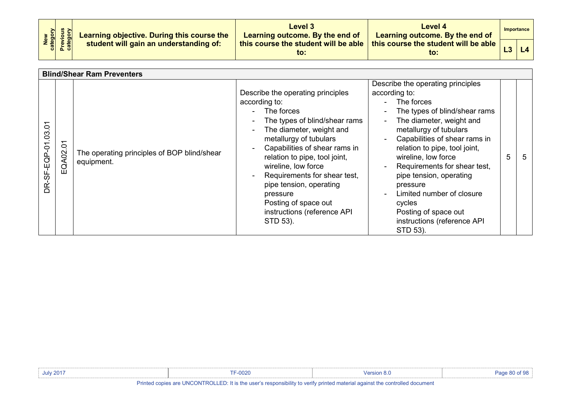| New<br>Category<br>Previous<br>Category | Learning objective. During this course the | Level 3<br>Learning outcome. By the end of  | Level 4<br>Learning outcome. By the end of  |  | Importance |  |
|-----------------------------------------|--------------------------------------------|---------------------------------------------|---------------------------------------------|--|------------|--|
|                                         | student will gain an understanding of:     | this course the student will be able<br>to: | this course the student will be able<br>to: |  |            |  |

|                      | <b>Blind/Shear Ram Preventers</b> |                                                           |                                                                                                                                                                                                                                                                                                                                                                                                              |                                                                                                                                                                                                                                                                                                                                                                                                                                                                                           |   |   |  |
|----------------------|-----------------------------------|-----------------------------------------------------------|--------------------------------------------------------------------------------------------------------------------------------------------------------------------------------------------------------------------------------------------------------------------------------------------------------------------------------------------------------------------------------------------------------------|-------------------------------------------------------------------------------------------------------------------------------------------------------------------------------------------------------------------------------------------------------------------------------------------------------------------------------------------------------------------------------------------------------------------------------------------------------------------------------------------|---|---|--|
| Š<br>DR-SF-EQP-01.03 | Š<br>EQA02.                       | The operating principles of BOP blind/shear<br>equipment. | Describe the operating principles<br>according to:<br>The forces<br>The types of blind/shear rams<br>$\blacksquare$<br>The diameter, weight and<br>metallurgy of tubulars<br>Capabilities of shear rams in<br>relation to pipe, tool joint,<br>wireline, low force<br>Requirements for shear test,<br>pipe tension, operating<br>pressure<br>Posting of space out<br>instructions (reference API<br>STD 53). | Describe the operating principles<br>according to:<br>The forces<br>The types of blind/shear rams<br>$\blacksquare$<br>The diameter, weight and<br>$\blacksquare$<br>metallurgy of tubulars<br>Capabilities of shear rams in<br>$\sim$<br>relation to pipe, tool joint,<br>wireline, low force<br>Requirements for shear test,<br>pipe tension, operating<br>pressure<br>Limited number of closure<br>$\sim$<br>cycles<br>Posting of space out<br>instructions (reference API<br>STD 53). | 5 | 5 |  |

| <b>July 2017</b>                    | <b>FF-0020</b>                                                                                                                                                                                                                                                                                   | <b>Version 8.0</b>                                                                                              | Page 80 of 98 |
|-------------------------------------|--------------------------------------------------------------------------------------------------------------------------------------------------------------------------------------------------------------------------------------------------------------------------------------------------|-----------------------------------------------------------------------------------------------------------------|---------------|
| the contract of the contract of the | $\mathbf{r}$ and $\mathbf{r}$ are $\mathbf{r}$ and $\mathbf{r}$ and $\mathbf{r}$ are $\mathbf{r}$ and $\mathbf{r}$ are $\mathbf{r}$ and $\mathbf{r}$ are $\mathbf{r}$ and $\mathbf{r}$ are $\mathbf{r}$ and $\mathbf{r}$ are $\mathbf{r}$ and $\mathbf{r}$ are $\mathbf{r}$ and $\mathbf{r}$ are | the contract of the contract of the contract of the contract of the contract of the contract of the contract of |               |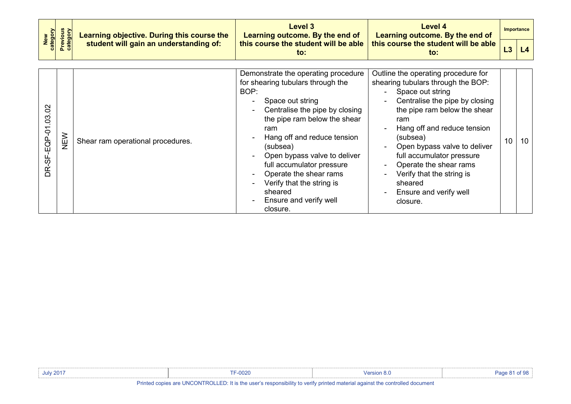|                    | <b>Previous</b><br>category<br>New<br>category<br>Learning objective. During this course the<br>student will gain an understanding of: |                                   | Level 3<br>Learning outcome. By the end of                                                                                                                                                                                                                                                                                                                                                    | Level 4<br>Learning outcome. By the end of                                                                                                                                                                                                                                                                                                                                                                                 |    | <b>Importance</b> |
|--------------------|----------------------------------------------------------------------------------------------------------------------------------------|-----------------------------------|-----------------------------------------------------------------------------------------------------------------------------------------------------------------------------------------------------------------------------------------------------------------------------------------------------------------------------------------------------------------------------------------------|----------------------------------------------------------------------------------------------------------------------------------------------------------------------------------------------------------------------------------------------------------------------------------------------------------------------------------------------------------------------------------------------------------------------------|----|-------------------|
|                    |                                                                                                                                        |                                   | this course the student will be able<br>to:                                                                                                                                                                                                                                                                                                                                                   | this course the student will be able<br>to:                                                                                                                                                                                                                                                                                                                                                                                | L3 | L4                |
| DR-SF-EQP-01.03.02 | NEW                                                                                                                                    | Shear ram operational procedures. | Demonstrate the operating procedure<br>for shearing tubulars through the<br>BOP:<br>Space out string<br>Centralise the pipe by closing<br>the pipe ram below the shear<br>ram<br>Hang off and reduce tension<br>(subsea)<br>Open bypass valve to deliver<br>full accumulator pressure<br>Operate the shear rams<br>Verify that the string is<br>sheared<br>Ensure and verify well<br>closure. | Outline the operating procedure for<br>shearing tubulars through the BOP:<br>Space out string<br>Centralise the pipe by closing<br>the pipe ram below the shear<br>ram<br>Hang off and reduce tension<br>(subsea)<br>Open bypass valve to deliver<br>$\blacksquare$<br>full accumulator pressure<br>Operate the shear rams<br>$\blacksquare$<br>Verify that the string is<br>sheared<br>Ensure and verify well<br>closure. | 10 | 10                |

| <b>July 2017</b> | <b>TF-0020</b> | <b>Version 8.0</b> | of QP<br>∕ane<br>01 YQ |
|------------------|----------------|--------------------|------------------------|
|                  |                |                    |                        |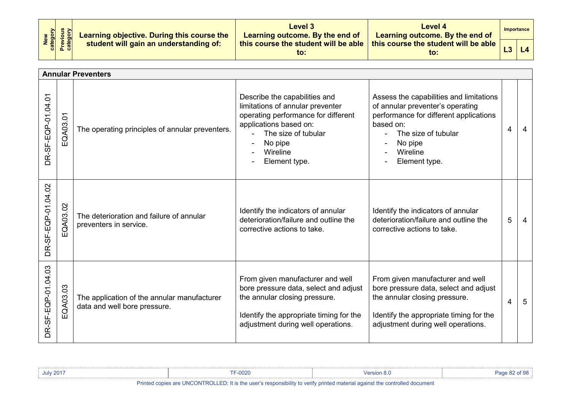| New<br>Category<br>Previous<br>Category | Learning objective. During this course the<br>student will gain an understanding of: | Level 3<br>Learning outcome. By the end of  | Level 4<br>Learning outcome. By the end of              |                | Importance |  |
|-----------------------------------------|--------------------------------------------------------------------------------------|---------------------------------------------|---------------------------------------------------------|----------------|------------|--|
|                                         |                                                                                      | this course the student will be able<br>to: | this course the student will be able $\parallel$<br>to: | L <sub>3</sub> | L4         |  |

|                    |          | <b>Annular Preventers</b>                                                   |                                                                                                                                                                                                   |                                                                                                                                                                                                   |   |    |
|--------------------|----------|-----------------------------------------------------------------------------|---------------------------------------------------------------------------------------------------------------------------------------------------------------------------------------------------|---------------------------------------------------------------------------------------------------------------------------------------------------------------------------------------------------|---|----|
| DR-SF-EQP-01.04.01 | EQA03.01 | The operating principles of annular preventers.                             | Describe the capabilities and<br>limitations of annular preventer<br>operating performance for different<br>applications based on:<br>The size of tubular<br>No pipe<br>Wireline<br>Element type. | Assess the capabilities and limitations<br>of annular preventer's operating<br>performance for different applications<br>based on:<br>The size of tubular<br>No pipe<br>Wireline<br>Element type. | 4 | 4  |
| DR-SF-EQP-01.04.02 | EQA03.02 | The deterioration and failure of annular<br>preventers in service.          | Identify the indicators of annular<br>deterioration/failure and outline the<br>corrective actions to take.                                                                                        | Identify the indicators of annular<br>deterioration/failure and outline the<br>corrective actions to take.                                                                                        | 5 | 4  |
| DR-SF-EQP-01.04.03 | EQA03.03 | The application of the annular manufacturer<br>data and well bore pressure. | From given manufacturer and well<br>bore pressure data, select and adjust<br>the annular closing pressure.<br>Identify the appropriate timing for the<br>adjustment during well operations.       | From given manufacturer and well<br>bore pressure data, select and adjust<br>the annular closing pressure.<br>Identify the appropriate timing for the<br>adjustment during well operations.       | 4 | -5 |

| July 201 <sup>-</sup>                                                                                                                                                                                                                       | $-0020$ | ' o.t |  |  |  |  |  |
|---------------------------------------------------------------------------------------------------------------------------------------------------------------------------------------------------------------------------------------------|---------|-------|--|--|--|--|--|
| <u>in the control of the control of the control of the control of the control of the control of the control of the control of the control of the control of the control of the control of the control of the control of the cont</u><br>--- |         |       |  |  |  |  |  |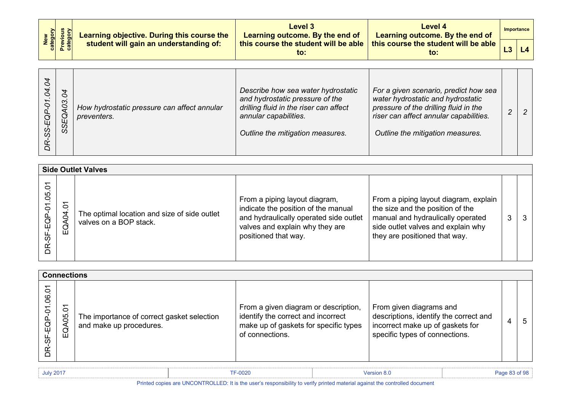| New<br>category<br>Previous<br>category | Learning objective. During this course the | <b>Level 3</b><br>Learning outcome. By the end of | Level 4<br>Learning outcome. By the end of  | Importance |  |
|-----------------------------------------|--------------------------------------------|---------------------------------------------------|---------------------------------------------|------------|--|
|                                         | student will gain an understanding of:     | this course the student will be able<br>to:       | this course the student will be able<br>to: |            |  |

| $\overline{\mathcal{C}}$<br>4<br>$\overline{\mathcal{C}}$<br>Ò<br>70<br>$\overline{c}$<br>G<br>EQ<br>SS<br>SS.<br>œ | How hydrostatic pressure can affect annular<br>preventers. | Describe how sea water hydrostatic<br>and hydrostatic pressure of the<br>drilling fluid in the riser can affect<br>annular capabilities.<br>Outline the mitigation measures. | For a given scenario, predict how sea<br>water hydrostatic and hydrostatic<br>pressure of the drilling fluid in the<br>riser can affect annular capabilities.<br>Outline the mitigation measures. |  |  |
|---------------------------------------------------------------------------------------------------------------------|------------------------------------------------------------|------------------------------------------------------------------------------------------------------------------------------------------------------------------------------|---------------------------------------------------------------------------------------------------------------------------------------------------------------------------------------------------|--|--|
|---------------------------------------------------------------------------------------------------------------------|------------------------------------------------------------|------------------------------------------------------------------------------------------------------------------------------------------------------------------------------|---------------------------------------------------------------------------------------------------------------------------------------------------------------------------------------------------|--|--|

|                                     | <b>Side Outlet Valves</b>   |                                                                        |                                                                                                                                                                           |                                                                                                                                                                                       |   |   |  |  |  |
|-------------------------------------|-----------------------------|------------------------------------------------------------------------|---------------------------------------------------------------------------------------------------------------------------------------------------------------------------|---------------------------------------------------------------------------------------------------------------------------------------------------------------------------------------|---|---|--|--|--|
| $\delta$<br>05<br>EQP-01<br>56<br>È | $\overline{5}$<br>ΣÓ,<br>ξΘ | The optimal location and size of side outlet<br>valves on a BOP stack. | From a piping layout diagram,<br>indicate the position of the manual<br>and hydraulically operated side outlet<br>valves and explain why they are<br>positioned that way. | From a piping layout diagram, explain<br>the size and the position of the<br>manual and hydraulically operated<br>side outlet valves and explain why<br>they are positioned that way. | 3 | 3 |  |  |  |

|                                            | <b>Connections</b>             |                                                                       |                                                                                                                                        |                                                                                                                                         |  |             |  |  |  |
|--------------------------------------------|--------------------------------|-----------------------------------------------------------------------|----------------------------------------------------------------------------------------------------------------------------------------|-----------------------------------------------------------------------------------------------------------------------------------------|--|-------------|--|--|--|
| 5<br>$\overline{0}$<br>P-01<br>SF-EQI<br>È | $\overline{c}$<br>80<br>ð<br>Ш | The importance of correct gasket selection<br>and make up procedures. | From a given diagram or description,<br>identify the correct and incorrect<br>make up of gaskets for specific types<br>of connections. | From given diagrams and<br>descriptions, identify the correct and<br>incorrect make up of gaskets for<br>specific types of connections. |  | $\mathbf b$ |  |  |  |

| <b>July 2017</b> | TF-0020 | $I$ $\alpha$ rei<br>. |  |
|------------------|---------|-----------------------|--|
|                  |         |                       |  |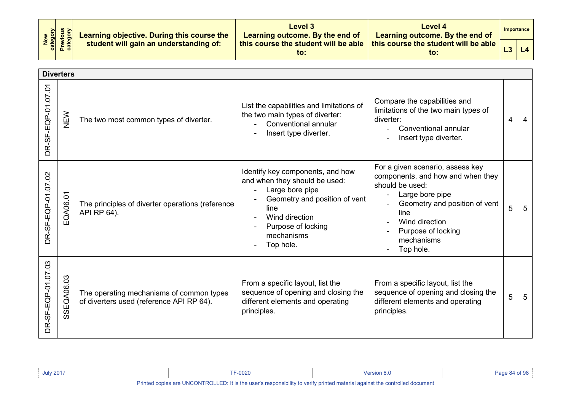|  |                                                                                                                                                                                                                                                                                                                    | Level 3<br>Learning outcome. By the end of       | Level 4<br>Learning outcome. By the end of  | Importance |
|--|--------------------------------------------------------------------------------------------------------------------------------------------------------------------------------------------------------------------------------------------------------------------------------------------------------------------|--------------------------------------------------|---------------------------------------------|------------|
|  | $\begin{array}{ c c c c }\hline & \frac{1}{2} & \frac{1}{2} & \frac{1}{2} \\ \hline \end{array}$ & $\begin{array}{ c c c }\hline \frac{1}{2} & \frac{1}{2} & \frac{1}{2} \\ \frac{1}{2} & \frac{1}{2} & \frac{1}{2} \\ \frac{1}{2} & \frac{1}{2} & \frac{1}{2} \end{array}$ Student will gain an understanding of: | this course the student will be able $\ $<br>to: | this course the student will be able<br>to: | L4         |

|                    | <b>Diverters</b> |                                                                                      |                                                                                                                                                                                                  |                                                                                                                                                                                                                         |   |   |
|--------------------|------------------|--------------------------------------------------------------------------------------|--------------------------------------------------------------------------------------------------------------------------------------------------------------------------------------------------|-------------------------------------------------------------------------------------------------------------------------------------------------------------------------------------------------------------------------|---|---|
| DR-SF-EQP-01.07.01 | NEW              | The two most common types of diverter.                                               | List the capabilities and limitations of<br>the two main types of diverter:<br>Conventional annular<br>Insert type diverter.                                                                     | Compare the capabilities and<br>limitations of the two main types of<br>diverter:<br>Conventional annular<br>Insert type diverter.                                                                                      | 4 |   |
| DR-SF-EQP-01.07.02 | EQA06.01         | The principles of diverter operations (reference<br>API RP 64).                      | Identify key components, and how<br>and when they should be used:<br>Large bore pipe<br>Geometry and position of vent<br>line<br>Wind direction<br>Purpose of locking<br>mechanisms<br>Top hole. | For a given scenario, assess key<br>components, and how and when they<br>should be used:<br>Large bore pipe<br>Geometry and position of vent<br>line<br>Wind direction<br>Purpose of locking<br>mechanisms<br>Top hole. | 5 | 5 |
| DR-SF-EQP-01.07.03 | SSEQA06.03       | The operating mechanisms of common types<br>of diverters used (reference API RP 64). | From a specific layout, list the<br>sequence of opening and closing the<br>different elements and operating<br>principles.                                                                       | From a specific layout, list the<br>sequence of opening and closing the<br>different elements and operating<br>principles.                                                                                              | 5 | 5 |

| <b>July 2017</b>                                                                                                            | F-0020 | $\ell$ ersion 8. | $P$ <sub>200</sub> $R$ <sub>4</sub> of $QR$ |
|-----------------------------------------------------------------------------------------------------------------------------|--------|------------------|---------------------------------------------|
| Printed copies are UNCONTROLLED: It is the user's responsibility to verify printed material against the controlled document |        |                  |                                             |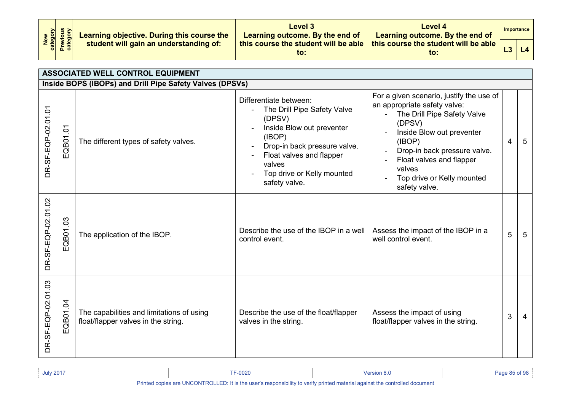| New<br>Category<br>Previous<br>Category | Learning objective. During this course the | Level 3<br>Learning outcome. By the end of  | Level 4<br>Learning outcome. By the end of              | Importance |
|-----------------------------------------|--------------------------------------------|---------------------------------------------|---------------------------------------------------------|------------|
|                                         | student will gain an understanding of:     | this course the student will be able<br>to: | this course the student will be able $\parallel$<br>to: | L4         |

|                    | <b>ASSOCIATED WELL CONTROL EQUIPMENT</b> |                                                                                  |                                                                                                                                                                                                                             |                                                                                                                                                                                                                                                                                                 |   |                |  |
|--------------------|------------------------------------------|----------------------------------------------------------------------------------|-----------------------------------------------------------------------------------------------------------------------------------------------------------------------------------------------------------------------------|-------------------------------------------------------------------------------------------------------------------------------------------------------------------------------------------------------------------------------------------------------------------------------------------------|---|----------------|--|
|                    |                                          | Inside BOPS (IBOPs) and Drill Pipe Safety Valves (DPSVs)                         |                                                                                                                                                                                                                             |                                                                                                                                                                                                                                                                                                 |   |                |  |
| DR-SF-EQP-02.01.01 | EQB01.01                                 | The different types of safety valves.                                            | Differentiate between:<br>The Drill Pipe Safety Valve<br>(DPSV)<br>Inside Blow out preventer<br>(IBOP)<br>Drop-in back pressure valve.<br>Float valves and flapper<br>valves<br>Top drive or Kelly mounted<br>safety valve. | For a given scenario, justify the use of<br>an appropriate safety valve:<br>The Drill Pipe Safety Valve<br>$\blacksquare$<br>(DPSV)<br>Inside Blow out preventer<br>(IBOP)<br>Drop-in back pressure valve.<br>Float valves and flapper<br>valves<br>Top drive or Kelly mounted<br>safety valve. | 4 | $5\phantom{1}$ |  |
| DR-SF-EQP-02.01.02 | EQB01.03                                 | The application of the IBOP.                                                     | Describe the use of the IBOP in a well<br>control event.                                                                                                                                                                    | Assess the impact of the IBOP in a<br>well control event.                                                                                                                                                                                                                                       | 5 | 5              |  |
| DR-SF-EQP-02.01.03 | EQB01.04                                 | The capabilities and limitations of using<br>float/flapper valves in the string. | Describe the use of the float/flapper<br>valves in the string.                                                                                                                                                              | Assess the impact of using<br>float/flapper valves in the string.                                                                                                                                                                                                                               | 3 | 4              |  |

| <b>July 2017</b> | <b>TF-0020</b> | Version 8.0 | Page 85 of . |
|------------------|----------------|-------------|--------------|
|                  |                |             |              |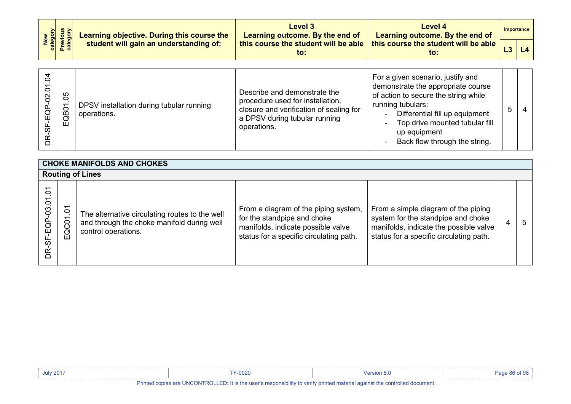| New<br>category<br>Previous<br>category | Learning objective. During this course the | <b>Level 3</b><br>Learning outcome. By the end of | Level 4<br>Learning outcome. By the end of  | Importance |
|-----------------------------------------|--------------------------------------------|---------------------------------------------------|---------------------------------------------|------------|
|                                         | student will gain an understanding of:     | this course the student will be able<br>to:       | this course the student will be able<br>to: | L4         |
|                                         |                                            |                                                   |                                             |            |
|                                         |                                            |                                                   |                                             |            |

| ↤<br>0<br>ဥ | 80<br>C<br>8D<br>ш | DPSV installation during tubular running<br>operations. | Describe and demonstrate the<br>procedure used for installation,<br>closure and verification of sealing for<br>a DPSV during tubular running<br>operations. | For a given scenario, justify and<br>demonstrate the appropriate course<br>of action to secure the string while<br>running tubulars:<br>Differential fill up equipment<br>$\blacksquare$<br>Top drive mounted tubular fill<br>$\sim$<br>up equipment<br>Back flow through the string.<br>$\blacksquare$ | 5 |  |  |
|-------------|--------------------|---------------------------------------------------------|-------------------------------------------------------------------------------------------------------------------------------------------------------------|---------------------------------------------------------------------------------------------------------------------------------------------------------------------------------------------------------------------------------------------------------------------------------------------------------|---|--|--|
|-------------|--------------------|---------------------------------------------------------|-------------------------------------------------------------------------------------------------------------------------------------------------------------|---------------------------------------------------------------------------------------------------------------------------------------------------------------------------------------------------------------------------------------------------------------------------------------------------------|---|--|--|

| <b>CHOKE MANIFOLDS AND CHOKES</b> |          |                                                                                                                     |                                                                                                                                                      |                                                                                                                                                                |   |    |  |  |  |
|-----------------------------------|----------|---------------------------------------------------------------------------------------------------------------------|------------------------------------------------------------------------------------------------------------------------------------------------------|----------------------------------------------------------------------------------------------------------------------------------------------------------------|---|----|--|--|--|
|                                   |          | <b>Routing of Lines</b>                                                                                             |                                                                                                                                                      |                                                                                                                                                                |   |    |  |  |  |
| Ō.<br>DR-SF-EQP-03.01             | EQC01.01 | The alternative circulating routes to the well<br>and through the choke manifold during well<br>control operations. | From a diagram of the piping system,<br>for the standpipe and choke<br>manifolds, indicate possible valve<br>status for a specific circulating path. | From a simple diagram of the piping<br>system for the standpipe and choke<br>manifolds, indicate the possible valve<br>status for a specific circulating path. | 4 | .5 |  |  |  |

| <b>July 2017</b> | F-0020                                                                                                                      | Mersion 8 u |  |
|------------------|-----------------------------------------------------------------------------------------------------------------------------|-------------|--|
|                  | Printed copies are UNCONTROLLED: It is the user's responsibility to verify printed material against the controlled document |             |  |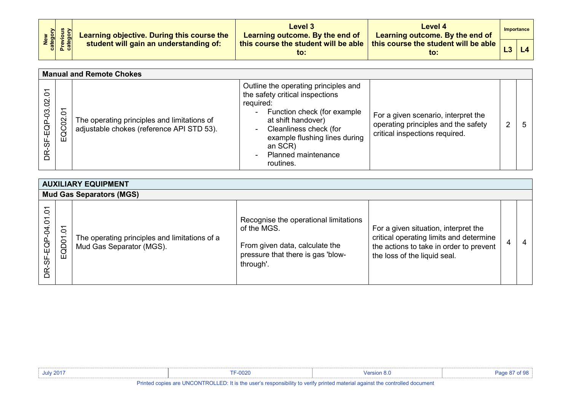| New<br>Category<br>Previous<br>Category | Learning objective. During this course the | Level 3<br>Learning outcome. By the end of  | <b>Level 4</b><br>Learning outcome. By the end of         | Importance |
|-----------------------------------------|--------------------------------------------|---------------------------------------------|-----------------------------------------------------------|------------|
|                                         | student will gain an understanding of:     | this course the student will be able<br>to: | , this course the student will be able $\parallel$<br>to: |            |

|                                         | <b>Manual and Remote Chokes</b> |                                                                                          |                                                                                                                                                                                                                                                            |                                                                                                              |   |   |  |  |
|-----------------------------------------|---------------------------------|------------------------------------------------------------------------------------------|------------------------------------------------------------------------------------------------------------------------------------------------------------------------------------------------------------------------------------------------------------|--------------------------------------------------------------------------------------------------------------|---|---|--|--|
| 0<br>$\overline{0}$<br>P-03.<br>ē<br>S) | $\delta$<br>EQC02               | The operating principles and limitations of<br>adjustable chokes (reference API STD 53). | Outline the operating principles and<br>the safety critical inspections<br>required:<br>Function check (for example<br>at shift handover)<br>Cleanliness check (for<br>example flushing lines during<br>an SCR)<br><b>Planned maintenance</b><br>routines. | For a given scenario, interpret the<br>operating principles and the safety<br>critical inspections required. | 2 | 5 |  |  |

| <b>AUXILIARY EQUIPMENT</b> |                        |                                                                           |                                                                                                                                          |                                                                                                                                                            |   |   |  |  |
|----------------------------|------------------------|---------------------------------------------------------------------------|------------------------------------------------------------------------------------------------------------------------------------------|------------------------------------------------------------------------------------------------------------------------------------------------------------|---|---|--|--|
|                            |                        | <b>Mud Gas Separators (MGS)</b>                                           |                                                                                                                                          |                                                                                                                                                            |   |   |  |  |
| Š<br>DR-SF-EQP-04.01       | $\delta$<br>QD01<br>ய் | The operating principles and limitations of a<br>Mud Gas Separator (MGS). | Recognise the operational limitations<br>of the MGS.<br>From given data, calculate the<br>pressure that there is gas 'blow-<br>through'. | For a given situation, interpret the<br>critical operating limits and determine<br>the actions to take in order to prevent<br>the loss of the liquid seal. | 4 | 4 |  |  |

| <b>July 2017</b>                                                                                                            | <b>F-0020</b> | Version 8 ( |  |
|-----------------------------------------------------------------------------------------------------------------------------|---------------|-------------|--|
| Printed copies are UNCONTROLLED: It is the user's responsibility to verify printed material against the controlled document |               |             |  |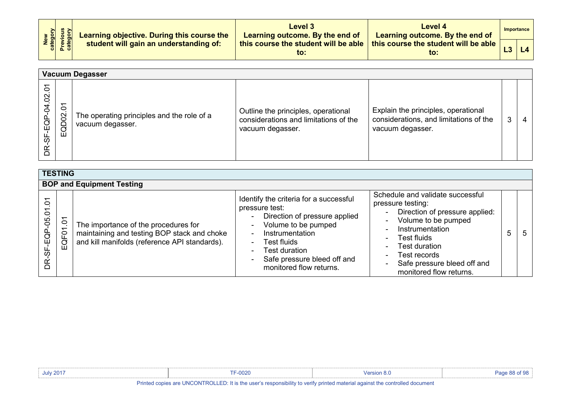| New<br>Category<br>Previous<br>Category |  | Learning objective. During this course the<br>student will gain an understanding of: | Level 3<br>Learning outcome. By the end of  | Level 4<br>Learning outcome. By the end of  |    | Importance |  |
|-----------------------------------------|--|--------------------------------------------------------------------------------------|---------------------------------------------|---------------------------------------------|----|------------|--|
|                                         |  |                                                                                      | this course the student will be able<br>to: | this course the student will be able<br>to: | L3 | L4         |  |

|                                             | <b>Vacuum Degasser</b> |                                                                |                                                                                                  |                                                                                                   |   |   |  |
|---------------------------------------------|------------------------|----------------------------------------------------------------|--------------------------------------------------------------------------------------------------|---------------------------------------------------------------------------------------------------|---|---|--|
| 5<br>$\overline{0}$<br>P-04<br>ē<br>ळ<br>ΒŘ | δ<br>EQD02             | The operating principles and the role of a<br>vacuum degasser. | Outline the principles, operational<br>considerations and limitations of the<br>vacuum degasser. | Explain the principles, operational<br>considerations, and limitations of the<br>vacuum degasser. | 3 | 4 |  |

| <b>TESTING</b>                     |                                |                                                                                                                                      |                                                                                                                                                                                                                                                                                             |                                                                                                                                                                                                                                                               |   |    |  |
|------------------------------------|--------------------------------|--------------------------------------------------------------------------------------------------------------------------------------|---------------------------------------------------------------------------------------------------------------------------------------------------------------------------------------------------------------------------------------------------------------------------------------------|---------------------------------------------------------------------------------------------------------------------------------------------------------------------------------------------------------------------------------------------------------------|---|----|--|
|                                    |                                | <b>BOP and Equipment Testing</b>                                                                                                     |                                                                                                                                                                                                                                                                                             |                                                                                                                                                                                                                                                               |   |    |  |
| $\tilde{\circ}$<br>DR-SF-EQP-05.01 | $\tilde{\Omega}$<br>QF01<br>ய் | The importance of the procedures for<br>maintaining and testing BOP stack and choke<br>and kill manifolds (reference API standards). | Identify the criteria for a successful<br>pressure test:<br>Direction of pressure applied<br>$\blacksquare$<br>Volume to be pumped<br>$\blacksquare$<br>Instrumentation<br>Test fluids<br>$\sim$<br>Test duration<br>۰.<br>Safe pressure bleed off and<br>$\sim$<br>monitored flow returns. | Schedule and validate successful<br>pressure testing:<br>- Direction of pressure applied:<br>Volume to be pumped<br>Instrumentation<br>Test fluids<br>Test duration<br>$\sim$<br>Test records<br>۰.<br>Safe pressure bleed off and<br>monitored flow returns. | 5 | -5 |  |

| <b>July 2017</b>                                                                                                          | -0020 | Version 8.0 | ane 88 of 98 |
|---------------------------------------------------------------------------------------------------------------------------|-------|-------------|--------------|
| Inted copies are UNCONTROLLED: It is the user's responsibility to verify printed material against the controlled document |       |             |              |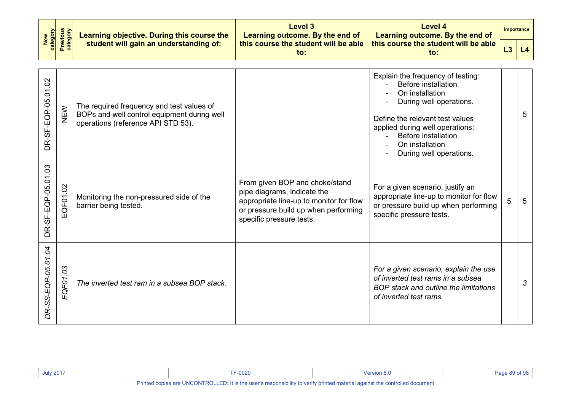| New<br>category    | <b>Previous</b><br>category | Learning objective. During this course the                                                                                     | <b>Level 3</b><br>Learning outcome. By the end of                                                                                                                            |                                                                                                                                                                                                                                                          | <b>Importance</b> |    |
|--------------------|-----------------------------|--------------------------------------------------------------------------------------------------------------------------------|------------------------------------------------------------------------------------------------------------------------------------------------------------------------------|----------------------------------------------------------------------------------------------------------------------------------------------------------------------------------------------------------------------------------------------------------|-------------------|----|
|                    |                             | student will gain an understanding of:                                                                                         | this course the student will be able<br>$\mathsf{to}$ :                                                                                                                      | this course the student will be able<br>$\mathsf{to}$ :                                                                                                                                                                                                  | L3                | L4 |
| DR-SF-EQP-05.01.02 | NEW                         | The required frequency and test values of<br>BOPs and well control equipment during well<br>operations (reference API STD 53). |                                                                                                                                                                              | Explain the frequency of testing:<br>Before installation<br>On installation<br>During well operations.<br>Define the relevant test values<br>applied during well operations:<br><b>Before installation</b><br>On installation<br>During well operations. |                   | 5  |
| DR-SF-EQP-05.01.03 | EQF01.02                    | Monitoring the non-pressured side of the<br>barrier being tested.                                                              | From given BOP and choke/stand<br>pipe diagrams, indicate the<br>appropriate line-up to monitor for flow<br>or pressure build up when performing<br>specific pressure tests. | For a given scenario, justify an<br>appropriate line-up to monitor for flow<br>or pressure build up when performing<br>specific pressure tests.                                                                                                          | 5                 | 5  |
| DR-SS-EQP-05.01.04 | EQF01.03                    | The inverted test ram in a subsea BOP stack.                                                                                   |                                                                                                                                                                              | For a given scenario, explain the use<br>of inverted test rams in a subsea<br>BOP stack and outline the limitations<br>of inverted test rams.                                                                                                            |                   | 3  |

| <b>July 2017</b>                                                                                                            | $F-0020$ |  |  |
|-----------------------------------------------------------------------------------------------------------------------------|----------|--|--|
| Printed copies are UNCONTROLLED: It is the user's responsibility to verify printed material against the controlled document |          |  |  |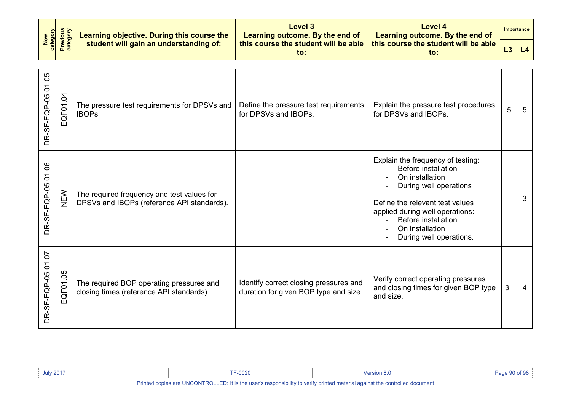| New<br>category    | <b>Previous</b><br>category | Learning objective. During this course the                                               | Level 3<br>Learning outcome. By the end of                                      | <b>Level 4</b><br>Learning outcome. By the end of                                                                                                                                                                                                              |    | Importance |
|--------------------|-----------------------------|------------------------------------------------------------------------------------------|---------------------------------------------------------------------------------|----------------------------------------------------------------------------------------------------------------------------------------------------------------------------------------------------------------------------------------------------------------|----|------------|
|                    |                             | student will gain an understanding of:                                                   | this course the student will be able<br>to:                                     | this course the student will be able<br>$\mathsf{to}$ :                                                                                                                                                                                                        | L3 | L4         |
| DR-SF-EQP-05.01.05 | EQF01.04                    | The pressure test requirements for DPSVs and<br><b>IBOPs.</b>                            | Define the pressure test requirements<br>for DPSVs and IBOPs.                   | Explain the pressure test procedures<br>for DPSVs and IBOPs.                                                                                                                                                                                                   | 5  | 5          |
| DR-SF-EQP-05.01.06 | <b>NEW</b>                  | The required frequency and test values for<br>DPSVs and IBOPs (reference API standards). |                                                                                 | Explain the frequency of testing:<br><b>Before installation</b><br>On installation<br>During well operations<br>Define the relevant test values<br>applied during well operations:<br><b>Before installation</b><br>On installation<br>During well operations. |    | 3          |
| DR-SF-EQP-05.01.07 | EQF01.05                    | The required BOP operating pressures and<br>closing times (reference API standards).     | Identify correct closing pressures and<br>duration for given BOP type and size. | Verify correct operating pressures<br>and closing times for given BOP type<br>and size.                                                                                                                                                                        | 3  | 4          |

| <b>July 2017</b> | TF-0020                           | Version 8.0                                                                                                     | Page 90 of 98 |
|------------------|-----------------------------------|-----------------------------------------------------------------------------------------------------------------|---------------|
| .                | $\cdots$<br>$-11 - 11111 - 11111$ | the contract of the contract of the contract of the contract of the contract of the contract of the contract of |               |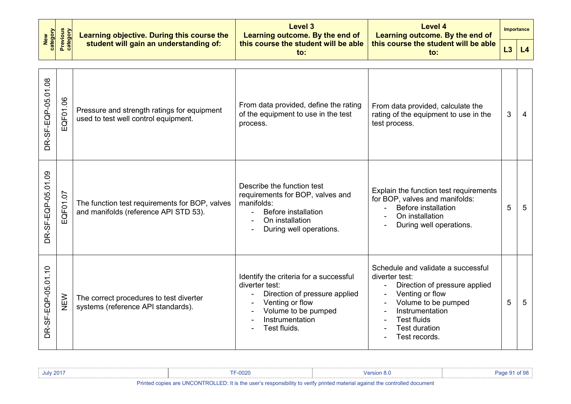| New<br>category           | <b>Previous</b><br>category | Learning objective. During this course the                                              | Level 3<br>Learning outcome. By the end of                                                                                                                             | <b>Level 4</b><br>Learning outcome. By the end of                                                                                                                                                                                   | <b>Importance</b> |    |
|---------------------------|-----------------------------|-----------------------------------------------------------------------------------------|------------------------------------------------------------------------------------------------------------------------------------------------------------------------|-------------------------------------------------------------------------------------------------------------------------------------------------------------------------------------------------------------------------------------|-------------------|----|
|                           |                             | student will gain an understanding of:                                                  | this course the student will be able<br>to:                                                                                                                            | this course the student will be able<br>$\mathsf{to}$ :                                                                                                                                                                             | L3                | L4 |
| DR-SF-EQP-05.01.08        | EQF01.06                    | Pressure and strength ratings for equipment<br>used to test well control equipment.     | From data provided, define the rating<br>of the equipment to use in the test<br>process.                                                                               | From data provided, calculate the<br>rating of the equipment to use in the<br>test process.                                                                                                                                         | 3                 | 4  |
| <b>DR-SF-EQP-05.01.09</b> | EQF01.07                    | The function test requirements for BOP, valves<br>and manifolds (reference API STD 53). | Describe the function test<br>requirements for BOP, valves and<br>manifolds:<br>Before installation<br>On installation<br>During well operations.                      | Explain the function test requirements<br>for BOP, valves and manifolds:<br><b>Before installation</b><br>On installation<br>During well operations.                                                                                | 5                 | 5  |
| DR-SF-EQP-05.01.10        | NEW                         | The correct procedures to test diverter<br>systems (reference API standards).           | Identify the criteria for a successful<br>diverter test:<br>Direction of pressure applied<br>Venting or flow<br>Volume to be pumped<br>Instrumentation<br>Test fluids. | Schedule and validate a successful<br>diverter test:<br>Direction of pressure applied<br>$\blacksquare$<br>Venting or flow<br>Volume to be pumped<br>Instrumentation<br><b>Test fluids</b><br><b>Test duration</b><br>Test records. | 5                 | 5  |

| <b>July 2017</b>                                                                                                            | $-0020$ |  |  |
|-----------------------------------------------------------------------------------------------------------------------------|---------|--|--|
| Printed copies are UNCONTROLLED: It is the user's responsibility to verify printed material against the controlled document |         |  |  |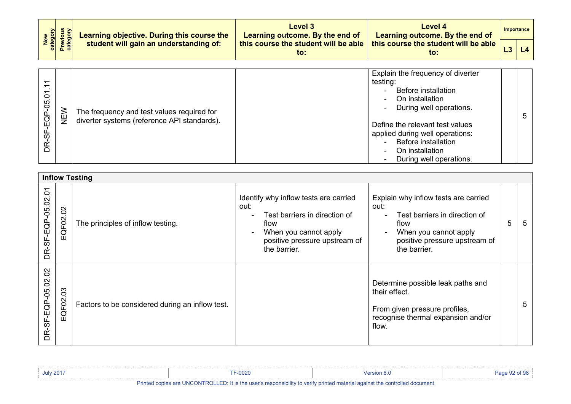| New<br>category<br>Previous<br>category | <b>Learning objective. During this course the</b> | Level 3<br>Learning outcome. By the end of | Level 4<br>Learning outcome. By the end of | Importance                                                                                            |  |  |
|-----------------------------------------|---------------------------------------------------|--------------------------------------------|--------------------------------------------|-------------------------------------------------------------------------------------------------------|--|--|
|                                         |                                                   | student will gain an understanding of:     | to:                                        | $\mid$ this course the student will be able $\mid$ this course the student will be able $\mid$<br>to: |  |  |

| $\circ$<br>90<br>$\bar{\mathbf{q}}$<br>С.<br>Т<br>55<br>Ř | NEN<br>N | The frequency and test values required for<br>diverter systems (reference API standards). | Explain the frequency of diverter<br>testing:<br><b>Before installation</b><br>Ξ.<br>On installation<br>$\sim$<br>During well operations.<br>$\blacksquare$<br>5<br>Define the relevant test values<br>applied during well operations:<br><b>Before installation</b><br>On installation<br>۰.<br>During well operations.<br>$\sim$ |  |
|-----------------------------------------------------------|----------|-------------------------------------------------------------------------------------------|------------------------------------------------------------------------------------------------------------------------------------------------------------------------------------------------------------------------------------------------------------------------------------------------------------------------------------|--|
|-----------------------------------------------------------|----------|-------------------------------------------------------------------------------------------|------------------------------------------------------------------------------------------------------------------------------------------------------------------------------------------------------------------------------------------------------------------------------------------------------------------------------------|--|

|                                    |                                   | <b>Inflow Testing</b>                           |                                                                                                                                                                                              |                                                                                                                                                                 |   |    |
|------------------------------------|-----------------------------------|-------------------------------------------------|----------------------------------------------------------------------------------------------------------------------------------------------------------------------------------------------|-----------------------------------------------------------------------------------------------------------------------------------------------------------------|---|----|
| $\overline{c}$<br>DR-SF-EQP-05.02. | $\Omega$<br>QF <sub>02</sub><br>Ш | The principles of inflow testing.               | Identify why inflow tests are carried<br>out:<br>Test barriers in direction of<br>$\sim$<br>flow<br>When you cannot apply<br>$\blacksquare$<br>positive pressure upstream of<br>the barrier. | Explain why inflow tests are carried<br>out:<br>Test barriers in direction of<br>flow<br>When you cannot apply<br>positive pressure upstream of<br>the barrier. | 5 | -5 |
| $\overline{5}$<br>DR-SF-EQP-05.02  | 03<br>EQF02.                      | Factors to be considered during an inflow test. |                                                                                                                                                                                              | Determine possible leak paths and<br>their effect.<br>From given pressure profiles,<br>recognise thermal expansion and/or<br>flow.                              |   | 5  |

| <b>July 2017</b> | <b>TF-0020</b>                                                                                                                                            | Version 8.0                                                                                                     | Page 92 of 98 |
|------------------|-----------------------------------------------------------------------------------------------------------------------------------------------------------|-----------------------------------------------------------------------------------------------------------------|---------------|
| .                | $\mathbf{r}$ . The contract of $\mathbf{r}$ and $\mathbf{r}$ and $\mathbf{r}$ and $\mathbf{r}$ and $\mathbf{r}$ and $\mathbf{r}$<br>$-11 - 11111 - 11111$ | the contract of the contract of the contract of the contract of the contract of the contract of the contract of |               |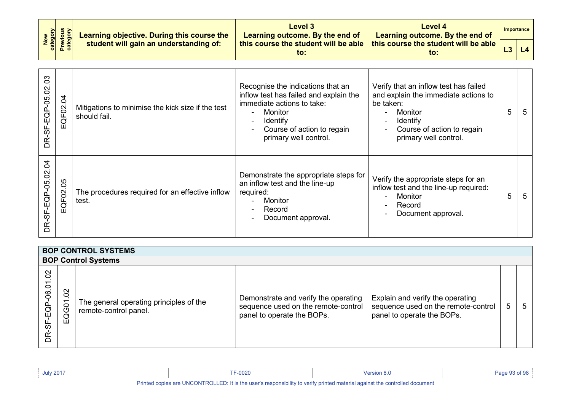| New<br>Category<br>Previous<br>Category | Learning objective. During this course the | Level 3<br>Learning outcome. By the end of  | Level 4<br>Learning outcome. By the end of  | Importance |
|-----------------------------------------|--------------------------------------------|---------------------------------------------|---------------------------------------------|------------|
|                                         | student will gain an understanding of:     | this course the student will be able<br>to: | this course the student will be able<br>to: |            |

| 8<br>DR-SF-EQP-05.02 | $\mathsf{a}$<br>EQF02. | Mitigations to minimise the kick size if the test<br>should fail. | Recognise the indications that an<br>inflow test has failed and explain the<br>immediate actions to take:<br>Monitor<br><b>Identify</b><br>$\blacksquare$<br>Course of action to regain<br>primary well control. | Verify that an inflow test has failed<br>and explain the immediate actions to<br>be taken:<br>Monitor<br><b>Identify</b><br>$\overline{\phantom{a}}$<br>Course of action to regain<br>$\blacksquare$<br>primary well control. | 5 | -5 |
|----------------------|------------------------|-------------------------------------------------------------------|------------------------------------------------------------------------------------------------------------------------------------------------------------------------------------------------------------------|-------------------------------------------------------------------------------------------------------------------------------------------------------------------------------------------------------------------------------|---|----|
| DR-SF-EQP-05.02.04   | 80<br>EQF02.           | The procedures required for an effective inflow<br>test.          | Demonstrate the appropriate steps for<br>an inflow test and the line-up<br>required:<br>Monitor<br>Record<br>Document approval.                                                                                  | Verify the appropriate steps for an<br>inflow test and the line-up required:<br>Monitor<br>$\blacksquare$<br>Record<br>$\blacksquare$<br>Document approval.                                                                   | 5 | -5 |

|                                             | <b>BOP CONTROL SYSTEMS</b> |                                                                  |                                                                                                           |                                                                                                       |   |   |  |  |  |  |
|---------------------------------------------|----------------------------|------------------------------------------------------------------|-----------------------------------------------------------------------------------------------------------|-------------------------------------------------------------------------------------------------------|---|---|--|--|--|--|
|                                             |                            | <b>BOP Control Systems</b>                                       |                                                                                                           |                                                                                                       |   |   |  |  |  |  |
| $\overline{0}$<br>$-EGP-06.01$<br>ပ္တ<br>BR | $\infty$<br>EQG01          | The general operating principles of the<br>remote-control panel. | Demonstrate and verify the operating<br>sequence used on the remote-control<br>panel to operate the BOPs. | Explain and verify the operating<br>sequence used on the remote-control<br>panel to operate the BOPs. | 5 | 5 |  |  |  |  |

| <b>July 2017</b> | TF-0020                                                                                                                                                                                                                                                                                                     | Version 8.0                                                                                                     | $of$ Q <sub>R</sub> |
|------------------|-------------------------------------------------------------------------------------------------------------------------------------------------------------------------------------------------------------------------------------------------------------------------------------------------------------|-----------------------------------------------------------------------------------------------------------------|---------------------|
| .                | $\mathbf{u}$ , $\mathbf{u}$ , $\mathbf{u}$ , $\mathbf{u}$ , $\mathbf{u}$ , $\mathbf{u}$ , $\mathbf{u}$ , $\mathbf{u}$ , $\mathbf{u}$ , $\mathbf{u}$ , $\mathbf{u}$ , $\mathbf{u}$ , $\mathbf{u}$ , $\mathbf{u}$ , $\mathbf{u}$ , $\mathbf{u}$ , $\mathbf{u}$ , $\mathbf{u}$ , $\mathbf{u}$ , $\mathbf{u}$ , | the contract of the contract of the contract of the contract of the contract of the contract of the contract of |                     |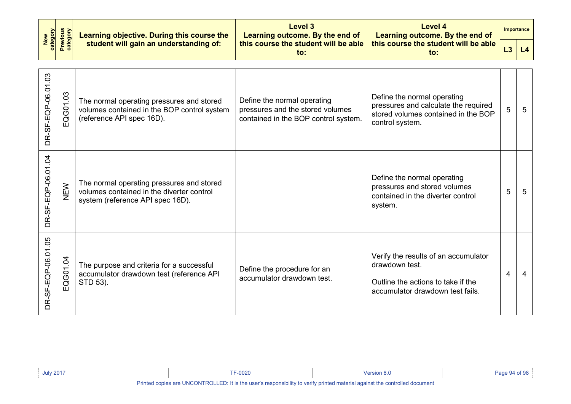| <b>Previous</b><br>category<br>New<br>category |                | Learning objective. During this course the                                                                                 | Level 3<br>Learning outcome. By the end of                                                              | Level 4<br>Learning outcome. By the end of                                                                                       |                | <b>Importance</b> |
|------------------------------------------------|----------------|----------------------------------------------------------------------------------------------------------------------------|---------------------------------------------------------------------------------------------------------|----------------------------------------------------------------------------------------------------------------------------------|----------------|-------------------|
|                                                |                | student will gain an understanding of:                                                                                     | this course the student will be able<br>$\mathbf{to}$ :                                                 | this course the student will be able<br>$\mathsf{to}$ :                                                                          | L3             | L4                |
| DR-SF-EQP-06.01.03                             | QG01.03<br>ιīι | The normal operating pressures and stored<br>volumes contained in the BOP control system<br>(reference API spec 16D).      | Define the normal operating<br>pressures and the stored volumes<br>contained in the BOP control system. | Define the normal operating<br>pressures and calculate the required<br>stored volumes contained in the BOP<br>control system.    | 5              | 5                 |
| DR-SF-EQP-06.01.04                             | NEW            | The normal operating pressures and stored<br>volumes contained in the diverter control<br>system (reference API spec 16D). |                                                                                                         | Define the normal operating<br>pressures and stored volumes<br>contained in the diverter control<br>system.                      | 5              | 5                 |
| DR-SF-EQP-06.01.05                             | EQG01.04       | The purpose and criteria for a successful<br>accumulator drawdown test (reference API<br>STD 53).                          | Define the procedure for an<br>accumulator drawdown test.                                               | Verify the results of an accumulator<br>drawdown test.<br>Outline the actions to take if the<br>accumulator drawdown test fails. | $\overline{4}$ | 4                 |

| <b>July 2017</b>                                                                                                                                                                                                                     | <b>FF-0020</b> | Mersion 8.0 |  |  |  |  |
|--------------------------------------------------------------------------------------------------------------------------------------------------------------------------------------------------------------------------------------|----------------|-------------|--|--|--|--|
| <b>Data and a set of a set INIOON TROLLER</b> . If that he can be a second that a consideration of the set of a second that the second second second second second second second second second second second second second second se |                |             |  |  |  |  |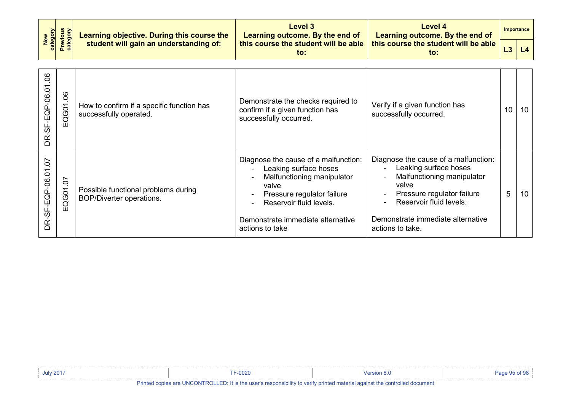| category<br>New    | <b>Previous</b><br>category | Learning objective. During this course the                          | Level 3<br>Learning outcome. By the end of                                                                                                                                                                            | <b>Level 4</b><br>Learning outcome. By the end of                                                                                                                                                                                        | <b>Importance</b> |    |
|--------------------|-----------------------------|---------------------------------------------------------------------|-----------------------------------------------------------------------------------------------------------------------------------------------------------------------------------------------------------------------|------------------------------------------------------------------------------------------------------------------------------------------------------------------------------------------------------------------------------------------|-------------------|----|
|                    |                             | student will gain an understanding of:                              | this course the student will be able<br>this course the student will be able<br>to:<br>to:                                                                                                                            |                                                                                                                                                                                                                                          | L3                | L4 |
|                    |                             |                                                                     |                                                                                                                                                                                                                       |                                                                                                                                                                                                                                          |                   |    |
| DR-SF-EQP-06.01.06 | EQG01.06                    | How to confirm if a specific function has<br>successfully operated. | Demonstrate the checks required to<br>confirm if a given function has<br>successfully occurred.                                                                                                                       | Verify if a given function has<br>successfully occurred.                                                                                                                                                                                 | 10                | 10 |
| DR-SF-EQP-06.01.07 | EQG01.07                    | Possible functional problems during<br>BOP/Diverter operations.     | Diagnose the cause of a malfunction:<br>Leaking surface hoses<br>Malfunctioning manipulator<br>valve<br>Pressure regulator failure<br>Reservoir fluid levels.<br>Demonstrate immediate alternative<br>actions to take | Diagnose the cause of a malfunction:<br>Leaking surface hoses<br>$\blacksquare$<br>Malfunctioning manipulator<br>valve<br>Pressure regulator failure<br>Reservoir fluid levels.<br>Demonstrate immediate alternative<br>actions to take. | 5                 | 10 |

| <b>July 2017</b> | $TE-0000$<br><b>F-0020</b> | <b>Version 8.0</b> | Page " |
|------------------|----------------------------|--------------------|--------|
|                  |                            |                    |        |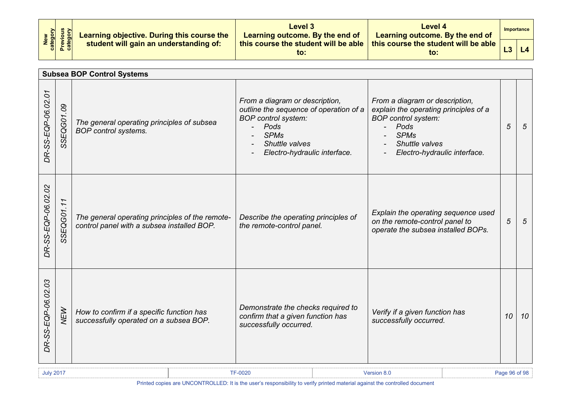|                                         | <b>Level 3</b><br>Learning objective. During this course the<br>Learning outcome. By the end of | Level 4<br>Learning outcome. By the end of  | <b>Importance</b>                           |  |
|-----------------------------------------|-------------------------------------------------------------------------------------------------|---------------------------------------------|---------------------------------------------|--|
| New<br>Category<br>Previous<br>Category | student will gain an understanding of:                                                          | this course the student will be able<br>to: | this course the student will be able<br>to: |  |

| <b>Subsea BOP Control Systems</b> |                              |                                                                                               |                                                                                                                                                                                 |                                                                                                                                                                                |    |                 |  |
|-----------------------------------|------------------------------|-----------------------------------------------------------------------------------------------|---------------------------------------------------------------------------------------------------------------------------------------------------------------------------------|--------------------------------------------------------------------------------------------------------------------------------------------------------------------------------|----|-----------------|--|
| DR-SS-EQP-06.02.01                | SSEQG01.09                   | The general operating principles of subsea<br><b>BOP</b> control systems.                     | From a diagram or description,<br>outline the sequence of operation of a<br><b>BOP</b> control system:<br>Pods<br><b>SPMs</b><br>Shuttle valves<br>Electro-hydraulic interface. | From a diagram or description,<br>explain the operating principles of a<br><b>BOP</b> control system:<br>Pods<br><b>SPMs</b><br>Shuttle valves<br>Electro-hydraulic interface. | 5  | $5\overline{5}$ |  |
| DR-SS-EQP-06.02.02                | <b>SEQG01.11</b><br>$\omega$ | The general operating principles of the remote-<br>control panel with a subsea installed BOP. | Describe the operating principles of<br>the remote-control panel.                                                                                                               | Explain the operating sequence used<br>on the remote-control panel to<br>operate the subsea installed BOPs.                                                                    | 5  | 5               |  |
| DR-SS-EQP-06.02.03                | <b>NEW</b>                   | How to confirm if a specific function has<br>successfully operated on a subsea BOP.           | Demonstrate the checks required to<br>confirm that a given function has<br>successfully occurred.                                                                               | Verify if a given function has<br>successfully occurred.                                                                                                                       | 10 | 10              |  |

July 2017 TF-0020 Version 8.0 Page 96 of 98

Printed copies are UNCONTROLLED: It is the user's responsibility to verify printed material against the controlled document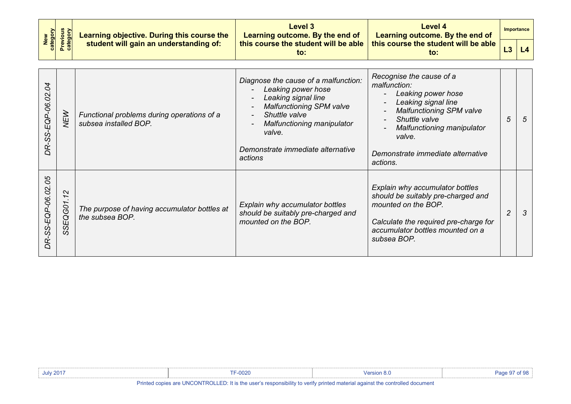| New<br>Category<br>Previous<br>Category |  | Learning objective. During this course the<br>student will gain an understanding of: | Level 3<br>Learning outcome. By the end of | Level 4<br>Learning outcome. By the end of<br>, this course the student will be able $\mid$ this course the student will be able $\mid$<br>to: | Importance |  |
|-----------------------------------------|--|--------------------------------------------------------------------------------------|--------------------------------------------|------------------------------------------------------------------------------------------------------------------------------------------------|------------|--|
|                                         |  |                                                                                      | to:                                        |                                                                                                                                                | L4         |  |

| $\overline{\mathcal{A}}$<br>DR-SS-EQP-06.02. | <b>NEW</b>                                         | Functional problems during operations of a<br>subsea installed BOP. | Diagnose the cause of a malfunction:<br>Leaking power hose<br>Leaking signal line<br><b>Malfunctioning SPM valve</b><br>Shuttle valve<br>Malfunctioning manipulator<br>valve.<br>Demonstrate immediate alternative<br>actions | Recognise the cause of a<br>malfunction:<br>Leaking power hose<br>Leaking signal line<br><b>Malfunctioning SPM valve</b><br>$\blacksquare$<br>Shuttle valve<br>$\overline{\phantom{0}}$<br>Malfunctioning manipulator<br>valve.<br>Demonstrate immediate alternative<br>actions. | 5              | 5             |
|----------------------------------------------|----------------------------------------------------|---------------------------------------------------------------------|-------------------------------------------------------------------------------------------------------------------------------------------------------------------------------------------------------------------------------|----------------------------------------------------------------------------------------------------------------------------------------------------------------------------------------------------------------------------------------------------------------------------------|----------------|---------------|
| DR-SS-EQP-06.02.05                           | $\sim$<br>$\overline{\phantom{0}}$<br>1.<br>SSEQGO | The purpose of having accumulator bottles at<br>the subsea BOP.     | Explain why accumulator bottles<br>should be suitably pre-charged and<br>mounted on the BOP.                                                                                                                                  | Explain why accumulator bottles<br>should be suitably pre-charged and<br>mounted on the BOP.<br>Calculate the required pre-charge for<br>accumulator bottles mounted on a<br>subsea BOP.                                                                                         | $\overline{c}$ | $\mathcal{S}$ |

| <b>July 2017</b>                                                                                                           | nonc<br><b>JUZU</b> |  |  |  |  |
|----------------------------------------------------------------------------------------------------------------------------|---------------------|--|--|--|--|
| Dripted conice are UNCONTROLLED. It is the user's reasonability to verify printed motorial excinat the controlled decument |                     |  |  |  |  |